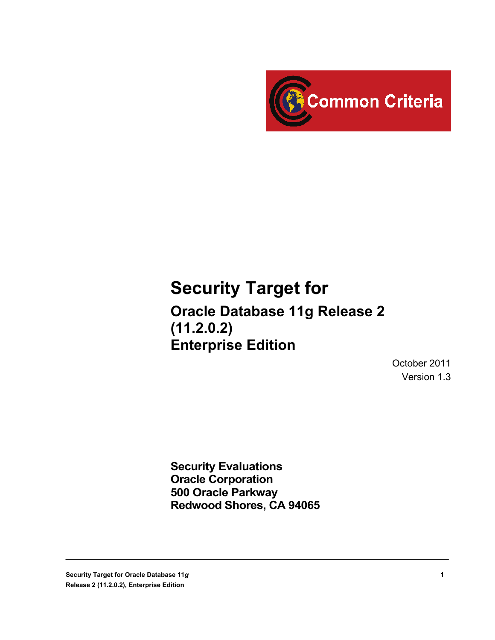

### **Security Target for**

**Oracle Database 11g Release 2 (11.2.0.2) Enterprise Edition**

> October 2011 Version 1.3

**Security Evaluations Oracle Corporation 500 Oracle Parkway Redwood Shores, CA 94065**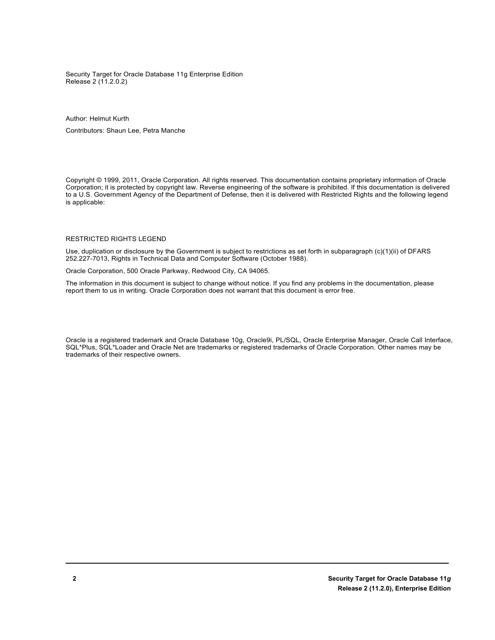Security Target for Oracle Database 11g Enterprise Edition Release 2 (11.2.0.2)

Author: Helmut Kurth

Contributors: Shaun Lee, Petra Manche

Copyright © 1999, 2011, Oracle Corporation. All rights reserved. This documentation contains proprietary information of Oracle Corporation; it is protected by copyright law. Reverse engineering of the software is prohibited. If this documentation is delivered to a U.S. Government Agency of the Department of Defense, then it is delivered with Restricted Rights and the following legend is applicable:

#### RESTRICTED RIGHTS LEGEND

Use, duplication or disclosure by the Government is subject to restrictions as set forth in subparagraph (c)(1)(ii) of DFARS 252.227-7013, Rights in Technical Data and Computer Software (October 1988).

Oracle Corporation, 500 Oracle Parkway, Redwood City, CA 94065.

The information in this document is subject to change without notice. If you find any problems in the documentation, please report them to us in writing. Oracle Corporation does not warrant that this document is error free.

Oracle is a registered trademark and Oracle Database 10g, Oracle9i, PL/SQL, Oracle Enterprise Manager, Oracle Call Interface, SQL\*Plus, SQL\*Loader and Oracle Net are trademarks or registered trademarks of Oracle Corporation. Other names may be trademarks of their respective owners.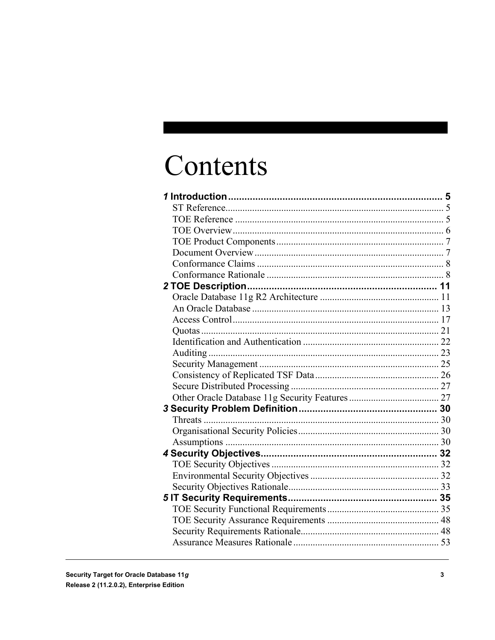## Contents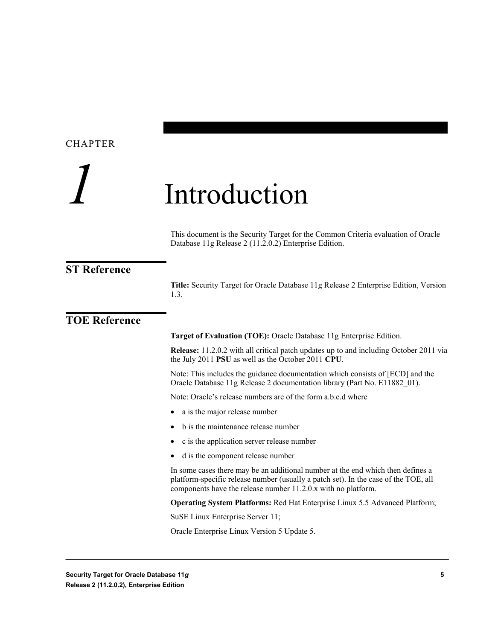## <span id="page-4-0"></span>*1* Introduction

This document is the Security Target for the Common Criteria evaluation of Oracle Database 11g Release 2 (11.2.0.2) Enterprise Edition.

#### <span id="page-4-1"></span>**ST Reference**

**Title:** Security Target for Oracle Database 11g Release 2 Enterprise Edition, Version 1.3.

#### <span id="page-4-2"></span>**TOE Reference**

**Target of Evaluation (TOE):** Oracle Database 11g Enterprise Edition.

**Release:** 11.2.0.2 with all critical patch updates up to and including October 2011 via the July 2011 **PSU** as well as the October 2011 **CPU**.

Note: This includes the guidance documentation which consists of [ECD] and the Oracle Database 11g Release 2 documentation library (Part No. E11882\_01).

Note: Oracle's release numbers are of the form a.b.c.d where

- a is the major release number
- b is the maintenance release number
- c is the application server release number
- d is the component release number

In some cases there may be an additional number at the end which then defines a platform-specific release number (usually a patch set). In the case of the TOE, all components have the release number 11.2.0.x with no platform.

**Operating System Platforms:** Red Hat Enterprise Linux 5.5 Advanced Platform;

SuSE Linux Enterprise Server 11;

Oracle Enterprise Linux Version 5 Update 5.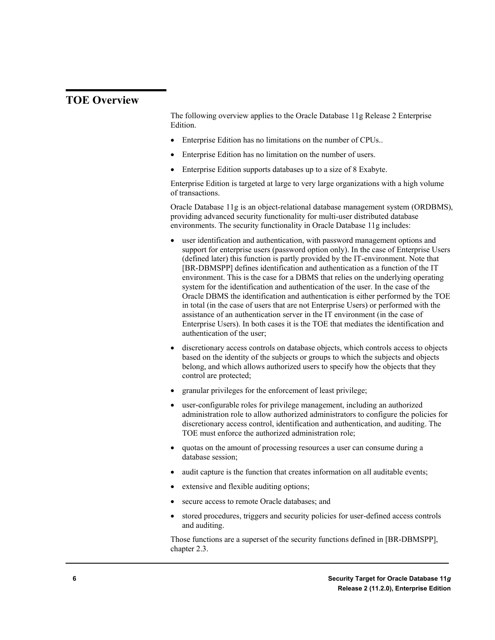#### <span id="page-5-0"></span>**TOE Overview**

The following overview applies to the Oracle Database 11g Release 2 Enterprise Edition.

- Enterprise Edition has no limitations on the number of CPUs..
- Enterprise Edition has no limitation on the number of users.
- Enterprise Edition supports databases up to a size of 8 Exabyte.

Enterprise Edition is targeted at large to very large organizations with a high volume of transactions.

Oracle Database 11g is an object-relational database management system (ORDBMS), providing advanced security functionality for multi-user distributed database environments. The security functionality in Oracle Database 11g includes:

- user identification and authentication, with password management options and support for enterprise users (password option only). In the case of Enterprise Users (defined later) this function is partly provided by the IT-environment. Note that [BR-DBMSPP] defines identification and authentication as a function of the IT environment. This is the case for a DBMS that relies on the underlying operating system for the identification and authentication of the user. In the case of the Oracle DBMS the identification and authentication is either performed by the TOE in total (in the case of users that are not Enterprise Users) or performed with the assistance of an authentication server in the IT environment (in the case of Enterprise Users). In both cases it is the TOE that mediates the identification and authentication of the user;
- discretionary access controls on database objects, which controls access to objects based on the identity of the subjects or groups to which the subjects and objects belong, and which allows authorized users to specify how the objects that they control are protected;
- granular privileges for the enforcement of least privilege;
- user-configurable roles for privilege management, including an authorized administration role to allow authorized administrators to configure the policies for discretionary access control, identification and authentication, and auditing. The TOE must enforce the authorized administration role;
- quotas on the amount of processing resources a user can consume during a database session;
- audit capture is the function that creates information on all auditable events;
- extensive and flexible auditing options;
- secure access to remote Oracle databases; and
- stored procedures, triggers and security policies for user-defined access controls and auditing.

Those functions are a superset of the security functions defined in [BR-DBMSPP], chapter 2.3.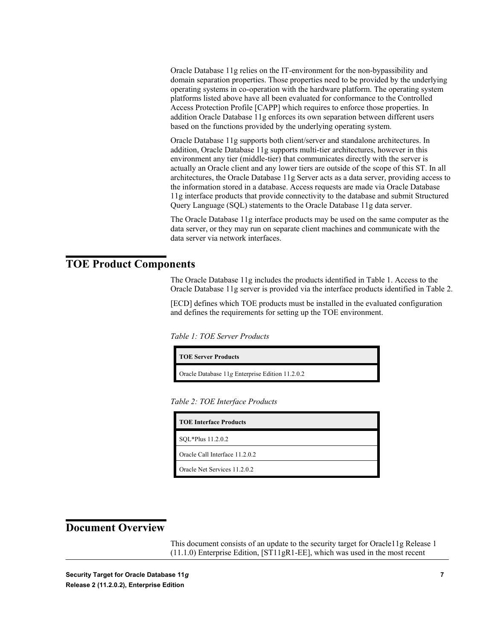Oracle Database 11g relies on the IT-environment for the non-bypassibility and domain separation properties. Those properties need to be provided by the underlying operating systems in co-operation with the hardware platform. The operating system platforms listed above have all been evaluated for conformance to the Controlled Access Protection Profile [CAPP] which requires to enforce those properties. In addition Oracle Database 11g enforces its own separation between different users based on the functions provided by the underlying operating system.

Oracle Database 11g supports both client/server and standalone architectures. In addition, Oracle Database 11g supports multi-tier architectures, however in this environment any tier (middle-tier) that communicates directly with the server is actually an Oracle client and any lower tiers are outside of the scope of this ST. In all architectures, the Oracle Database 11g Server acts as a data server, providing access to the information stored in a database. Access requests are made via Oracle Database 11g interface products that provide connectivity to the database and submit Structured Query Language (SQL) statements to the Oracle Database 11g data server.

The Oracle Database 11g interface products may be used on the same computer as the data server, or they may run on separate client machines and communicate with the data server via network interfaces.

#### <span id="page-6-0"></span>**TOE Product Components**

The Oracle Database 11g includes the products identified in Table 1. Access to the Oracle Database 11g server is provided via the interface products identified in Table 2.

[ECD] defines which TOE products must be installed in the evaluated configuration and defines the requirements for setting up the TOE environment.

*Table 1: TOE Server Products*

**TOE Server Products** Oracle Database 11*g* Enterprise Edition 11.2.0.2

*Table 2: TOE Interface Products*

| <b>TOE Interface Products</b>  |  |
|--------------------------------|--|
| SQL*Plus 11.2.0.2              |  |
| Oracle Call Interface 11.2.0.2 |  |
| Oracle Net Services 11.2.0.2   |  |

#### <span id="page-6-1"></span>**Document Overview**

This document consists of an update to the security target for Oracle11g Release 1 (11.1.0) Enterprise Edition, [ST11gR1-EE], which was used in the most recent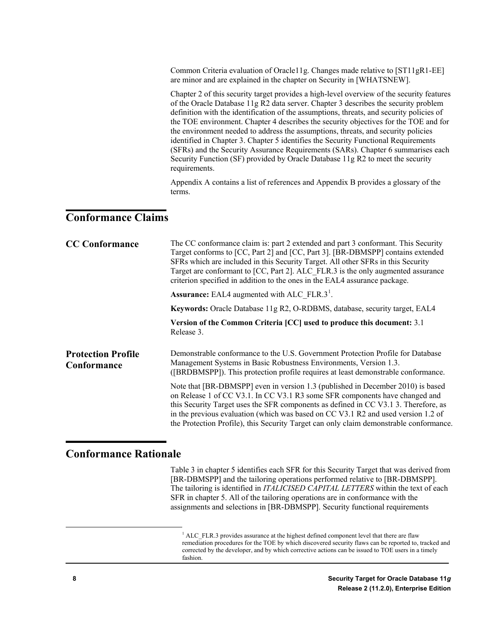Common Criteria evaluation of Oracle11g. Changes made relative to [ST11gR1-EE] are minor and are explained in the chapter on Security in [WHATSNEW].

Chapter 2 of this security target provides a high-level overview of the security features of the Oracle Database 11g R2 data server. Chapter 3 describes the security problem definition with the identification of the assumptions, threats, and security policies of the TOE environment. Chapter 4 describes the security objectives for the TOE and for the environment needed to address the assumptions, threats, and security policies identified in Chapter 3. Chapter 5 identifies the Security Functional Requirements (SFRs) and the Security Assurance Requirements (SARs). Chapter 6 summarises each Security Function (SF) provided by Oracle Database 11g R2 to meet the security requirements.

Appendix A contains a list of references and Appendix B provides a glossary of the terms.

#### <span id="page-7-0"></span>**Conformance Claims**

| <b>CC Conformance</b>                    | The CC conformance claim is: part 2 extended and part 3 conformant. This Security<br>Target conforms to [CC, Part 2] and [CC, Part 3]. [BR-DBMSPP] contains extended<br>SFRs which are included in this Security Target. All other SFRs in this Security<br>Target are conformant to [CC, Part 2]. ALC FLR.3 is the only augmented assurance<br>criterion specified in addition to the ones in the EAL4 assurance package.           |
|------------------------------------------|--------------------------------------------------------------------------------------------------------------------------------------------------------------------------------------------------------------------------------------------------------------------------------------------------------------------------------------------------------------------------------------------------------------------------------------|
|                                          | <b>Assurance:</b> EAL4 augmented with ALC FLR.3 <sup>1</sup> .                                                                                                                                                                                                                                                                                                                                                                       |
|                                          | Keywords: Oracle Database 11g R2, O-RDBMS, database, security target, EAL4                                                                                                                                                                                                                                                                                                                                                           |
|                                          | Version of the Common Criteria [CC] used to produce this document: 3.1<br>Release 3.                                                                                                                                                                                                                                                                                                                                                 |
| <b>Protection Profile</b><br>Conformance | Demonstrable conformance to the U.S. Government Protection Profile for Database<br>Management Systems in Basic Robustness Environments, Version 1.3.<br>([BRDBMSPP]). This protection profile requires at least demonstrable conformance.                                                                                                                                                                                            |
|                                          | Note that [BR-DBMSPP] even in version 1.3 (published in December 2010) is based<br>on Release 1 of CC V3.1. In CC V3.1 R3 some SFR components have changed and<br>this Security Target uses the SFR components as defined in CC V3.1 3. Therefore, as<br>in the previous evaluation (which was based on CC V3.1 R2 and used version 1.2 of<br>the Protection Profile), this Security Target can only claim demonstrable conformance. |

#### <span id="page-7-2"></span><span id="page-7-1"></span>**Conformance Rationale**

Table 3 in chapter 5 identifies each SFR for this Security Target that was derived from [BR-DBMSPP] and the tailoring operations performed relative to [BR-DBMSPP]. The tailoring is identified in *ITALICISED CAPITAL LETTERS* within the text of each SFR in chapter 5. All of the tailoring operations are in conformance with the assignments and selections in [BR-DBMSPP]. Security functional requirements

 $1$  ALC FLR.3 provides assurance at the highest defined component level that there are flaw remediation procedures for the TOE by which discovered security flaws can be reported to, tracked and corrected by the developer, and by which corrective actions can be issued to TOE users in a timely fashion.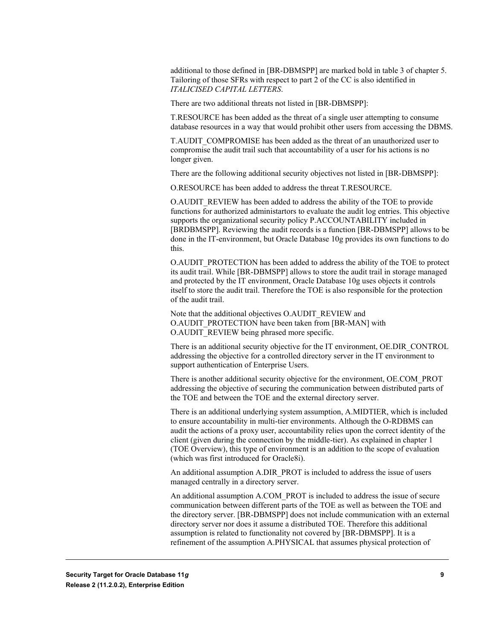additional to those defined in [BR-DBMSPP] are marked bold in table 3 of chapter 5. Tailoring of those SFRs with respect to part 2 of the CC is also identified in *ITALICISED CAPITAL LETTERS*.

There are two additional threats not listed in [BR-DBMSPP]:

T.RESOURCE has been added as the threat of a single user attempting to consume database resources in a way that would prohibit other users from accessing the DBMS.

T.AUDIT\_COMPROMISE has been added as the threat of an unauthorized user to compromise the audit trail such that accountability of a user for his actions is no longer given.

There are the following additional security objectives not listed in [BR-DBMSPP]:

O.RESOURCE has been added to address the threat T.RESOURCE.

O.AUDIT\_REVIEW has been added to address the ability of the TOE to provide functions for authorized administartors to evaluate the audit log entries. This objective supports the organizational security policy P.ACCOUNTABILITY included in [BRDBMSPP]. Reviewing the audit records is a function [BR-DBMSPP] allows to be done in the IT-environment, but Oracle Database 10g provides its own functions to do this.

O.AUDIT\_PROTECTION has been added to address the ability of the TOE to protect its audit trail. While [BR-DBMSPP] allows to store the audit trail in storage managed and protected by the IT environment, Oracle Database 10g uses objects it controls itself to store the audit trail. Therefore the TOE is also responsible for the protection of the audit trail.

Note that the additional objectives O.AUDIT\_REVIEW and O.AUDIT\_PROTECTION have been taken from [BR-MAN] with O.AUDIT\_REVIEW being phrased more specific.

There is an additional security objective for the IT environment, OE.DIR\_CONTROL addressing the objective for a controlled directory server in the IT environment to support authentication of Enterprise Users.

There is another additional security objective for the environment, OE.COM\_PROT addressing the objective of securing the communication between distributed parts of the TOE and between the TOE and the external directory server.

There is an additional underlying system assumption, A.MIDTIER, which is included to ensure accountability in multi-tier environments. Although the O-RDBMS can audit the actions of a proxy user, accountability relies upon the correct identity of the client (given during the connection by the middle-tier). As explained in chapter 1 (TOE Overview), this type of environment is an addition to the scope of evaluation (which was first introduced for Oracle8i).

An additional assumption A.DIR\_PROT is included to address the issue of users managed centrally in a directory server.

An additional assumption A.COM\_PROT is included to address the issue of secure communication between different parts of the TOE as well as between the TOE and the directory server. [BR-DBMSPP] does not include communication with an external directory server nor does it assume a distributed TOE. Therefore this additional assumption is related to functionality not covered by [BR-DBMSPP]. It is a refinement of the assumption A.PHYSICAL that assumes physical protection of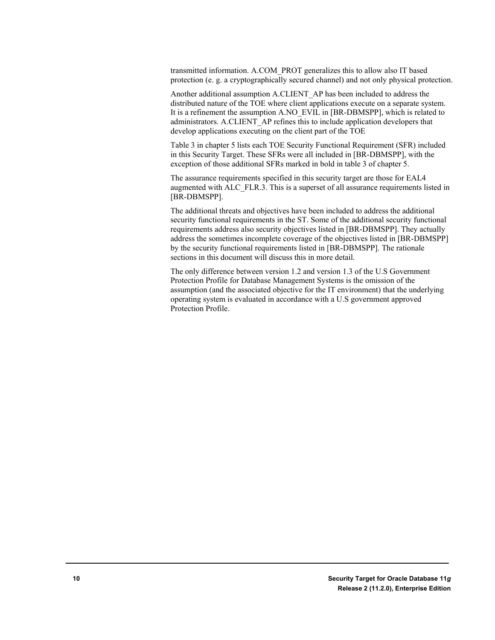transmitted information. A.COM\_PROT generalizes this to allow also IT based protection (e. g. a cryptographically secured channel) and not only physical protection.

Another additional assumption A.CLIENT\_AP has been included to address the distributed nature of the TOE where client applications execute on a separate system. It is a refinement the assumption A.NO\_EVIL in [BR-DBMSPP], which is related to administrators. A.CLIENT\_AP refines this to include application developers that develop applications executing on the client part of the TOE

Table 3 in chapter 5 lists each TOE Security Functional Requirement (SFR) included in this Security Target. These SFRs were all included in [BR-DBMSPP], with the exception of those additional SFRs marked in bold in table 3 of chapter 5.

The assurance requirements specified in this security target are those for EAL4 augmented with ALC\_FLR.3. This is a superset of all assurance requirements listed in [BR-DBMSPP].

The additional threats and objectives have been included to address the additional security functional requirements in the ST. Some of the additional security functional requirements address also security objectives listed in [BR-DBMSPP]. They actually address the sometimes incomplete coverage of the objectives listed in [BR-DBMSPP] by the security functional requirements listed in [BR-DBMSPP]. The rationale sections in this document will discuss this in more detail.

The only difference between version 1.2 and version 1.3 of the U.S Government Protection Profile for Database Management Systems is the omission of the assumption (and the associated objective for the IT environment) that the underlying operating system is evaluated in accordance with a U.S government approved Protection Profile.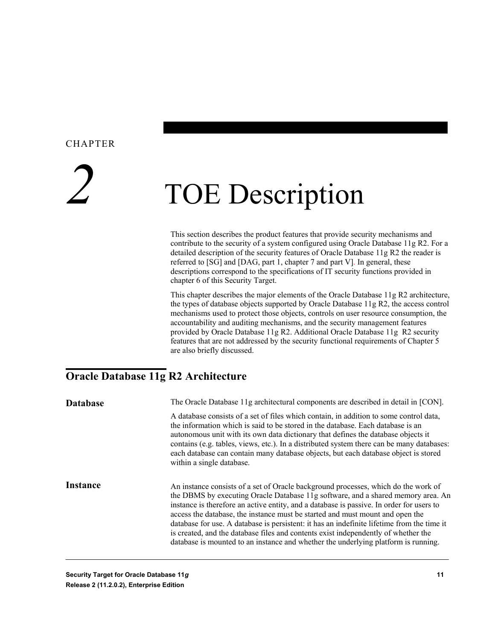# <span id="page-10-0"></span>*2* TOE Description

This section describes the product features that provide security mechanisms and contribute to the security of a system configured using Oracle Database 11g R2. For a detailed description of the security features of Oracle Database 11g R2 the reader is referred to [SG] and [DAG, part 1, chapter 7 and part V]. In general, these descriptions correspond to the specifications of IT security functions provided in chapter 6 of this Security Target.

This chapter describes the major elements of the Oracle Database 11g R2 architecture, the types of database objects supported by Oracle Database 11g R2, the access control mechanisms used to protect those objects, controls on user resource consumption, the accountability and auditing mechanisms, and the security management features provided by Oracle Database 11g R2. Additional Oracle Database 11g R2 security features that are not addressed by the security functional requirements of Chapter 5 are also briefly discussed.

### <span id="page-10-1"></span>**Oracle Database 11g R2 Architecture**

| <b>Database</b> | The Oracle Database 11g architectural components are described in detail in [CON].                                                                                                                                                                                                                                                                                                                                                                                                                                                                                                                                            |
|-----------------|-------------------------------------------------------------------------------------------------------------------------------------------------------------------------------------------------------------------------------------------------------------------------------------------------------------------------------------------------------------------------------------------------------------------------------------------------------------------------------------------------------------------------------------------------------------------------------------------------------------------------------|
|                 | A database consists of a set of files which contain, in addition to some control data,<br>the information which is said to be stored in the database. Each database is an<br>autonomous unit with its own data dictionary that defines the database objects it<br>contains (e.g. tables, views, etc.). In a distributed system there can be many databases:<br>each database can contain many database objects, but each database object is stored<br>within a single database.                                                                                                                                               |
| <b>Instance</b> | An instance consists of a set of Oracle background processes, which do the work of<br>the DBMS by executing Oracle Database 11g software, and a shared memory area. An<br>instance is therefore an active entity, and a database is passive. In order for users to<br>access the database, the instance must be started and must mount and open the<br>database for use. A database is persistent: it has an indefinite lifetime from the time it<br>is created, and the database files and contents exist independently of whether the<br>database is mounted to an instance and whether the underlying platform is running. |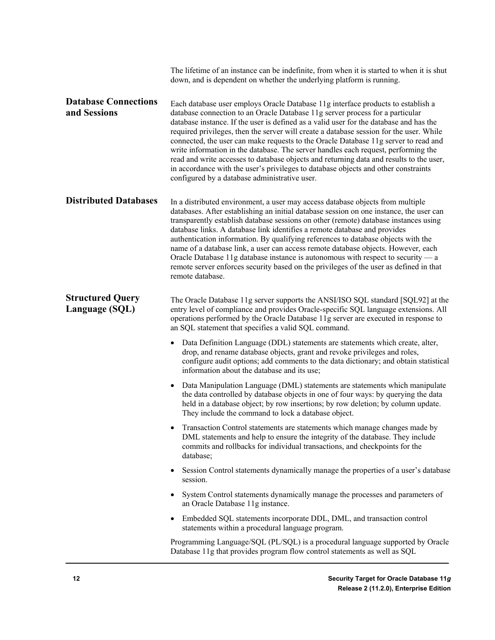|                                             | The lifetime of an instance can be indefinite, from when it is started to when it is shut<br>down, and is dependent on whether the underlying platform is running.                                                                                                                                                                                                                                                                                                                                                                                                                                                                                                                                                                                                    |
|---------------------------------------------|-----------------------------------------------------------------------------------------------------------------------------------------------------------------------------------------------------------------------------------------------------------------------------------------------------------------------------------------------------------------------------------------------------------------------------------------------------------------------------------------------------------------------------------------------------------------------------------------------------------------------------------------------------------------------------------------------------------------------------------------------------------------------|
| <b>Database Connections</b><br>and Sessions | Each database user employs Oracle Database 11g interface products to establish a<br>database connection to an Oracle Database 11g server process for a particular<br>database instance. If the user is defined as a valid user for the database and has the<br>required privileges, then the server will create a database session for the user. While<br>connected, the user can make requests to the Oracle Database 11g server to read and<br>write information in the database. The server handles each request, performing the<br>read and write accesses to database objects and returning data and results to the user,<br>in accordance with the user's privileges to database objects and other constraints<br>configured by a database administrative user. |
| <b>Distributed Databases</b>                | In a distributed environment, a user may access database objects from multiple<br>databases. After establishing an initial database session on one instance, the user can<br>transparently establish database sessions on other (remote) database instances using<br>database links. A database link identifies a remote database and provides<br>authentication information. By qualifying references to database objects with the<br>name of a database link, a user can access remote database objects. However, each<br>Oracle Database 11g database instance is autonomous with respect to security $-a$<br>remote server enforces security based on the privileges of the user as defined in that<br>remote database.                                           |
| <b>Structured Query</b><br>Language (SQL)   | The Oracle Database 11g server supports the ANSI/ISO SQL standard [SQL92] at the<br>entry level of compliance and provides Oracle-specific SQL language extensions. All<br>operations performed by the Oracle Database 11g server are executed in response to<br>an SQL statement that specifies a valid SQL command.                                                                                                                                                                                                                                                                                                                                                                                                                                                 |
|                                             | Data Definition Language (DDL) statements are statements which create, alter,<br>drop, and rename database objects, grant and revoke privileges and roles,<br>configure audit options; add comments to the data dictionary; and obtain statistical<br>information about the database and its use;                                                                                                                                                                                                                                                                                                                                                                                                                                                                     |
|                                             | Data Manipulation Language (DML) statements are statements which manipulate<br>the data controlled by database objects in one of four ways: by querying the data<br>held in a database object; by row insertions; by row deletion; by column update.<br>They include the command to lock a database object.                                                                                                                                                                                                                                                                                                                                                                                                                                                           |
|                                             | Transaction Control statements are statements which manage changes made by<br>DML statements and help to ensure the integrity of the database. They include<br>commits and rollbacks for individual transactions, and checkpoints for the<br>database;                                                                                                                                                                                                                                                                                                                                                                                                                                                                                                                |
|                                             | Session Control statements dynamically manage the properties of a user's database<br>$\bullet$<br>session.                                                                                                                                                                                                                                                                                                                                                                                                                                                                                                                                                                                                                                                            |
|                                             | System Control statements dynamically manage the processes and parameters of<br>$\bullet$<br>an Oracle Database 11g instance.                                                                                                                                                                                                                                                                                                                                                                                                                                                                                                                                                                                                                                         |
|                                             | Embedded SQL statements incorporate DDL, DML, and transaction control<br>$\bullet$<br>statements within a procedural language program.                                                                                                                                                                                                                                                                                                                                                                                                                                                                                                                                                                                                                                |
|                                             | Programming Language/SQL (PL/SQL) is a procedural language supported by Oracle<br>Database 11g that provides program flow control statements as well as SQL                                                                                                                                                                                                                                                                                                                                                                                                                                                                                                                                                                                                           |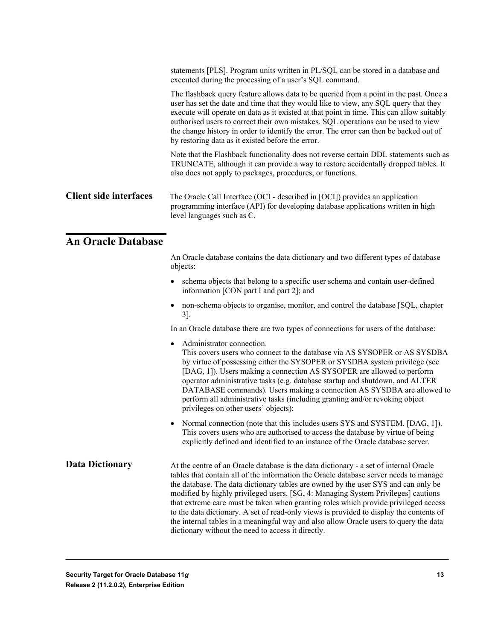|                               | statements [PLS]. Program units written in PL/SQL can be stored in a database and<br>executed during the processing of a user's SQL command.                                                                                                                                                                                                                                                                                                                                                                     |
|-------------------------------|------------------------------------------------------------------------------------------------------------------------------------------------------------------------------------------------------------------------------------------------------------------------------------------------------------------------------------------------------------------------------------------------------------------------------------------------------------------------------------------------------------------|
|                               | The flashback query feature allows data to be queried from a point in the past. Once a<br>user has set the date and time that they would like to view, any SQL query that they<br>execute will operate on data as it existed at that point in time. This can allow suitably<br>authorised users to correct their own mistakes. SQL operations can be used to view<br>the change history in order to identify the error. The error can then be backed out of<br>by restoring data as it existed before the error. |
|                               | Note that the Flashback functionality does not reverse certain DDL statements such as<br>TRUNCATE, although it can provide a way to restore accidentally dropped tables. It<br>also does not apply to packages, procedures, or functions.                                                                                                                                                                                                                                                                        |
| <b>Client side interfaces</b> | The Oracle Call Interface (OCI - described in [OCI]) provides an application<br>programming interface (API) for developing database applications written in high<br>level languages such as C.                                                                                                                                                                                                                                                                                                                   |
| <b>An Oracle Database</b>     |                                                                                                                                                                                                                                                                                                                                                                                                                                                                                                                  |
|                               | An Oracle database contains the data dictionary and two different types of database<br>objects:                                                                                                                                                                                                                                                                                                                                                                                                                  |
|                               | • schema objects that belong to a specific user schema and contain user-defined                                                                                                                                                                                                                                                                                                                                                                                                                                  |

- <span id="page-12-0"></span>information [CON part I and part 2]; and
- non-schema objects to organise, monitor, and control the database [SQL, chapter 3].

In an Oracle database there are two types of connections for users of the database:

- Administrator connection. This covers users who connect to the database via AS SYSOPER or AS SYSDBA by virtue of possessing either the SYSOPER or SYSDBA system privilege (see [DAG, 1]). Users making a connection AS SYSOPER are allowed to perform operator administrative tasks (e.g. database startup and shutdown, and ALTER DATABASE commands). Users making a connection AS SYSDBA are allowed to perform all administrative tasks (including granting and/or revoking object privileges on other users' objects);
- Normal connection (note that this includes users SYS and SYSTEM. [DAG, 1]). This covers users who are authorised to access the database by virtue of being explicitly defined and identified to an instance of the Oracle database server.

At the centre of an Oracle database is the data dictionary - a set of internal Oracle tables that contain all of the information the Oracle database server needs to manage the database. The data dictionary tables are owned by the user SYS and can only be modified by highly privileged users. [SG, 4: Managing System Privileges] cautions that extreme care must be taken when granting roles which provide privileged access to the data dictionary. A set of read-only views is provided to display the contents of the internal tables in a meaningful way and also allow Oracle users to query the data dictionary without the need to access it directly. **Data Dictionary**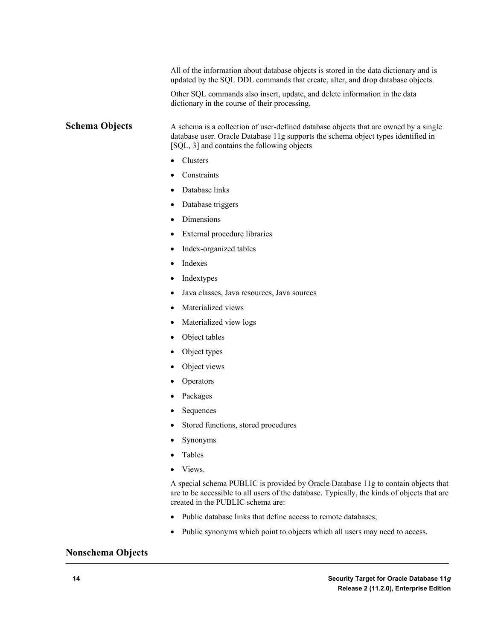All of the information about database objects is stored in the data dictionary and is updated by the SQL DDL commands that create, alter, and drop database objects.

Other SQL commands also insert, update, and delete information in the data dictionary in the course of their processing.

A schema is a collection of user-defined database objects that are owned by a single database user. Oracle Database 11g supports the schema object types identified in [SQL, 3] and contains the following objects **Schema Objects**

- Clusters
- **Constraints**
- Database links
- Database triggers
- Dimensions
- External procedure libraries
- Index-organized tables
- Indexes
- **Indextypes**
- Java classes, Java resources, Java sources
- Materialized views
- Materialized view logs
- Object tables
- Object types
- Object views
- **Operators**
- Packages
- Sequences
- Stored functions, stored procedures
- Synonyms
- Tables
- Views.

A special schema PUBLIC is provided by Oracle Database 11g to contain objects that are to be accessible to all users of the database. Typically, the kinds of objects that are created in the PUBLIC schema are:

- Public database links that define access to remote databases;
- Public synonyms which point to objects which all users may need to access.

#### **Nonschema Objects**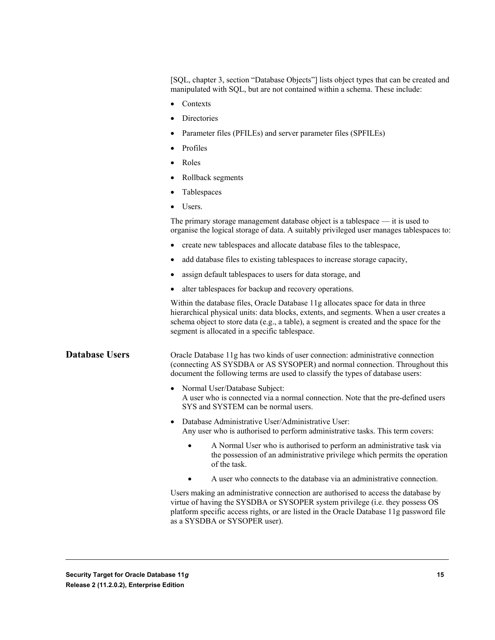[SQL, chapter 3, section "Database Objects"] lists object types that can be created and manipulated with SQL, but are not contained within a schema. These include:

- Contexts
- Directories
- Parameter files (PFILEs) and server parameter files (SPFILEs)
- Profiles
- Roles
- Rollback segments
- Tablespaces
- Users.

The primary storage management database object is a tablespace — it is used to organise the logical storage of data. A suitably privileged user manages tablespaces to:

- create new tablespaces and allocate database files to the tablespace,
- add database files to existing tablespaces to increase storage capacity,
- assign default tablespaces to users for data storage, and
- alter tablespaces for backup and recovery operations.

Within the database files, Oracle Database 11g allocates space for data in three hierarchical physical units: data blocks, extents, and segments. When a user creates a schema object to store data (e.g., a table), a segment is created and the space for the segment is allocated in a specific tablespace.

**Database Users**

Oracle Database 11g has two kinds of user connection: administrative connection (connecting AS SYSDBA or AS SYSOPER) and normal connection. Throughout this document the following terms are used to classify the types of database users:

- Normal User/Database Subject: A user who is connected via a normal connection. Note that the pre-defined users SYS and SYSTEM can be normal users.
- Database Administrative User/Administrative User: Any user who is authorised to perform administrative tasks. This term covers:
	- A Normal User who is authorised to perform an administrative task via the possession of an administrative privilege which permits the operation of the task.
	- A user who connects to the database via an administrative connection.

Users making an administrative connection are authorised to access the database by virtue of having the SYSDBA or SYSOPER system privilege (i.e. they possess OS platform specific access rights, or are listed in the Oracle Database 11g password file as a SYSDBA or SYSOPER user).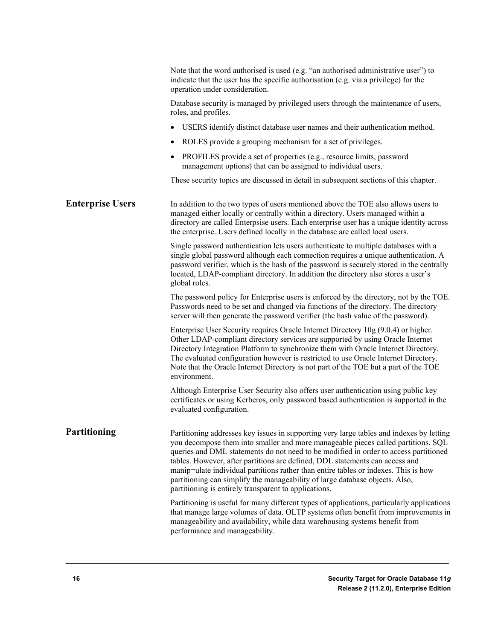|                         | Note that the word authorised is used (e.g. "an authorised administrative user") to<br>indicate that the user has the specific authorisation (e.g. via a privilege) for the<br>operation under consideration.                                                                                                                                                                                                                                                                                                                                                                         |
|-------------------------|---------------------------------------------------------------------------------------------------------------------------------------------------------------------------------------------------------------------------------------------------------------------------------------------------------------------------------------------------------------------------------------------------------------------------------------------------------------------------------------------------------------------------------------------------------------------------------------|
|                         | Database security is managed by privileged users through the maintenance of users,<br>roles, and profiles.                                                                                                                                                                                                                                                                                                                                                                                                                                                                            |
|                         | USERS identify distinct database user names and their authentication method.                                                                                                                                                                                                                                                                                                                                                                                                                                                                                                          |
|                         | ROLES provide a grouping mechanism for a set of privileges.                                                                                                                                                                                                                                                                                                                                                                                                                                                                                                                           |
|                         | PROFILES provide a set of properties (e.g., resource limits, password<br>management options) that can be assigned to individual users.                                                                                                                                                                                                                                                                                                                                                                                                                                                |
|                         | These security topics are discussed in detail in subsequent sections of this chapter.                                                                                                                                                                                                                                                                                                                                                                                                                                                                                                 |
| <b>Enterprise Users</b> | In addition to the two types of users mentioned above the TOE also allows users to<br>managed either locally or centrally within a directory. Users managed within a<br>directory are called Enterpsise users. Each enterprise user has a unique identity across<br>the enterprise. Users defined locally in the database are called local users.                                                                                                                                                                                                                                     |
|                         | Single password authentication lets users authenticate to multiple databases with a<br>single global password although each connection requires a unique authentication. A<br>password verifier, which is the hash of the password is securely stored in the centrally<br>located, LDAP-compliant directory. In addition the directory also stores a user's<br>global roles.                                                                                                                                                                                                          |
|                         | The password policy for Enterprise users is enforced by the directory, not by the TOE.<br>Passwords need to be set and changed via functions of the directory. The directory<br>server will then generate the password verifier (the hash value of the password).                                                                                                                                                                                                                                                                                                                     |
|                         | Enterprise User Security requires Oracle Internet Directory 10g (9.0.4) or higher.<br>Other LDAP-compliant directory services are supported by using Oracle Internet<br>Directory Integration Platform to synchronize them with Oracle Internet Directory.<br>The evaluated configuration however is restricted to use Oracle Internet Directory.<br>Note that the Oracle Internet Directory is not part of the TOE but a part of the TOE<br>environment.                                                                                                                             |
|                         | Although Enterprise User Security also offers user authentication using public key<br>certificates or using Kerberos, only password based authentication is supported in the<br>evaluated configuration.                                                                                                                                                                                                                                                                                                                                                                              |
| <b>Partitioning</b>     | Partitioning addresses key issues in supporting very large tables and indexes by letting<br>you decompose them into smaller and more manageable pieces called partitions. SQL<br>queries and DML statements do not need to be modified in order to access partitioned<br>tables. However, after partitions are defined, DDL statements can access and<br>manip-ulate individual partitions rather than entire tables or indexes. This is how<br>partitioning can simplify the manageability of large database objects. Also,<br>partitioning is entirely transparent to applications. |
|                         | Partitioning is useful for many different types of applications, particularly applications<br>that manage large volumes of data. OLTP systems often benefit from improvements in<br>manageability and availability, while data warehousing systems benefit from<br>performance and manageability.                                                                                                                                                                                                                                                                                     |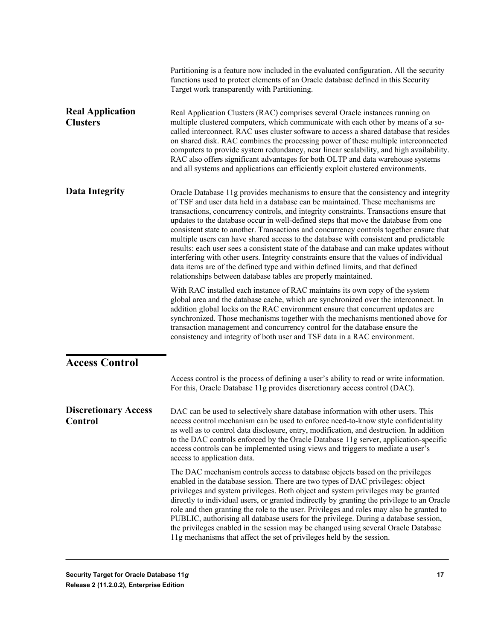<span id="page-16-0"></span>

|                                               | Partitioning is a feature now included in the evaluated configuration. All the security<br>functions used to protect elements of an Oracle database defined in this Security<br>Target work transparently with Partitioning.                                                                                                                                                                                                                                                                                                                                                                                                                                                                                                                                                                                                                                                             |
|-----------------------------------------------|------------------------------------------------------------------------------------------------------------------------------------------------------------------------------------------------------------------------------------------------------------------------------------------------------------------------------------------------------------------------------------------------------------------------------------------------------------------------------------------------------------------------------------------------------------------------------------------------------------------------------------------------------------------------------------------------------------------------------------------------------------------------------------------------------------------------------------------------------------------------------------------|
| <b>Real Application</b><br><b>Clusters</b>    | Real Application Clusters (RAC) comprises several Oracle instances running on<br>multiple clustered computers, which communicate with each other by means of a so-<br>called interconnect. RAC uses cluster software to access a shared database that resides<br>on shared disk. RAC combines the processing power of these multiple interconnected<br>computers to provide system redundancy, near linear scalability, and high availability.<br>RAC also offers significant advantages for both OLTP and data warehouse systems<br>and all systems and applications can efficiently exploit clustered environments.                                                                                                                                                                                                                                                                    |
| <b>Data Integrity</b>                         | Oracle Database 11g provides mechanisms to ensure that the consistency and integrity<br>of TSF and user data held in a database can be maintained. These mechanisms are<br>transactions, concurrency controls, and integrity constraints. Transactions ensure that<br>updates to the database occur in well-defined steps that move the database from one<br>consistent state to another. Transactions and concurrency controls together ensure that<br>multiple users can have shared access to the database with consistent and predictable<br>results: each user sees a consistent state of the database and can make updates without<br>interfering with other users. Integrity constraints ensure that the values of individual<br>data items are of the defined type and within defined limits, and that defined<br>relationships between database tables are properly maintained. |
|                                               | With RAC installed each instance of RAC maintains its own copy of the system<br>global area and the database cache, which are synchronized over the interconnect. In<br>addition global locks on the RAC environment ensure that concurrent updates are<br>synchronized. Those mechanisms together with the mechanisms mentioned above for<br>transaction management and concurrency control for the database ensure the<br>consistency and integrity of both user and TSF data in a RAC environment.                                                                                                                                                                                                                                                                                                                                                                                    |
| <b>Access Control</b>                         |                                                                                                                                                                                                                                                                                                                                                                                                                                                                                                                                                                                                                                                                                                                                                                                                                                                                                          |
|                                               | Access control is the process of defining a user's ability to read or write information.<br>For this, Oracle Database 11g provides discretionary access control (DAC).                                                                                                                                                                                                                                                                                                                                                                                                                                                                                                                                                                                                                                                                                                                   |
| <b>Discretionary Access</b><br><b>Control</b> | DAC can be used to selectively share database information with other users. This<br>access control mechanism can be used to enforce need-to-know style confidentiality<br>as well as to control data disclosure, entry, modification, and destruction. In addition<br>to the DAC controls enforced by the Oracle Database 11g server, application-specific<br>access controls can be implemented using views and triggers to mediate a user's<br>access to application data.                                                                                                                                                                                                                                                                                                                                                                                                             |
|                                               | The DAC mechanism controls access to database objects based on the privileges<br>enabled in the database session. There are two types of DAC privileges: object<br>privileges and system privileges. Both object and system privileges may be granted<br>directly to individual users, or granted indirectly by granting the privilege to an Oracle<br>role and then granting the role to the user. Privileges and roles may also be granted to<br>PUBLIC, authorising all database users for the privilege. During a database session,<br>the privileges enabled in the session may be changed using several Oracle Database<br>11g mechanisms that affect the set of privileges held by the session.                                                                                                                                                                                   |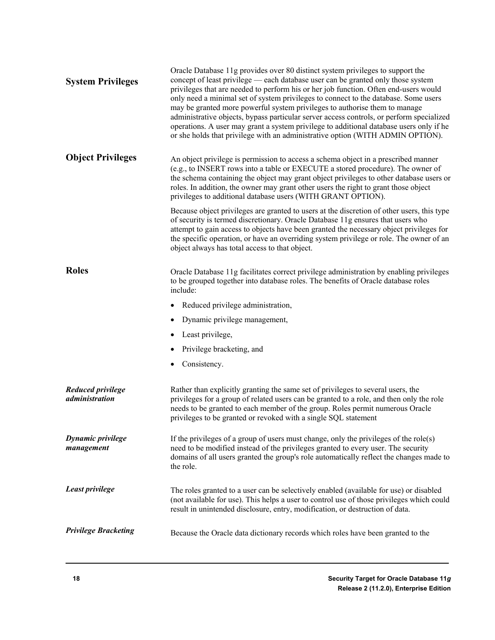| <b>System Privileges</b>               | Oracle Database 11g provides over 80 distinct system privileges to support the<br>concept of least privilege — each database user can be granted only those system<br>privileges that are needed to perform his or her job function. Often end-users would<br>only need a minimal set of system privileges to connect to the database. Some users<br>may be granted more powerful system privileges to authorise them to manage<br>administrative objects, bypass particular server access controls, or perform specialized<br>operations. A user may grant a system privilege to additional database users only if he<br>or she holds that privilege with an administrative option (WITH ADMIN OPTION). |
|----------------------------------------|----------------------------------------------------------------------------------------------------------------------------------------------------------------------------------------------------------------------------------------------------------------------------------------------------------------------------------------------------------------------------------------------------------------------------------------------------------------------------------------------------------------------------------------------------------------------------------------------------------------------------------------------------------------------------------------------------------|
| <b>Object Privileges</b>               | An object privilege is permission to access a schema object in a prescribed manner<br>(e.g., to INSERT rows into a table or EXECUTE a stored procedure). The owner of<br>the schema containing the object may grant object privileges to other database users or<br>roles. In addition, the owner may grant other users the right to grant those object<br>privileges to additional database users (WITH GRANT OPTION).                                                                                                                                                                                                                                                                                  |
|                                        | Because object privileges are granted to users at the discretion of other users, this type<br>of security is termed discretionary. Oracle Database 11g ensures that users who<br>attempt to gain access to objects have been granted the necessary object privileges for<br>the specific operation, or have an overriding system privilege or role. The owner of an<br>object always has total access to that object.                                                                                                                                                                                                                                                                                    |
| <b>Roles</b>                           | Oracle Database 11g facilitates correct privilege administration by enabling privileges<br>to be grouped together into database roles. The benefits of Oracle database roles<br>include:                                                                                                                                                                                                                                                                                                                                                                                                                                                                                                                 |
|                                        | Reduced privilege administration,                                                                                                                                                                                                                                                                                                                                                                                                                                                                                                                                                                                                                                                                        |
|                                        | Dynamic privilege management,                                                                                                                                                                                                                                                                                                                                                                                                                                                                                                                                                                                                                                                                            |
|                                        | Least privilege,                                                                                                                                                                                                                                                                                                                                                                                                                                                                                                                                                                                                                                                                                         |
|                                        | Privilege bracketing, and                                                                                                                                                                                                                                                                                                                                                                                                                                                                                                                                                                                                                                                                                |
|                                        | Consistency.                                                                                                                                                                                                                                                                                                                                                                                                                                                                                                                                                                                                                                                                                             |
| Reduced privilege<br>administration    | Rather than explicitly granting the same set of privileges to several users, the<br>privileges for a group of related users can be granted to a role, and then only the role<br>needs to be granted to each member of the group. Roles permit numerous Oracle<br>privileges to be granted or revoked with a single SQL statement                                                                                                                                                                                                                                                                                                                                                                         |
| <b>Dynamic privilege</b><br>management | If the privileges of a group of users must change, only the privileges of the role(s)<br>need to be modified instead of the privileges granted to every user. The security<br>domains of all users granted the group's role automatically reflect the changes made to<br>the role.                                                                                                                                                                                                                                                                                                                                                                                                                       |
| Least privilege                        | The roles granted to a user can be selectively enabled (available for use) or disabled<br>(not available for use). This helps a user to control use of those privileges which could<br>result in unintended disclosure, entry, modification, or destruction of data.                                                                                                                                                                                                                                                                                                                                                                                                                                     |
| <b>Privilege Bracketing</b>            | Because the Oracle data dictionary records which roles have been granted to the                                                                                                                                                                                                                                                                                                                                                                                                                                                                                                                                                                                                                          |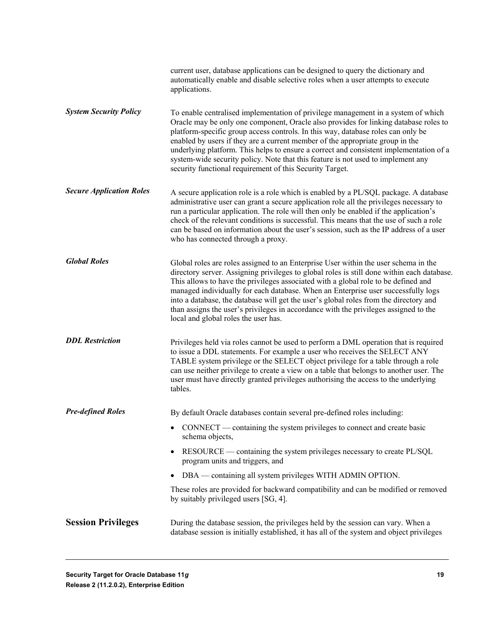|                                 | current user, database applications can be designed to query the dictionary and<br>automatically enable and disable selective roles when a user attempts to execute<br>applications.                                                                                                                                                                                                                                                                                                                                                                                                     |
|---------------------------------|------------------------------------------------------------------------------------------------------------------------------------------------------------------------------------------------------------------------------------------------------------------------------------------------------------------------------------------------------------------------------------------------------------------------------------------------------------------------------------------------------------------------------------------------------------------------------------------|
| <b>System Security Policy</b>   | To enable centralised implementation of privilege management in a system of which<br>Oracle may be only one component, Oracle also provides for linking database roles to<br>platform-specific group access controls. In this way, database roles can only be<br>enabled by users if they are a current member of the appropriate group in the<br>underlying platform. This helps to ensure a correct and consistent implementation of a<br>system-wide security policy. Note that this feature is not used to implement any<br>security functional requirement of this Security Target. |
| <b>Secure Application Roles</b> | A secure application role is a role which is enabled by a PL/SQL package. A database<br>administrative user can grant a secure application role all the privileges necessary to<br>run a particular application. The role will then only be enabled if the application's<br>check of the relevant conditions is successful. This means that the use of such a role<br>can be based on information about the user's session, such as the IP address of a user<br>who has connected through a proxy.                                                                                       |
| <b>Global Roles</b>             | Global roles are roles assigned to an Enterprise User within the user schema in the<br>directory server. Assigning privileges to global roles is still done within each database.<br>This allows to have the privileges associated with a global role to be defined and<br>managed individually for each database. When an Enterprise user successfully logs<br>into a database, the database will get the user's global roles from the directory and<br>than assigns the user's privileges in accordance with the privileges assigned to the<br>local and global roles the user has.    |
| <b>DDL</b> Restriction          | Privileges held via roles cannot be used to perform a DML operation that is required<br>to issue a DDL statements. For example a user who receives the SELECT ANY<br>TABLE system privilege or the SELECT object privilege for a table through a role<br>can use neither privilege to create a view on a table that belongs to another user. The<br>user must have directly granted privileges authorising the access to the underlying<br>tables.                                                                                                                                       |
| <b>Pre-defined Roles</b>        | By default Oracle databases contain several pre-defined roles including:                                                                                                                                                                                                                                                                                                                                                                                                                                                                                                                 |
|                                 | • CONNECT — containing the system privileges to connect and create basic<br>schema objects,                                                                                                                                                                                                                                                                                                                                                                                                                                                                                              |
|                                 | RESOURCE — containing the system privileges necessary to create PL/SQL<br>program units and triggers, and                                                                                                                                                                                                                                                                                                                                                                                                                                                                                |
|                                 | DBA — containing all system privileges WITH ADMIN OPTION.<br>$\bullet$                                                                                                                                                                                                                                                                                                                                                                                                                                                                                                                   |
|                                 | These roles are provided for backward compatibility and can be modified or removed<br>by suitably privileged users [SG, 4].                                                                                                                                                                                                                                                                                                                                                                                                                                                              |
| <b>Session Privileges</b>       | During the database session, the privileges held by the session can vary. When a<br>database session is initially established, it has all of the system and object privileges                                                                                                                                                                                                                                                                                                                                                                                                            |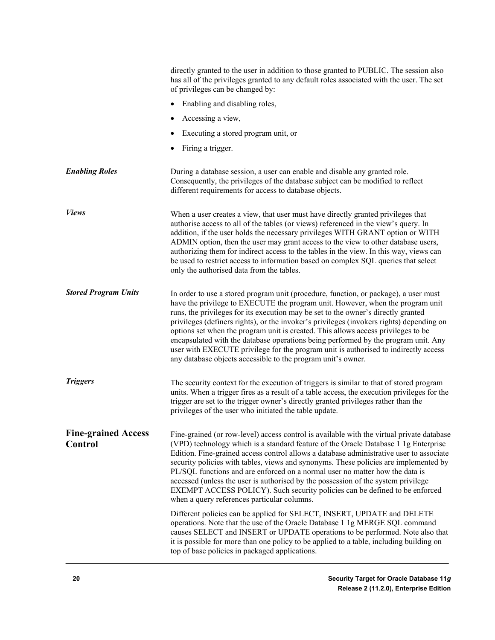|                                       | directly granted to the user in addition to those granted to PUBLIC. The session also<br>has all of the privileges granted to any default roles associated with the user. The set<br>of privileges can be changed by:                                                                                                                                                                                                                                                                                                                                                                                                                                                                     |
|---------------------------------------|-------------------------------------------------------------------------------------------------------------------------------------------------------------------------------------------------------------------------------------------------------------------------------------------------------------------------------------------------------------------------------------------------------------------------------------------------------------------------------------------------------------------------------------------------------------------------------------------------------------------------------------------------------------------------------------------|
|                                       | Enabling and disabling roles,                                                                                                                                                                                                                                                                                                                                                                                                                                                                                                                                                                                                                                                             |
|                                       | Accessing a view,                                                                                                                                                                                                                                                                                                                                                                                                                                                                                                                                                                                                                                                                         |
|                                       | Executing a stored program unit, or                                                                                                                                                                                                                                                                                                                                                                                                                                                                                                                                                                                                                                                       |
|                                       | Firing a trigger.                                                                                                                                                                                                                                                                                                                                                                                                                                                                                                                                                                                                                                                                         |
| <b>Enabling Roles</b>                 | During a database session, a user can enable and disable any granted role.<br>Consequently, the privileges of the database subject can be modified to reflect<br>different requirements for access to database objects.                                                                                                                                                                                                                                                                                                                                                                                                                                                                   |
| <b>Views</b>                          | When a user creates a view, that user must have directly granted privileges that<br>authorise access to all of the tables (or views) referenced in the view's query. In<br>addition, if the user holds the necessary privileges WITH GRANT option or WITH<br>ADMIN option, then the user may grant access to the view to other database users,<br>authorizing them for indirect access to the tables in the view. In this way, views can<br>be used to restrict access to information based on complex SQL queries that select<br>only the authorised data from the tables.                                                                                                               |
| <b>Stored Program Units</b>           | In order to use a stored program unit (procedure, function, or package), a user must<br>have the privilege to EXECUTE the program unit. However, when the program unit<br>runs, the privileges for its execution may be set to the owner's directly granted<br>privileges (definers rights), or the invoker's privileges (invokers rights) depending on<br>options set when the program unit is created. This allows access privileges to be<br>encapsulated with the database operations being performed by the program unit. Any<br>user with EXECUTE privilege for the program unit is authorised to indirectly access<br>any database objects accessible to the program unit's owner. |
| <b>Triggers</b>                       | The security context for the execution of triggers is similar to that of stored program<br>units. When a trigger fires as a result of a table access, the execution privileges for the<br>trigger are set to the trigger owner's directly granted privileges rather than the<br>privileges of the user who initiated the table update.                                                                                                                                                                                                                                                                                                                                                    |
| <b>Fine-grained Access</b><br>Control | Fine-grained (or row-level) access control is available with the virtual private database<br>(VPD) technology which is a standard feature of the Oracle Database 1 1g Enterprise<br>Edition. Fine-grained access control allows a database administrative user to associate<br>security policies with tables, views and synonyms. These policies are implemented by<br>PL/SQL functions and are enforced on a normal user no matter how the data is<br>accessed (unless the user is authorised by the possession of the system privilege<br>EXEMPT ACCESS POLICY). Such security policies can be defined to be enforced<br>when a query references particular columns.                    |
|                                       | Different policies can be applied for SELECT, INSERT, UPDATE and DELETE<br>operations. Note that the use of the Oracle Database 1 1g MERGE SQL command<br>causes SELECT and INSERT or UPDATE operations to be performed. Note also that<br>it is possible for more than one policy to be applied to a table, including building on<br>top of base policies in packaged applications.                                                                                                                                                                                                                                                                                                      |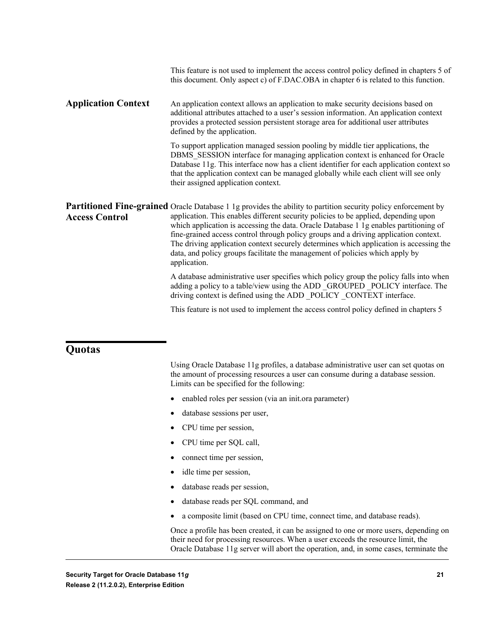|                            | This feature is not used to implement the access control policy defined in chapters 5 of<br>this document. Only aspect c) of F.DAC.OBA in chapter 6 is related to this function.                                                                                                                                                                                                                                                                                                                                                                                                        |
|----------------------------|-----------------------------------------------------------------------------------------------------------------------------------------------------------------------------------------------------------------------------------------------------------------------------------------------------------------------------------------------------------------------------------------------------------------------------------------------------------------------------------------------------------------------------------------------------------------------------------------|
| <b>Application Context</b> | An application context allows an application to make security decisions based on<br>additional attributes attached to a user's session information. An application context<br>provides a protected session persistent storage area for additional user attributes<br>defined by the application.                                                                                                                                                                                                                                                                                        |
|                            | To support application managed session pooling by middle tier applications, the<br>DBMS SESSION interface for managing application context is enhanced for Oracle<br>Database 11g. This interface now has a client identifier for each application context so<br>that the application context can be managed globally while each client will see only<br>their assigned application context.                                                                                                                                                                                            |
| <b>Access Control</b>      | <b>Partitioned Fine-grained</b> Oracle Database 1 1g provides the ability to partition security policy enforcement by<br>application. This enables different security policies to be applied, depending upon<br>which application is accessing the data. Oracle Database 1 1g enables partitioning of<br>fine-grained access control through policy groups and a driving application context.<br>The driving application context securely determines which application is accessing the<br>data, and policy groups facilitate the management of policies which apply by<br>application. |
|                            | A database administrative user specifies which policy group the policy falls into when<br>adding a policy to a table/view using the ADD GROUPED POLICY interface. The<br>driving context is defined using the ADD _POLICY _CONTEXT interface.                                                                                                                                                                                                                                                                                                                                           |
|                            | This feature is not used to implement the access control policy defined in chapters 5                                                                                                                                                                                                                                                                                                                                                                                                                                                                                                   |

#### <span id="page-20-0"></span>**Quotas**

Using Oracle Database 11g profiles, a database administrative user can set quotas on the amount of processing resources a user can consume during a database session. Limits can be specified for the following:

- enabled roles per session (via an init.ora parameter)
- database sessions per user,
- CPU time per session,
- CPU time per SQL call,
- connect time per session,
- idle time per session,
- database reads per session,
- database reads per SQL command, and
- a composite limit (based on CPU time, connect time, and database reads).

Once a profile has been created, it can be assigned to one or more users, depending on their need for processing resources. When a user exceeds the resource limit, the Oracle Database 11g server will abort the operation, and, in some cases, terminate the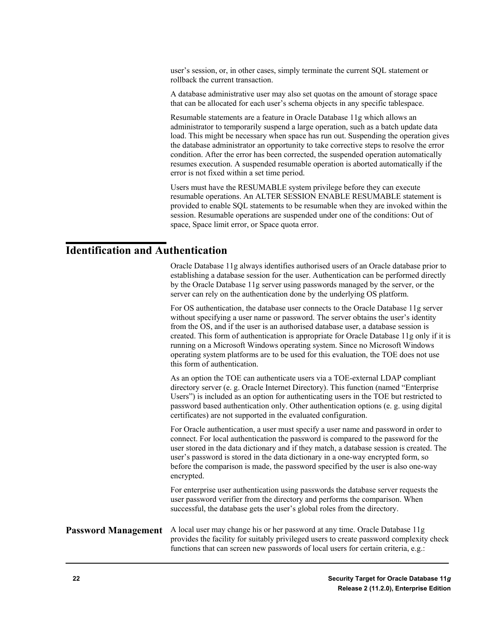user's session, or, in other cases, simply terminate the current SQL statement or rollback the current transaction.

A database administrative user may also set quotas on the amount of storage space that can be allocated for each user's schema objects in any specific tablespace.

Resumable statements are a feature in Oracle Database 11g which allows an administrator to temporarily suspend a large operation, such as a batch update data load. This might be necessary when space has run out. Suspending the operation gives the database administrator an opportunity to take corrective steps to resolve the error condition. After the error has been corrected, the suspended operation automatically resumes execution. A suspended resumable operation is aborted automatically if the error is not fixed within a set time period.

Users must have the RESUMABLE system privilege before they can execute resumable operations. An ALTER SESSION ENABLE RESUMABLE statement is provided to enable SQL statements to be resumable when they are invoked within the session. Resumable operations are suspended under one of the conditions: Out of space, Space limit error, or Space quota error.

#### <span id="page-21-0"></span>**Identification and Authentication**

Oracle Database 11g always identifies authorised users of an Oracle database prior to establishing a database session for the user. Authentication can be performed directly by the Oracle Database 11g server using passwords managed by the server, or the server can rely on the authentication done by the underlying OS platform.

For OS authentication, the database user connects to the Oracle Database 11g server without specifying a user name or password. The server obtains the user's identity from the OS, and if the user is an authorised database user, a database session is created. This form of authentication is appropriate for Oracle Database 11g only if it is running on a Microsoft Windows operating system. Since no Microsoft Windows operating system platforms are to be used for this evaluation, the TOE does not use this form of authentication.

As an option the TOE can authenticate users via a TOE-external LDAP compliant directory server (e. g. Oracle Internet Directory). This function (named "Enterprise Users") is included as an option for authenticating users in the TOE but restricted to password based authentication only. Other authentication options (e. g. using digital certificates) are not supported in the evaluated configuration.

For Oracle authentication, a user must specify a user name and password in order to connect. For local authentication the password is compared to the password for the user stored in the data dictionary and if they match, a database session is created. The user's password is stored in the data dictionary in a one-way encrypted form, so before the comparison is made, the password specified by the user is also one-way encrypted.

For enterprise user authentication using passwords the database server requests the user password verifier from the directory and performs the comparison. When successful, the database gets the user's global roles from the directory.

#### A local user may change his or her password at any time. Oracle Database 11g provides the facility for suitably privileged users to create password complexity check functions that can screen new passwords of local users for certain criteria, e.g.: **Password Management**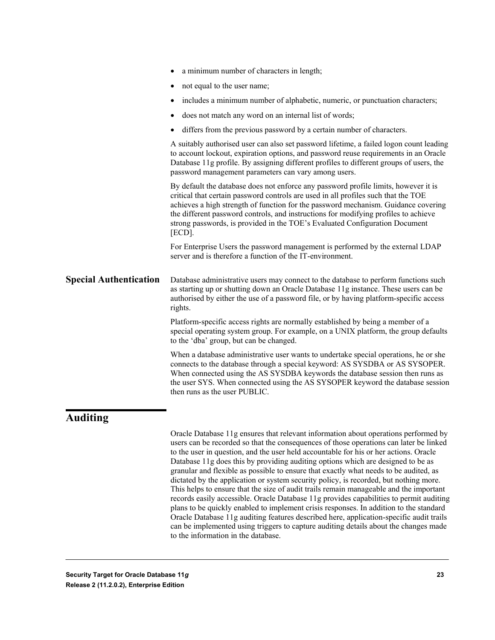|                               | a minimum number of characters in length;                                                                                                                                                                                                                                                                                                                                                                                                          |
|-------------------------------|----------------------------------------------------------------------------------------------------------------------------------------------------------------------------------------------------------------------------------------------------------------------------------------------------------------------------------------------------------------------------------------------------------------------------------------------------|
|                               | not equal to the user name;<br>٠                                                                                                                                                                                                                                                                                                                                                                                                                   |
|                               | includes a minimum number of alphabetic, numeric, or punctuation characters;<br>٠                                                                                                                                                                                                                                                                                                                                                                  |
|                               | does not match any word on an internal list of words;<br>$\bullet$                                                                                                                                                                                                                                                                                                                                                                                 |
|                               | differs from the previous password by a certain number of characters.<br>٠                                                                                                                                                                                                                                                                                                                                                                         |
|                               | A suitably authorised user can also set password lifetime, a failed logon count leading<br>to account lockout, expiration options, and password reuse requirements in an Oracle<br>Database 11g profile. By assigning different profiles to different groups of users, the<br>password management parameters can vary among users.                                                                                                                 |
|                               | By default the database does not enforce any password profile limits, however it is<br>critical that certain password controls are used in all profiles such that the TOE<br>achieves a high strength of function for the password mechanism. Guidance covering<br>the different password controls, and instructions for modifying profiles to achieve<br>strong passwords, is provided in the TOE's Evaluated Configuration Document<br>$[ECD]$ . |
|                               | For Enterprise Users the password management is performed by the external LDAP<br>server and is therefore a function of the IT-environment.                                                                                                                                                                                                                                                                                                        |
| <b>Special Authentication</b> | Database administrative users may connect to the database to perform functions such<br>as starting up or shutting down an Oracle Database 11g instance. These users can be<br>authorised by either the use of a password file, or by having platform-specific access<br>rights.                                                                                                                                                                    |
|                               | Platform-specific access rights are normally established by being a member of a<br>special operating system group. For example, on a UNIX platform, the group defaults<br>to the 'dba' group, but can be changed.                                                                                                                                                                                                                                  |
|                               | When a database administrative user wants to undertake special operations, he or she<br>connects to the database through a special keyword: AS SYSDBA or AS SYSOPER.<br>When connected using the AS SYSDBA keywords the database session then runs as<br>the user SYS. When connected using the AS SYSOPER keyword the database session<br>then runs as the user PUBLIC.                                                                           |
|                               |                                                                                                                                                                                                                                                                                                                                                                                                                                                    |

#### <span id="page-22-0"></span>**Auditing**

Oracle Database 11g ensures that relevant information about operations performed by users can be recorded so that the consequences of those operations can later be linked to the user in question, and the user held accountable for his or her actions. Oracle Database 11g does this by providing auditing options which are designed to be as granular and flexible as possible to ensure that exactly what needs to be audited, as dictated by the application or system security policy, is recorded, but nothing more. This helps to ensure that the size of audit trails remain manageable and the important records easily accessible. Oracle Database 11g provides capabilities to permit auditing plans to be quickly enabled to implement crisis responses. In addition to the standard Oracle Database 11g auditing features described here, application-specific audit trails can be implemented using triggers to capture auditing details about the changes made to the information in the database.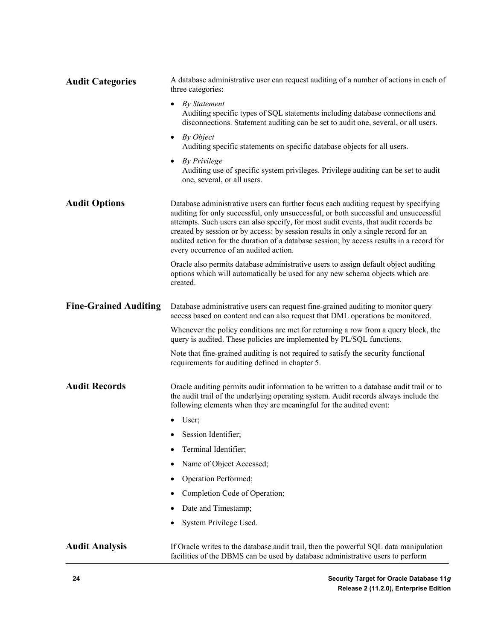| <b>Audit Categories</b>      | A database administrative user can request auditing of a number of actions in each of<br>three categories:                                                                                                                                                                                                                                                                                                                                                                                     |
|------------------------------|------------------------------------------------------------------------------------------------------------------------------------------------------------------------------------------------------------------------------------------------------------------------------------------------------------------------------------------------------------------------------------------------------------------------------------------------------------------------------------------------|
|                              | By Statement<br>$\bullet$<br>Auditing specific types of SQL statements including database connections and<br>disconnections. Statement auditing can be set to audit one, several, or all users.                                                                                                                                                                                                                                                                                                |
|                              | $\bullet$ By Object<br>Auditing specific statements on specific database objects for all users.                                                                                                                                                                                                                                                                                                                                                                                                |
|                              | <b>By Privilege</b><br>$\bullet$<br>Auditing use of specific system privileges. Privilege auditing can be set to audit<br>one, several, or all users.                                                                                                                                                                                                                                                                                                                                          |
| <b>Audit Options</b>         | Database administrative users can further focus each auditing request by specifying<br>auditing for only successful, only unsuccessful, or both successful and unsuccessful<br>attempts. Such users can also specify, for most audit events, that audit records be<br>created by session or by access: by session results in only a single record for an<br>audited action for the duration of a database session; by access results in a record for<br>every occurrence of an audited action. |
|                              | Oracle also permits database administrative users to assign default object auditing<br>options which will automatically be used for any new schema objects which are<br>created.                                                                                                                                                                                                                                                                                                               |
| <b>Fine-Grained Auditing</b> | Database administrative users can request fine-grained auditing to monitor query<br>access based on content and can also request that DML operations be monitored.                                                                                                                                                                                                                                                                                                                             |
|                              | Whenever the policy conditions are met for returning a row from a query block, the<br>query is audited. These policies are implemented by PL/SQL functions.                                                                                                                                                                                                                                                                                                                                    |
|                              | Note that fine-grained auditing is not required to satisfy the security functional<br>requirements for auditing defined in chapter 5.                                                                                                                                                                                                                                                                                                                                                          |
| <b>Audit Records</b>         | Oracle auditing permits audit information to be written to a database audit trail or to<br>the audit trail of the underlying operating system. Audit records always include the<br>following elements when they are meaningful for the audited event:                                                                                                                                                                                                                                          |
|                              | User;                                                                                                                                                                                                                                                                                                                                                                                                                                                                                          |
|                              | Session Identifier;                                                                                                                                                                                                                                                                                                                                                                                                                                                                            |
|                              | Terminal Identifier;                                                                                                                                                                                                                                                                                                                                                                                                                                                                           |
|                              | Name of Object Accessed;                                                                                                                                                                                                                                                                                                                                                                                                                                                                       |
|                              | Operation Performed;                                                                                                                                                                                                                                                                                                                                                                                                                                                                           |
|                              | Completion Code of Operation;                                                                                                                                                                                                                                                                                                                                                                                                                                                                  |
|                              | Date and Timestamp;                                                                                                                                                                                                                                                                                                                                                                                                                                                                            |
|                              | System Privilege Used.                                                                                                                                                                                                                                                                                                                                                                                                                                                                         |
| <b>Audit Analysis</b>        | If Oracle writes to the database audit trail, then the powerful SQL data manipulation<br>facilities of the DBMS can be used by database administrative users to perform                                                                                                                                                                                                                                                                                                                        |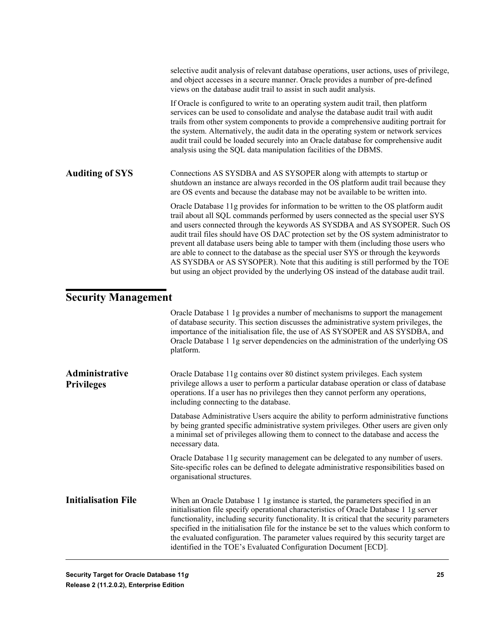|                        | selective audit analysis of relevant database operations, user actions, uses of privilege,<br>and object accesses in a secure manner. Oracle provides a number of pre-defined<br>views on the database audit trail to assist in such audit analysis.                                                                                                                                                                                                                                                                                                                                                                                                                                                        |
|------------------------|-------------------------------------------------------------------------------------------------------------------------------------------------------------------------------------------------------------------------------------------------------------------------------------------------------------------------------------------------------------------------------------------------------------------------------------------------------------------------------------------------------------------------------------------------------------------------------------------------------------------------------------------------------------------------------------------------------------|
|                        | If Oracle is configured to write to an operating system audit trail, then platform<br>services can be used to consolidate and analyse the database audit trail with audit<br>trails from other system components to provide a comprehensive auditing portrait for<br>the system. Alternatively, the audit data in the operating system or network services<br>audit trail could be loaded securely into an Oracle database for comprehensive audit<br>analysis using the SQL data manipulation facilities of the DBMS.                                                                                                                                                                                      |
| <b>Auditing of SYS</b> | Connections AS SYSDBA and AS SYSOPER along with attempts to startup or<br>shutdown an instance are always recorded in the OS platform audit trail because they<br>are OS events and because the database may not be available to be written into.                                                                                                                                                                                                                                                                                                                                                                                                                                                           |
|                        | Oracle Database 11g provides for information to be written to the OS platform audit<br>trail about all SQL commands performed by users connected as the special user SYS<br>and users connected through the keywords AS SYSDBA and AS SYSOPER. Such OS<br>audit trail files should have OS DAC protection set by the OS system administrator to<br>prevent all database users being able to tamper with them (including those users who<br>are able to connect to the database as the special user SYS or through the keywords<br>AS SYSDBA or AS SYSOPER). Note that this auditing is still performed by the TOE<br>but using an object provided by the underlying OS instead of the database audit trail. |

### <span id="page-24-0"></span>**Security Management**

|                                     | Oracle Database 1 1g provides a number of mechanisms to support the management<br>of database security. This section discusses the administrative system privileges, the<br>importance of the initialisation file, the use of AS SYSOPER and AS SYSOBA, and<br>Oracle Database 1 1g server dependencies on the administration of the underlying OS<br>platform.                                                                                                                                                                        |
|-------------------------------------|----------------------------------------------------------------------------------------------------------------------------------------------------------------------------------------------------------------------------------------------------------------------------------------------------------------------------------------------------------------------------------------------------------------------------------------------------------------------------------------------------------------------------------------|
| Administrative<br><b>Privileges</b> | Oracle Database 11g contains over 80 distinct system privileges. Each system<br>privilege allows a user to perform a particular database operation or class of database<br>operations. If a user has no privileges then they cannot perform any operations,<br>including connecting to the database.                                                                                                                                                                                                                                   |
|                                     | Database Administrative Users acquire the ability to perform administrative functions<br>by being granted specific administrative system privileges. Other users are given only<br>a minimal set of privileges allowing them to connect to the database and access the<br>necessary data.                                                                                                                                                                                                                                              |
|                                     | Oracle Database 11g security management can be delegated to any number of users.<br>Site-specific roles can be defined to delegate administrative responsibilities based on<br>organisational structures.                                                                                                                                                                                                                                                                                                                              |
| <b>Initialisation File</b>          | When an Oracle Database 1 1g instance is started, the parameters specified in an<br>initialisation file specify operational characteristics of Oracle Database 1 1g server<br>functionality, including security functionality. It is critical that the security parameters<br>specified in the initialisation file for the instance be set to the values which conform to<br>the evaluated configuration. The parameter values required by this security target are<br>identified in the TOE's Evaluated Configuration Document [ECD]. |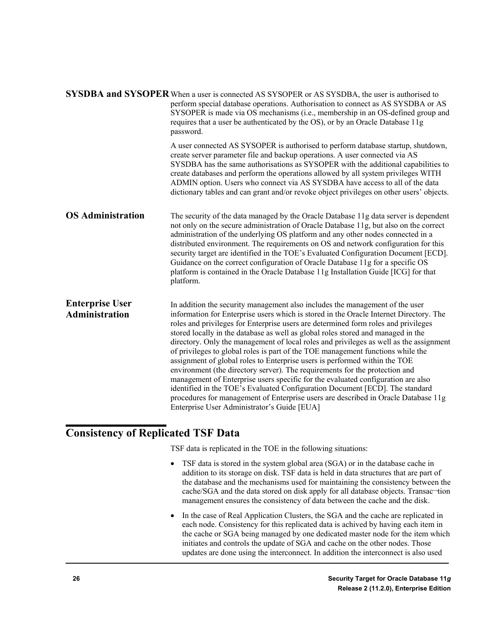|                                          | SYSDBA and SYSOPER When a user is connected AS SYSOPER or AS SYSDBA, the user is authorised to<br>perform special database operations. Authorisation to connect as AS SYSDBA or AS<br>SYSOPER is made via OS mechanisms (i.e., membership in an OS-defined group and<br>requires that a user be authenticated by the OS), or by an Oracle Database 11g<br>password.                                                                                                                                                                                                                                                                                                                                                                                                                                                                                                                                                                                                                                 |
|------------------------------------------|-----------------------------------------------------------------------------------------------------------------------------------------------------------------------------------------------------------------------------------------------------------------------------------------------------------------------------------------------------------------------------------------------------------------------------------------------------------------------------------------------------------------------------------------------------------------------------------------------------------------------------------------------------------------------------------------------------------------------------------------------------------------------------------------------------------------------------------------------------------------------------------------------------------------------------------------------------------------------------------------------------|
|                                          | A user connected AS SYSOPER is authorised to perform database startup, shutdown,<br>create server parameter file and backup operations. A user connected via AS<br>SYSDBA has the same authorisations as SYSOPER with the additional capabilities to<br>create databases and perform the operations allowed by all system privileges WITH<br>ADMIN option. Users who connect via AS SYSDBA have access to all of the data<br>dictionary tables and can grant and/or revoke object privileges on other users' objects.                                                                                                                                                                                                                                                                                                                                                                                                                                                                               |
| <b>OS Administration</b>                 | The security of the data managed by the Oracle Database 11g data server is dependent<br>not only on the secure administration of Oracle Database 11g, but also on the correct<br>administration of the underlying OS platform and any other nodes connected in a<br>distributed environment. The requirements on OS and network configuration for this<br>security target are identified in the TOE's Evaluated Configuration Document [ECD].<br>Guidance on the correct configuration of Oracle Database 11g for a specific OS<br>platform is contained in the Oracle Database 11g Installation Guide [ICG] for that<br>platform.                                                                                                                                                                                                                                                                                                                                                                  |
| <b>Enterprise User</b><br>Administration | In addition the security management also includes the management of the user<br>information for Enterprise users which is stored in the Oracle Internet Directory. The<br>roles and privileges for Enterprise users are determined form roles and privileges<br>stored locally in the database as well as global roles stored and managed in the<br>directory. Only the management of local roles and privileges as well as the assignment<br>of privileges to global roles is part of the TOE management functions while the<br>assignment of global roles to Enterprise users is performed within the TOE<br>environment (the directory server). The requirements for the protection and<br>management of Enterprise users specific for the evaluated configuration are also<br>identified in the TOE's Evaluated Configuration Document [ECD]. The standard<br>procedures for management of Enterprise users are described in Oracle Database 11g<br>Enterprise User Administrator's Guide [EUA] |

### <span id="page-25-0"></span>**Consistency of Replicated TSF Data**

TSF data is replicated in the TOE in the following situations:

- TSF data is stored in the system global area (SGA) or in the database cache in addition to its storage on disk. TSF data is held in data structures that are part of the database and the mechanisms used for maintaining the consistency between the cache/SGA and the data stored on disk apply for all database objects. Transac-tion management ensures the consistency of data between the cache and the disk.
- In the case of Real Application Clusters, the SGA and the cache are replicated in each node. Consistency for this replicated data is achived by having each item in the cache or SGA being managed by one dedicated master node for the item which initiates and controls the update of SGA and cache on the other nodes. Those updates are done using the interconnect. In addition the interconnect is also used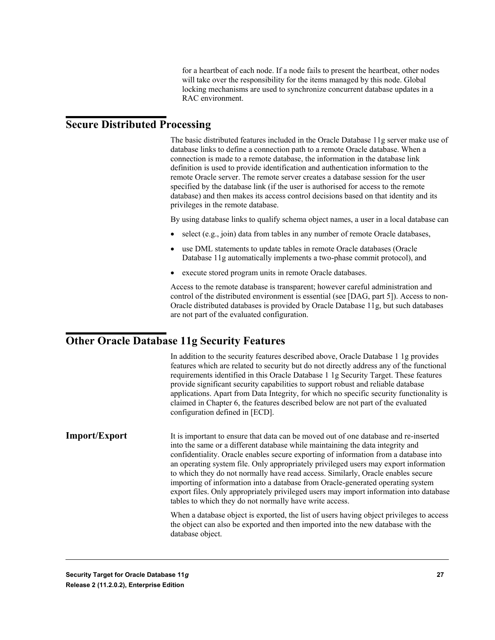for a heartbeat of each node. If a node fails to present the heartbeat, other nodes will take over the responsibility for the items managed by this node. Global locking mechanisms are used to synchronize concurrent database updates in a RAC environment.

#### <span id="page-26-0"></span>**Secure Distributed Processing**

The basic distributed features included in the Oracle Database 11g server make use of database links to define a connection path to a remote Oracle database. When a connection is made to a remote database, the information in the database link definition is used to provide identification and authentication information to the remote Oracle server. The remote server creates a database session for the user specified by the database link (if the user is authorised for access to the remote database) and then makes its access control decisions based on that identity and its privileges in the remote database.

By using database links to qualify schema object names, a user in a local database can

- select (e.g., join) data from tables in any number of remote Oracle databases,
- use DML statements to update tables in remote Oracle databases (Oracle Database 11g automatically implements a two-phase commit protocol), and
- execute stored program units in remote Oracle databases.

Access to the remote database is transparent; however careful administration and control of the distributed environment is essential (see [DAG, part 5]). Access to non-Oracle distributed databases is provided by Oracle Database 11g, but such databases are not part of the evaluated configuration.

#### <span id="page-26-1"></span>**Other Oracle Database 11g Security Features**

In addition to the security features described above, Oracle Database 1 1g provides features which are related to security but do not directly address any of the functional requirements identified in this Oracle Database 1 1g Security Target. These features provide significant security capabilities to support robust and reliable database applications. Apart from Data Integrity, for which no specific security functionality is claimed in Chapter 6, the features described below are not part of the evaluated configuration defined in [ECD].

It is important to ensure that data can be moved out of one database and re-inserted into the same or a different database while maintaining the data integrity and confidentiality. Oracle enables secure exporting of information from a database into an operating system file. Only appropriately privileged users may export information to which they do not normally have read access. Similarly, Oracle enables secure importing of information into a database from Oracle-generated operating system export files. Only appropriately privileged users may import information into database tables to which they do not normally have write access. **Import/Export**

> When a database object is exported, the list of users having object privileges to access the object can also be exported and then imported into the new database with the database object.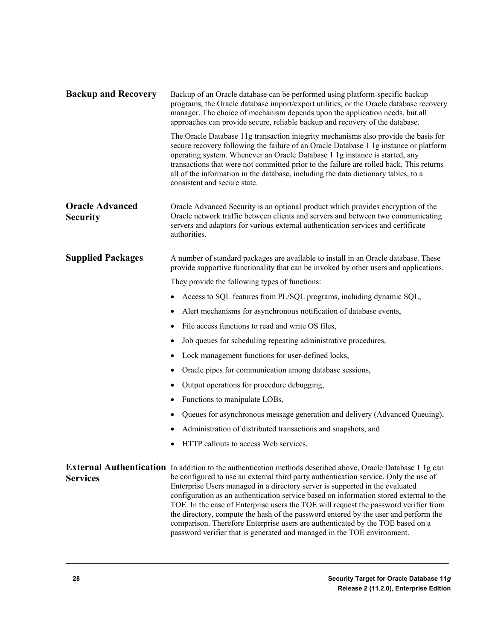| <b>Backup and Recovery</b>                | Backup of an Oracle database can be performed using platform-specific backup<br>programs, the Oracle database import/export utilities, or the Oracle database recovery<br>manager. The choice of mechanism depends upon the application needs, but all<br>approaches can provide secure, reliable backup and recovery of the database.                                                                                                                                                                                                                                                                                                                                                                                    |  |  |  |  |
|-------------------------------------------|---------------------------------------------------------------------------------------------------------------------------------------------------------------------------------------------------------------------------------------------------------------------------------------------------------------------------------------------------------------------------------------------------------------------------------------------------------------------------------------------------------------------------------------------------------------------------------------------------------------------------------------------------------------------------------------------------------------------------|--|--|--|--|
|                                           | The Oracle Database 11g transaction integrity mechanisms also provide the basis for<br>secure recovery following the failure of an Oracle Database 1 1g instance or platform<br>operating system. Whenever an Oracle Database 1 1g instance is started, any<br>transactions that were not committed prior to the failure are rolled back. This returns<br>all of the information in the database, including the data dictionary tables, to a<br>consistent and secure state.                                                                                                                                                                                                                                              |  |  |  |  |
| <b>Oracle Advanced</b><br><b>Security</b> | Oracle Advanced Security is an optional product which provides encryption of the<br>Oracle network traffic between clients and servers and between two communicating<br>servers and adaptors for various external authentication services and certificate<br>authorities.                                                                                                                                                                                                                                                                                                                                                                                                                                                 |  |  |  |  |
| <b>Supplied Packages</b>                  | A number of standard packages are available to install in an Oracle database. These<br>provide supportive functionality that can be invoked by other users and applications.                                                                                                                                                                                                                                                                                                                                                                                                                                                                                                                                              |  |  |  |  |
|                                           | They provide the following types of functions:                                                                                                                                                                                                                                                                                                                                                                                                                                                                                                                                                                                                                                                                            |  |  |  |  |
|                                           | Access to SQL features from PL/SQL programs, including dynamic SQL,                                                                                                                                                                                                                                                                                                                                                                                                                                                                                                                                                                                                                                                       |  |  |  |  |
|                                           | Alert mechanisms for asynchronous notification of database events,<br>$\bullet$                                                                                                                                                                                                                                                                                                                                                                                                                                                                                                                                                                                                                                           |  |  |  |  |
|                                           | File access functions to read and write OS files,<br>$\bullet$                                                                                                                                                                                                                                                                                                                                                                                                                                                                                                                                                                                                                                                            |  |  |  |  |
|                                           | Job queues for scheduling repeating administrative procedures,<br>٠                                                                                                                                                                                                                                                                                                                                                                                                                                                                                                                                                                                                                                                       |  |  |  |  |
|                                           | Lock management functions for user-defined locks,<br>٠                                                                                                                                                                                                                                                                                                                                                                                                                                                                                                                                                                                                                                                                    |  |  |  |  |
|                                           | Oracle pipes for communication among database sessions,<br>٠                                                                                                                                                                                                                                                                                                                                                                                                                                                                                                                                                                                                                                                              |  |  |  |  |
|                                           | Output operations for procedure debugging,                                                                                                                                                                                                                                                                                                                                                                                                                                                                                                                                                                                                                                                                                |  |  |  |  |
|                                           | Functions to manipulate LOBs,<br>٠                                                                                                                                                                                                                                                                                                                                                                                                                                                                                                                                                                                                                                                                                        |  |  |  |  |
|                                           | Queues for asynchronous message generation and delivery (Advanced Queuing),                                                                                                                                                                                                                                                                                                                                                                                                                                                                                                                                                                                                                                               |  |  |  |  |
|                                           | Administration of distributed transactions and snapshots, and                                                                                                                                                                                                                                                                                                                                                                                                                                                                                                                                                                                                                                                             |  |  |  |  |
|                                           | HTTP callouts to access Web services.                                                                                                                                                                                                                                                                                                                                                                                                                                                                                                                                                                                                                                                                                     |  |  |  |  |
| <b>Services</b>                           | External Authentication In addition to the authentication methods described above, Oracle Database 1 1g can<br>be configured to use an external third party authentication service. Only the use of<br>Enterprise Users managed in a directory server is supported in the evaluated<br>configuration as an authentication service based on information stored external to the<br>TOE. In the case of Enterprise users the TOE will request the password verifier from<br>the directory, compute the hash of the password entered by the user and perform the<br>comparison. Therefore Enterprise users are authenticated by the TOE based on a<br>password verifier that is generated and managed in the TOE environment. |  |  |  |  |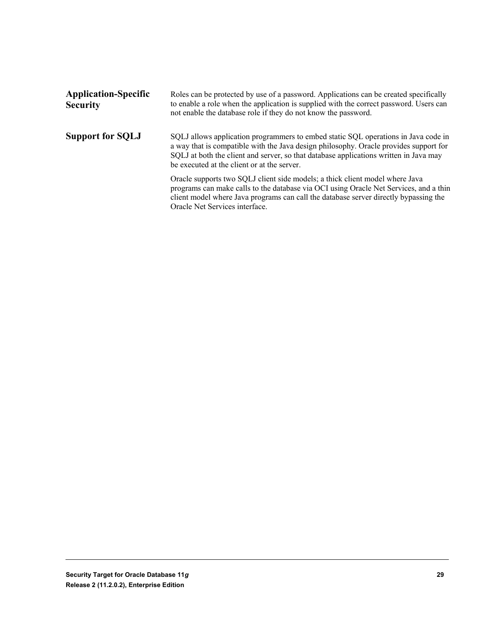| <b>Application-Specific</b><br><b>Security</b> | Roles can be protected by use of a password. Applications can be created specifically<br>to enable a role when the application is supplied with the correct password. Users can<br>not enable the database role if they do not know the password.                                                                   |  |  |
|------------------------------------------------|---------------------------------------------------------------------------------------------------------------------------------------------------------------------------------------------------------------------------------------------------------------------------------------------------------------------|--|--|
| <b>Support for SQLJ</b>                        | SQLJ allows application programmers to embed static SQL operations in Java code in<br>a way that is compatible with the Java design philosophy. Oracle provides support for<br>SQLJ at both the client and server, so that database applications written in Java may<br>be executed at the client or at the server. |  |  |
|                                                | Oracle supports two SQLJ client side models; a thick client model where Java<br>programs can make calls to the database via OCI using Oracle Net Services, and a thin<br>client model where Java programs can call the database server directly bypassing the<br>Oracle Net Services interface.                     |  |  |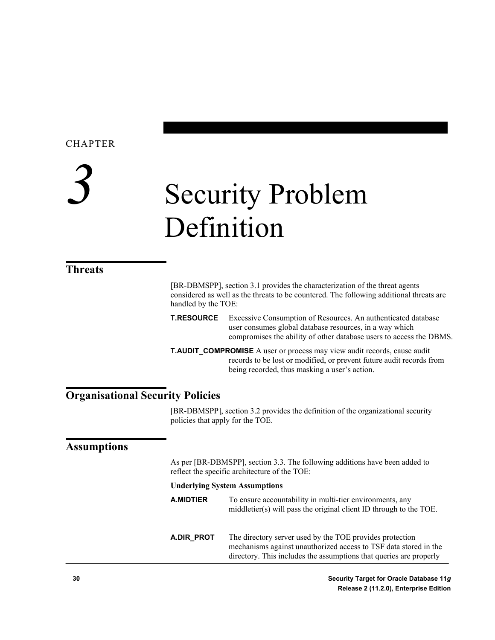# <span id="page-29-0"></span>*3* Security Problem Definition

#### <span id="page-29-1"></span>**Threats**

[BR-DBMSPP], section 3.1 provides the characterization of the threat agents considered as well as the threats to be countered. The following additional threats are handled by the TOE:

**T.RESOURCE** Excessive Consumption of Resources. An authenticated database user consumes global database resources, in a way which compromises the ability of other database users to access the DBMS.

**T.AUDIT\_COMPROMISE** A user or process may view audit records, cause audit records to be lost or modified, or prevent future audit records from being recorded, thus masking a user's action.

#### <span id="page-29-2"></span>**Organisational Security Policies**

[BR-DBMSPP], section 3.2 provides the definition of the organizational security policies that apply for the TOE.

#### <span id="page-29-3"></span>**Assumptions**

As per [BR-DBMSPP], section 3.3. The following additions have been added to reflect the specific architecture of the TOE:

#### **Underlying System Assumptions**

- **A.MIDTIER** To ensure accountability in multi-tier environments, any middletier(s) will pass the original client ID through to the TOE.
- **A.DIR\_PROT** The directory server used by the TOE provides protection mechanisms against unauthorized access to TSF data stored in the directory. This includes the assumptions that queries are properly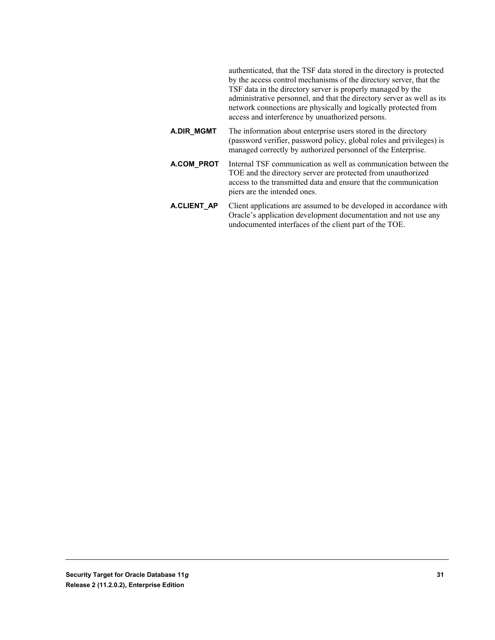authenticated, that the TSF data stored in the directory is protected by the access control mechanisms of the directory server, that the TSF data in the directory server is properly managed by the administrative personnel, and that the directory server as well as its network connections are physically and logically protected from access and interference by unuathorized persons.

- **A.DIR\_MGMT** The information about enterprise users stored in the directory (password verifier, password policy, global roles and privileges) is managed correctly by authorized personnel of the Enterprise.
- **A.COM\_PROT** Internal TSF communication as well as communication between the TOE and the directory server are protected from unauthorized access to the transmitted data and ensure that the communication piers are the intended ones.
- **A.CLIENT\_AP** Client applications are assumed to be developed in accordance with Oracle's application development documentation and not use any undocumented interfaces of the client part of the TOE.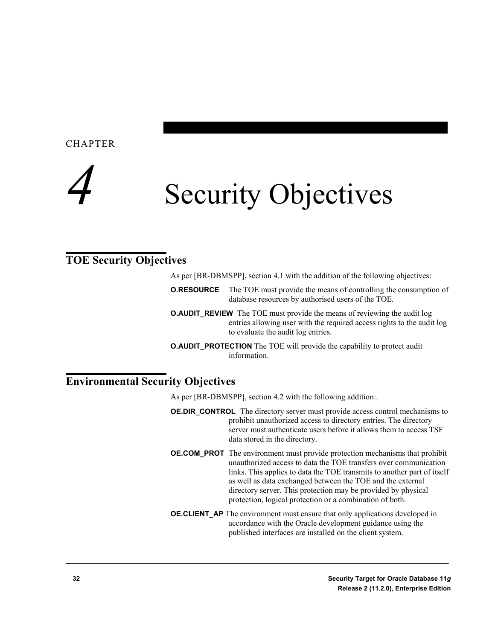<span id="page-31-0"></span>

#### <span id="page-31-1"></span>**TOE Security Objectives**

As per [BR-DBMSPP], section 4.1 with the addition of the following objectives:

- **O.RESOURCE** The TOE must provide the means of controlling the consumption of database resources by authorised users of the TOE.
- **O.AUDIT\_REVIEW** The TOE must provide the means of reviewing the audit log entries allowing user with the required access rights to the audit log to evaluate the audit log entries.
- **O.AUDIT\_PROTECTION** The TOE will provide the capability to protect audit information.

#### <span id="page-31-2"></span>**Environmental Security Objectives**

As per [BR-DBMSPP], section 4.2 with the following addition:.

- **OE.DIR CONTROL** The directory server must provide access control mechanisms to prohibit unauthorized access to directory entries. The directory server must authenticate users before it allows them to access TSF data stored in the directory.
- **OE.COM PROT** The environment must provide protection mechanisms that prohibit unauthorized access to data the TOE transfers over communication links. This applies to data the TOE transmits to another part of itself as well as data exchanged between the TOE and the external directory server. This protection may be provided by physical protection, logical protection or a combination of both.
- **OE.CLIENT AP** The environment must ensure that only applications developed in accordance with the Oracle development guidance using the published interfaces are installed on the client system.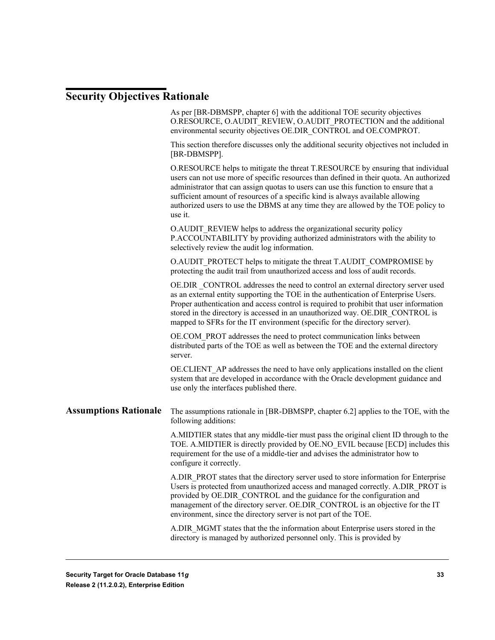### <span id="page-32-0"></span>**Security Objectives Rationale**

|                              | As per [BR-DBMSPP, chapter 6] with the additional TOE security objectives<br>O.RESOURCE, O.AUDIT REVIEW, O.AUDIT PROTECTION and the additional<br>environmental security objectives OE.DIR CONTROL and OE.COMPROT.                                                                                                                                                                                                                                   |
|------------------------------|------------------------------------------------------------------------------------------------------------------------------------------------------------------------------------------------------------------------------------------------------------------------------------------------------------------------------------------------------------------------------------------------------------------------------------------------------|
|                              | This section therefore discusses only the additional security objectives not included in<br>[BR-DBMSPP].                                                                                                                                                                                                                                                                                                                                             |
|                              | O.RESOURCE helps to mitigate the threat T.RESOURCE by ensuring that individual<br>users can not use more of specific resources than defined in their quota. An authorized<br>administrator that can assign quotas to users can use this function to ensure that a<br>sufficient amount of resources of a specific kind is always available allowing<br>authorized users to use the DBMS at any time they are allowed by the TOE policy to<br>use it. |
|                              | O.AUDIT_REVIEW helps to address the organizational security policy<br>P.ACCOUNTABILITY by providing authorized administrators with the ability to<br>selectively review the audit log information.                                                                                                                                                                                                                                                   |
|                              | O.AUDIT PROTECT helps to mitigate the threat T.AUDIT_COMPROMISE by<br>protecting the audit trail from unauthorized access and loss of audit records.                                                                                                                                                                                                                                                                                                 |
|                              | OE.DIR CONTROL addresses the need to control an external directory server used<br>as an external entity supporting the TOE in the authentication of Enterprise Users.<br>Proper authentication and access control is required to prohibit that user information<br>stored in the directory is accessed in an unauthorized way. OE.DIR CONTROL is<br>mapped to SFRs for the IT environment (specific for the directory server).                       |
|                              | OE.COM_PROT addresses the need to protect communication links between<br>distributed parts of the TOE as well as between the TOE and the external directory<br>server.                                                                                                                                                                                                                                                                               |
|                              | OE.CLIENT_AP addresses the need to have only applications installed on the client<br>system that are developed in accordance with the Oracle development guidance and<br>use only the interfaces published there.                                                                                                                                                                                                                                    |
| <b>Assumptions Rationale</b> | The assumptions rationale in [BR-DBMSPP, chapter 6.2] applies to the TOE, with the<br>following additions:                                                                                                                                                                                                                                                                                                                                           |
|                              | A.MIDTIER states that any middle-tier must pass the original client ID through to the<br>TOE. A.MIDTIER is directly provided by OE.NO EVIL because [ECD] includes this<br>requirement for the use of a middle-tier and advises the administrator how to<br>configure it correctly.                                                                                                                                                                   |
|                              | A.DIR PROT states that the directory server used to store information for Enterprise<br>Users is protected from unauthorized access and managed correctly. A.DIR PROT is<br>provided by OE.DIR_CONTROL and the guidance for the configuration and<br>management of the directory server. OE.DIR_CONTROL is an objective for the IT<br>environment, since the directory server is not part of the TOE.                                                |
|                              | A.DIR MGMT states that the the information about Enterprise users stored in the<br>directory is managed by authorized personnel only. This is provided by                                                                                                                                                                                                                                                                                            |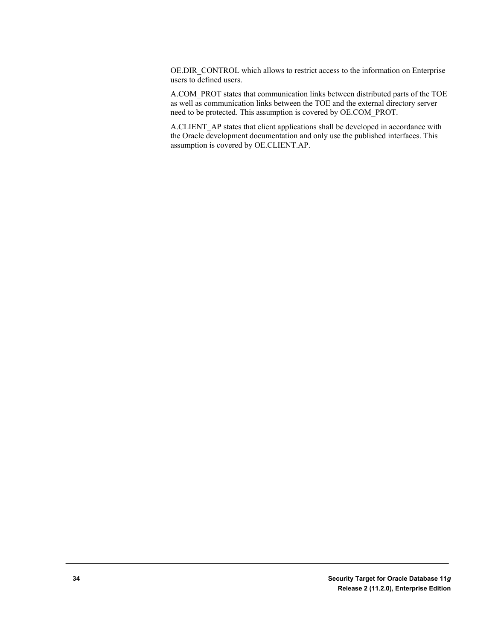OE.DIR\_CONTROL which allows to restrict access to the information on Enterprise users to defined users.

A.COM\_PROT states that communication links between distributed parts of the TOE as well as communication links between the TOE and the external directory server need to be protected. This assumption is covered by OE.COM\_PROT.

A.CLIENT\_AP states that client applications shall be developed in accordance with the Oracle development documentation and only use the published interfaces. This assumption is covered by OE.CLIENT.AP.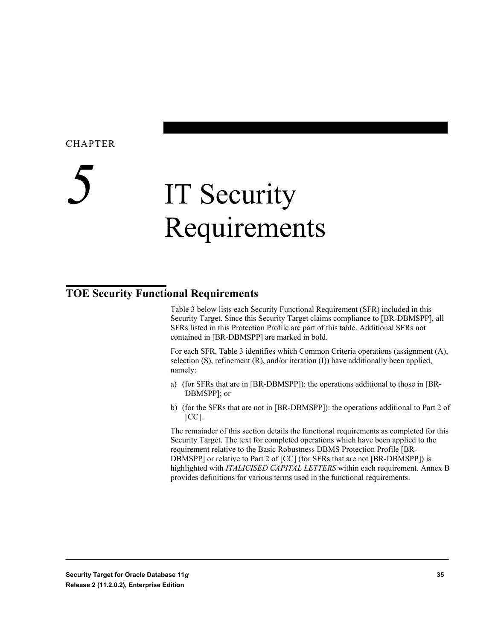# <span id="page-34-0"></span>*5* IT Security Requirements

#### <span id="page-34-1"></span>**TOE Security Functional Requirements**

Table 3 below lists each Security Functional Requirement (SFR) included in this Security Target. Since this Security Target claims compliance to [BR-DBMSPP], all SFRs listed in this Protection Profile are part of this table. Additional SFRs not contained in [BR-DBMSPP] are marked in bold.

For each SFR, Table 3 identifies which Common Criteria operations (assignment (A), selection (S), refinement (R), and/or iteration (I)) have additionally been applied, namely:

- a) (for SFRs that are in [BR-DBMSPP]): the operations additional to those in [BR-DBMSPP]; or
- b) (for the SFRs that are not in [BR-DBMSPP]): the operations additional to Part 2 of  $[CC]$ .

The remainder of this section details the functional requirements as completed for this Security Target. The text for completed operations which have been applied to the requirement relative to the Basic Robustness DBMS Protection Profile [BR-DBMSPP] or relative to Part 2 of [CC] (for SFRs that are not [BR-DBMSPP]) is highlighted with *ITALICISED CAPITAL LETTERS* within each requirement. Annex B provides definitions for various terms used in the functional requirements.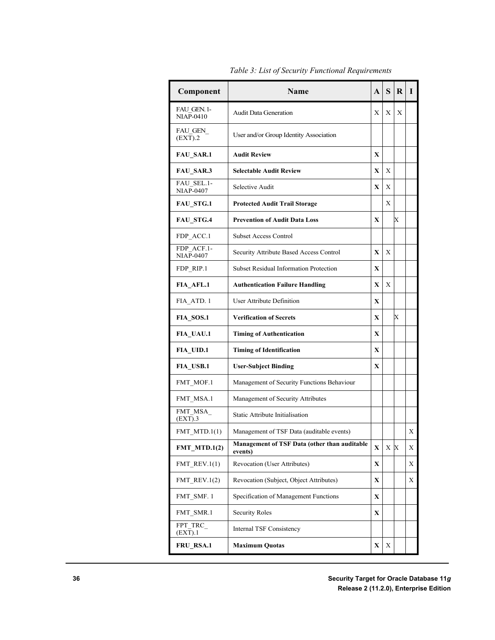| Component                       | <b>Name</b>                                             | A            | S                       | R | I |
|---------------------------------|---------------------------------------------------------|--------------|-------------------------|---|---|
| FAU GEN. 1-<br><b>NIAP-0410</b> | <b>Audit Data Generation</b>                            | X            | X                       | X |   |
| FAU GEN<br>(EXT).2              | User and/or Group Identity Association                  |              |                         |   |   |
| <b>FAU SAR.1</b>                | <b>Audit Review</b>                                     | $\mathbf x$  |                         |   |   |
| <b>FAU SAR.3</b>                | <b>Selectable Audit Review</b>                          | $\mathbf x$  | X                       |   |   |
| FAU SEL.1-<br><b>NIAP-0407</b>  | Selective Audit                                         | $\mathbf x$  | X                       |   |   |
| <b>FAU STG.1</b>                | <b>Protected Audit Trail Storage</b>                    |              | X                       |   |   |
| <b>FAU STG.4</b>                | <b>Prevention of Audit Data Loss</b>                    | X            |                         | Х |   |
| FDP_ACC.1                       | <b>Subset Access Control</b>                            |              |                         |   |   |
| FDP ACF.1-<br><b>NIAP-0407</b>  | Security Attribute Based Access Control                 | $\mathbf{x}$ | X                       |   |   |
| FDP RIP.1                       | <b>Subset Residual Information Protection</b>           | X            |                         |   |   |
| FIA AFL.1                       | <b>Authentication Failure Handling</b>                  | X            | X                       |   |   |
| FIA ATD. 1                      | User Attribute Definition                               | $\mathbf x$  |                         |   |   |
| FIA SOS.1                       | <b>Verification of Secrets</b>                          | X            |                         | X |   |
| FIA UAU.1                       | <b>Timing of Authentication</b>                         | X            |                         |   |   |
| <b>FIA UID.1</b>                | <b>Timing of Identification</b>                         | $\mathbf x$  |                         |   |   |
| FIA USB.1                       | <b>User-Subject Binding</b>                             | $\mathbf x$  |                         |   |   |
| FMT MOF.1                       | Management of Security Functions Behaviour              |              |                         |   |   |
| FMT MSA.1                       | Management of Security Attributes                       |              |                         |   |   |
| FMT MSA<br>(EXT).3              | Static Attribute Initialisation                         |              |                         |   |   |
| FMT MTD. $1(1)$                 | Management of TSF Data (auditable events)               |              |                         |   | Х |
| $FMT_MTD.1(2)$                  | Management of TSF Data (other than auditable<br>events) | $\mathbf X$  | $\mathbf{X} \mathbf{X}$ |   | X |
| FMT REV. $1(1)$                 | <b>Revocation (User Attributes)</b>                     | X            |                         |   | X |
| $FMT$ <sub>_REV.1(2)</sub>      | Revocation (Subject, Object Attributes)                 | X            |                         |   | X |
| FMT SMF. 1                      | Specification of Management Functions                   | X            |                         |   |   |
| FMT SMR.1                       | <b>Security Roles</b>                                   | X            |                         |   |   |
| FPT TRC<br>$(EX\overline{T}).1$ | Internal TSF Consistency                                |              |                         |   |   |
| FRU_RSA.1                       | <b>Maximum Quotas</b>                                   | X            | Χ                       |   |   |

*Table 3: List of Security Functional Requirements*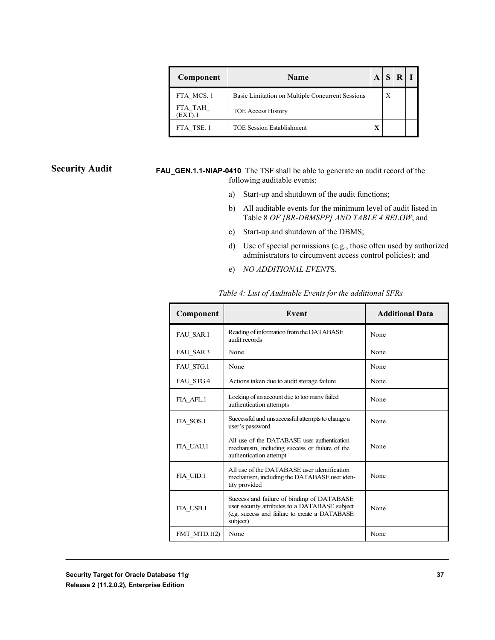| Component          | <b>Name</b>                                      | A |   |  |
|--------------------|--------------------------------------------------|---|---|--|
| FTA MCS.1          | Basic Limitation on Multiple Concurrent Sessions |   | X |  |
| FTA TAH<br>(EXT).1 | <b>TOE Access History</b>                        |   |   |  |
| FTA TSE. 1         | <b>TOE Session Establishment</b>                 | X |   |  |

#### **Security Audit**

**FAU\_GEN.1.1-NIAP-0410** The TSF shall be able to generate an audit record of the following auditable events:

- a) Start-up and shutdown of the audit functions;
- b) All auditable events for the minimum level of audit listed in Table 8 *OF [BR-DBMSPP] AND TABLE 4 BELOW*; and
- c) Start-up and shutdown of the DBMS;
- d) Use of special permissions (e.g., those often used by authorized administrators to circumvent access control policies); and
- e) *NO ADDITIONAL EVENT*S.

| Component        | Event                                                                                                                                                       | <b>Additional Data</b> |
|------------------|-------------------------------------------------------------------------------------------------------------------------------------------------------------|------------------------|
| FAU SAR.1        | Reading of information from the DATABASE<br>audit records                                                                                                   | None                   |
| FAU SAR.3        | None                                                                                                                                                        | None                   |
| FAU_STG.1        | None                                                                                                                                                        | None                   |
| <b>FAU STG.4</b> | Actions taken due to audit storage failure                                                                                                                  | None                   |
| FIA AFL.1        | Locking of an account due to too many failed<br>authentication attempts                                                                                     | None                   |
| FIA SOS.1        | Successful and unsuccessful attempts to change a<br>user's password                                                                                         | None                   |
| FIA UAU.1        | All use of the DATABASE user authentication<br>mechanism, including success or failure of the<br>authentication attempt                                     | None                   |
| FIA UID.1        | All use of the DATABASE user identification<br>mechanism, including the DATABASE user iden-<br>tity provided                                                | None                   |
| FIA USB.1        | Success and failure of binding of DATABASE<br>user security attributes to a DATABASE subject<br>(e.g. success and failure to create a DATABASE)<br>subject) | None                   |
| FMT MTD. $1(2)$  | None                                                                                                                                                        | None                   |

*Table 4: List of Auditable Events for the additional SFRs*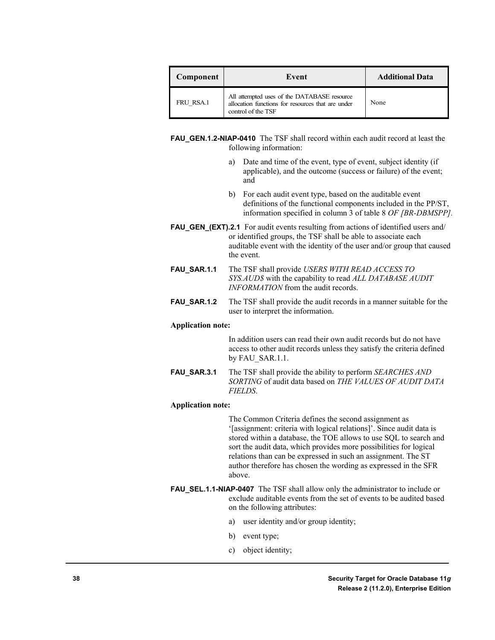| Component | Event                                                                                                                  | <b>Additional Data</b> |
|-----------|------------------------------------------------------------------------------------------------------------------------|------------------------|
| FRU RSA.1 | All attempted uses of the DATABASE resource<br>allocation functions for resources that are under<br>control of the TSF | None                   |

**FAU\_GEN.1.2-NIAP-0410** The TSF shall record within each audit record at least the following information:

- a) Date and time of the event, type of event, subject identity (if applicable), and the outcome (success or failure) of the event; and
- b) For each audit event type, based on the auditable event definitions of the functional components included in the PP/ST, information specified in column 3 of table 8 *OF [BR-DBMSPP].*
- **FAU\_GEN\_(EXT).2.1** For audit events resulting from actions of identified users and/ or identified groups, the TSF shall be able to associate each auditable event with the identity of the user and/or group that caused the event.
- **FAU\_SAR.1.1** The TSF shall provide *USERS WITH READ ACCESS TO SYS.AUD\$* with the capability to read *ALL DATABASE AUDIT INFORMATION* from the audit records.
- **FAU\_SAR.1.2** The TSF shall provide the audit records in a manner suitable for the user to interpret the information.

#### **Application note:**

In addition users can read their own audit records but do not have access to other audit records unless they satisfy the criteria defined by FAU\_SAR.1.1.

**FAU\_SAR.3.1** The TSF shall provide the ability to perform *SEARCHES AND SORTING* of audit data based on *THE VALUES OF AUDIT DATA FIELDS*.

#### **Application note:**

The Common Criteria defines the second assignment as '[assignment: criteria with logical relations]'. Since audit data is stored within a database, the TOE allows to use SQL to search and sort the audit data, which provides more possibilities for logical relations than can be expressed in such an assignment. The ST author therefore has chosen the wording as expressed in the SFR above.

- **FAU\_SEL.1.1-NIAP-0407** The TSF shall allow only the administrator to include or exclude auditable events from the set of events to be audited based on the following attributes:
	- a) user identity and/or group identity;
	- b) event type;
	- c) object identity;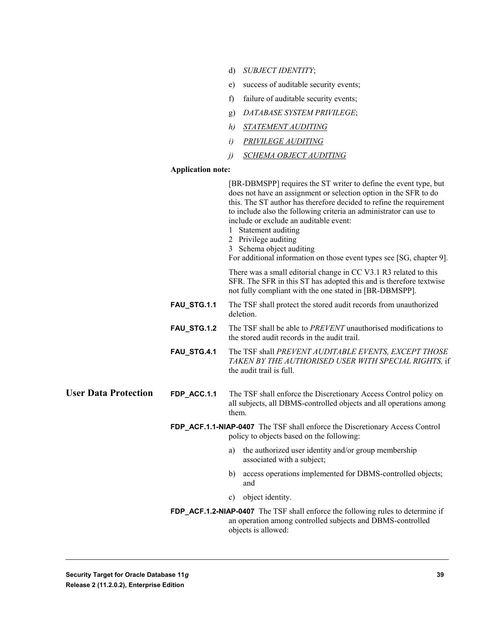- d) *SUBJECT IDENTITY*;
- e) success of auditable security events;
- f) failure of auditable security events;
- g) *DATABASE SYSTEM PRIVILEGE*;
- *h) STATEMENT AUDITING*
- *i) PRIVILEGE AUDITING*
- *j) SCHEMA OBJECT AUDITING*

#### **Application note:**

|                             |             | [BR-DBMSPP] requires the ST writer to define the event type, but<br>does not have an assignment or selection option in the SFR to do<br>this. The ST author has therefore decided to refine the requirement<br>to include also the following criteria an administrator can use to<br>include or exclude an auditable event:<br>1 Statement auditing<br>2 Privilege auditing<br>3 Schema object auditing<br>For additional information on those event types see [SG, chapter 9]. |
|-----------------------------|-------------|---------------------------------------------------------------------------------------------------------------------------------------------------------------------------------------------------------------------------------------------------------------------------------------------------------------------------------------------------------------------------------------------------------------------------------------------------------------------------------|
|                             |             | There was a small editorial change in CC V3.1 R3 related to this<br>SFR. The SFR in this ST has adopted this and is therefore textwise<br>not fully compliant with the one stated in [BR-DBMSPP].                                                                                                                                                                                                                                                                               |
|                             | FAU_STG.1.1 | The TSF shall protect the stored audit records from unauthorized<br>deletion.                                                                                                                                                                                                                                                                                                                                                                                                   |
|                             | FAU_STG.1.2 | The TSF shall be able to PREVENT unauthorised modifications to<br>the stored audit records in the audit trail.                                                                                                                                                                                                                                                                                                                                                                  |
|                             | FAU_STG.4.1 | The TSF shall PREVENT AUDITABLE EVENTS, EXCEPT THOSE<br>TAKEN BY THE AUTHORISED USER WITH SPECIAL RIGHTS, if<br>the audit trail is full.                                                                                                                                                                                                                                                                                                                                        |
| <b>User Data Protection</b> | FDP_ACC.1.1 | The TSF shall enforce the Discretionary Access Control policy on<br>all subjects, all DBMS-controlled objects and all operations among<br>them.                                                                                                                                                                                                                                                                                                                                 |
|                             |             | FDP_ACF.1.1-NIAP-0407 The TSF shall enforce the Discretionary Access Control<br>policy to objects based on the following:                                                                                                                                                                                                                                                                                                                                                       |
|                             |             | the authorized user identity and/or group membership<br>a)<br>associated with a subject;                                                                                                                                                                                                                                                                                                                                                                                        |
|                             |             | access operations implemented for DBMS-controlled objects;<br>b)<br>and                                                                                                                                                                                                                                                                                                                                                                                                         |
|                             |             | object identity.<br>c)                                                                                                                                                                                                                                                                                                                                                                                                                                                          |
|                             |             | FDP_ACF.1.2-NIAP-0407 The TSF shall enforce the following rules to determine if<br>an operation among controlled subjects and DBMS-controlled<br>objects is allowed:                                                                                                                                                                                                                                                                                                            |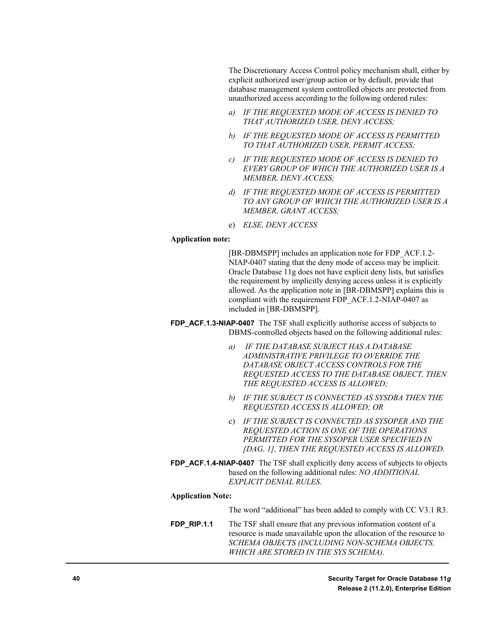The Discretionary Access Control policy mechanism shall, either by explicit authorized user/group action or by default, provide that database management system controlled objects are protected from unauthorized access according to the following ordered rules:

- *a) IF THE REQUESTED MODE OF ACCESS IS DENIED TO THAT AUTHORIZED USER, DENY ACCESS;*
- *b) IF THE REQUESTED MODE OF ACCESS IS PERMITTED TO THAT AUTHORIZED USER, PERMIT ACCESS;*
- *c) IF THE REQUESTED MODE OF ACCESS IS DENIED TO EVERY GROUP OF WHICH THE AUTHORIZED USER IS A MEMBER, DENY ACCESS;*
- *d) IF THE REQUESTED MODE OF ACCESS IS PERMITTED TO ANY GROUP OF WHICH THE AUTHORIZED USER IS A MEMBER, GRANT ACCESS;*
- e) *ELSE, DENY ACCESS*

#### **Application note:**

[BR-DBMSPP] includes an application note for FDP\_ACF.1.2- NIAP-0407 stating that the deny mode of access may be implicit. Oracle Database 11g does not have explicit deny lists, but satisfies the requirement by implicitly denying access unless it is explicitly allowed. As the application note in [BR-DBMSPP] explains this is compliant with the requirement FDP\_ACF.1.2-NIAP-0407 as included in [BR-DBMSPP].

**FDP\_ACF.1.3-NIAP-0407** The TSF shall explicitly authorise access of subjects to DBMS-controlled objects based on the following additional rules:

- *a) IF THE DATABASE SUBJECT HAS A DATABASE ADMINISTRATIVE PRIVILEGE TO OVERRIDE THE DATABASE OBJECT ACCESS CONTROLS FOR THE REQUESTED ACCESS TO THE DATABASE OBJECT, THEN THE REQUESTED ACCESS IS ALLOWED;*
- *b) IF THE SUBJECT IS CONNECTED AS SYSDBA THEN THE REQUESTED ACCESS IS ALLOWED; OR*
- c) *IF THE SUBJECT IS CONNECTED AS SYSOPER AND THE REQUESTED ACTION IS ONE OF THE OPERATIONS PERMITTED FOR THE SYSOPER USER SPECIFIED IN [DAG, 1], THEN THE REQUESTED ACCESS IS ALLOWED*.
- **FDP\_ACF.1.4-NIAP-0407** The TSF shall explicitly deny access of subjects to objects based on the following additional rules: *NO ADDITIONAL EXPLICIT DENIAL RULES*.

#### **Application Note:**

- The word "additional" has been added to comply with CC V3.1 R3.
- **FDP\_RIP.1.1** The TSF shall ensure that any previous information content of a resource is made unavailable upon the allocation of the resource to *SCHEMA OBJECTS (INCLUDING NON-SCHEMA OBJECTS, WHICH ARE STORED IN THE SYS SCHEMA).*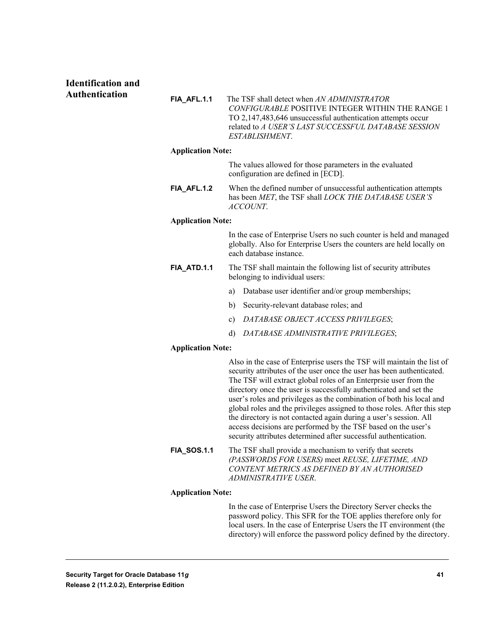#### **Identification and Authentication**

| FIA AFL.1.1 | The TSF shall detect when AN ADMINISTRATOR                  |
|-------------|-------------------------------------------------------------|
|             | <i>CONFIGURABLE</i> POSITIVE INTEGER WITHIN THE RANGE 1     |
|             | TO 2,147,483,646 unsuccessful authentication attempts occur |
|             | related to A USER'S LAST SUCCESSFUL DATABASE SESSION        |
|             | <i>ESTABLISHMENT</i>                                        |

#### **Application Note:**

The values allowed for those parameters in the evaluated configuration are defined in [ECD].

**FIA\_AFL.1.2** When the defined number of unsuccessful authentication attempts has been *MET*, the TSF shall *LOCK THE DATABASE USER'S ACCOUNT*.

#### **Application Note:**

In the case of Enterprise Users no such counter is held and managed globally. Also for Enterprise Users the counters are held locally on each database instance.

- **FIA ATD.1.1** The TSF shall maintain the following list of security attributes belonging to individual users:
	- a) Database user identifier and/or group memberships;
	- b) Security-relevant database roles; and
	- c) *DATABASE OBJECT ACCESS PRIVILEGES*;
	- d) *DATABASE ADMINISTRATIVE PRIVILEGES*;

#### **Application Note:**

Also in the case of Enterprise users the TSF will maintain the list of security attributes of the user once the user has been authenticated. The TSF will extract global roles of an Enterprsie user from the directory once the user is successfully authenticated and set the user's roles and privileges as the combination of both his local and global roles and the privileges assigned to those roles. After this step the directory is not contacted again during a user's session. All access decisions are performed by the TSF based on the user's security attributes determined after successful authentication.

**FIA SOS.1.1** The TSF shall provide a mechanism to verify that secrets *(PASSWORDS FOR USERS)* meet *REUSE, LIFETIME, AND CONTENT METRICS AS DEFINED BY AN AUTHORISED ADMINISTRATIVE USER*.

#### **Application Note:**

In the case of Enterprise Users the Directory Server checks the password policy. This SFR for the TOE applies therefore only for local users. In the case of Enterprise Users the IT environment (the directory) will enforce the password policy defined by the directory.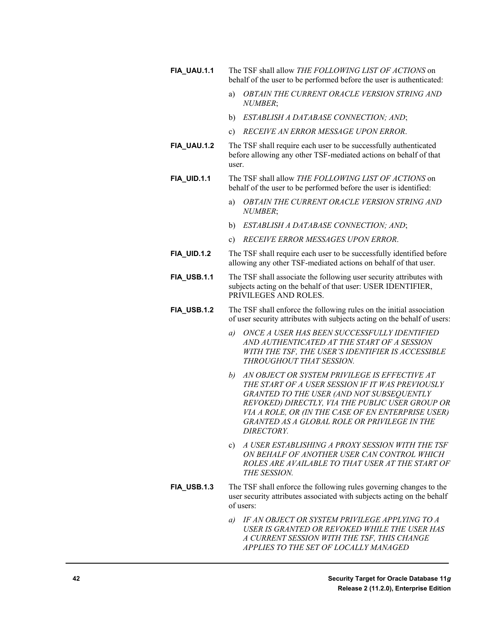- **FIA\_UAU.1.1** The TSF shall allow *THE FOLLOWING LIST OF ACTIONS* on behalf of the user to be performed before the user is authenticated:
	- a) *OBTAIN THE CURRENT ORACLE VERSION STRING AND NUMBER*;
	- b) *ESTABLISH A DATABASE CONNECTION; AND*;
	- c) *RECEIVE AN ERROR MESSAGE UPON ERROR*.
- **FIA\_UAU.1.2** The TSF shall require each user to be successfully authenticated before allowing any other TSF-mediated actions on behalf of that user.
- **FIA\_UID.1.1** The TSF shall allow *THE FOLLOWING LIST OF ACTIONS* on behalf of the user to be performed before the user is identified:
	- a) *OBTAIN THE CURRENT ORACLE VERSION STRING AND NUMBER*;
	- b) *ESTABLISH A DATABASE CONNECTION; AND*;
	- c) *RECEIVE ERROR MESSAGES UPON ERROR*.
- **FIA\_UID.1.2** The TSF shall require each user to be successfully identified before allowing any other TSF-mediated actions on behalf of that user.
- **FIA\_USB.1.1** The TSF shall associate the following user security attributes with subjects acting on the behalf of that user: USER IDENTIFIER, PRIVILEGES AND ROLES.
- **FIA\_USB.1.2** The TSF shall enforce the following rules on the initial association of user security attributes with subjects acting on the behalf of users:
	- *a) ONCE A USER HAS BEEN SUCCESSFULLY IDENTIFIED AND AUTHENTICATED AT THE START OF A SESSION WITH THE TSF, THE USER'S IDENTIFIER IS ACCESSIBLE THROUGHOUT THAT SESSION.*
	- *b) AN OBJECT OR SYSTEM PRIVILEGE IS EFFECTIVE AT THE START OF A USER SESSION IF IT WAS PREVIOUSLY GRANTED TO THE USER (AND NOT SUBSEQUENTLY REVOKED) DIRECTLY, VIA THE PUBLIC USER GROUP OR VIA A ROLE, OR (IN THE CASE OF EN ENTERPRISE USER) GRANTED AS A GLOBAL ROLE OR PRIVILEGE IN THE DIRECTORY.*
	- c) *A USER ESTABLISHING A PROXY SESSION WITH THE TSF ON BEHALF OF ANOTHER USER CAN CONTROL WHICH ROLES ARE AVAILABLE TO THAT USER AT THE START OF THE SESSION.*
- **FIA\_USB.1.3** The TSF shall enforce the following rules governing changes to the user security attributes associated with subjects acting on the behalf of users:
	- *a) IF AN OBJECT OR SYSTEM PRIVILEGE APPLYING TO A USER IS GRANTED OR REVOKED WHILE THE USER HAS A CURRENT SESSION WITH THE TSF, THIS CHANGE APPLIES TO THE SET OF LOCALLY MANAGED*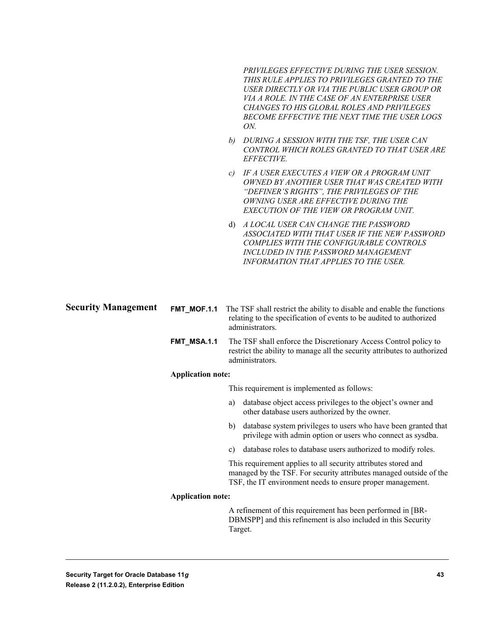*PRIVILEGES EFFECTIVE DURING THE USER SESSION. THIS RULE APPLIES TO PRIVILEGES GRANTED TO THE USER DIRECTLY OR VIA THE PUBLIC USER GROUP OR VIA A ROLE. IN THE CASE OF AN ENTERPRISE USER CHANGES TO HIS GLOBAL ROLES AND PRIVILEGES BECOME EFFECTIVE THE NEXT TIME THE USER LOGS ON.*

- *b) DURING A SESSION WITH THE TSF, THE USER CAN CONTROL WHICH ROLES GRANTED TO THAT USER ARE EFFECTIVE.*
- *c) IF A USER EXECUTES A VIEW OR A PROGRAM UNIT OWNED BY ANOTHER USER THAT WAS CREATED WITH "DEFINER'S RIGHTS", THE PRIVILEGES OF THE OWNING USER ARE EFFECTIVE DURING THE EXECUTION OF THE VIEW OR PROGRAM UNIT.*
- d) *A LOCAL USER CAN CHANGE THE PASSWORD ASSOCIATED WITH THAT USER IF THE NEW PASSWORD COMPLIES WITH THE CONFIGURABLE CONTROLS INCLUDED IN THE PASSWORD MANAGEMENT INFORMATION THAT APPLIES TO THE USER.*
- **FMT\_MOF.1.1** The TSF shall restrict the ability to disable and enable the functions relating to the specification of events to be audited to authorized administrators. **FMT\_MSA.1.1** The TSF shall enforce the Discretionary Access Control policy to restrict the ability to manage all the security attributes to authorized **Security Management**

administrators.

#### **Application note:**

This requirement is implemented as follows:

- a) database object access privileges to the object's owner and other database users authorized by the owner.
- b) database system privileges to users who have been granted that privilege with admin option or users who connect as sysdba.
- c) database roles to database users authorized to modify roles.

This requirement applies to all security attributes stored and managed by the TSF. For security attributes managed outside of the TSF, the IT environment needs to ensure proper management.

#### **Application note:**

A refinement of this requirement has been performed in [BR-DBMSPP] and this refinement is also included in this Security Target.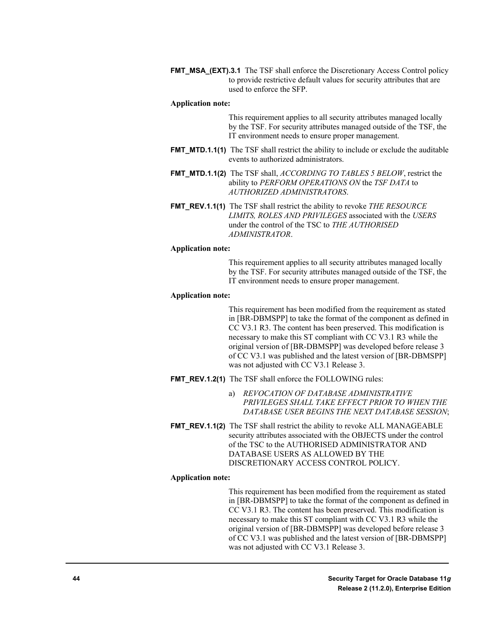**FMT\_MSA\_(EXT).3.1** The TSF shall enforce the Discretionary Access Control policy to provide restrictive default values for security attributes that are used to enforce the SFP.

#### **Application note:**

This requirement applies to all security attributes managed locally by the TSF. For security attributes managed outside of the TSF, the IT environment needs to ensure proper management.

- **FMT MTD.1.1(1)** The TSF shall restrict the ability to include or exclude the auditable events to authorized administrators.
- **FMT\_MTD.1.1(2)** The TSF shall, *ACCORDING TO TABLES 5 BELOW*, restrict the ability to *PERFORM OPERATIONS ON* the *TSF DATA* to *AUTHORIZED ADMINISTRATORS*.
- **FMT\_REV.1.1(1)** The TSF shall restrict the ability to revoke *THE RESOURCE LIMITS, ROLES AND PRIVILEGES* associated with the *USERS* under the control of the TSC to *THE AUTHORISED ADMINISTRATOR*.

#### **Application note:**

This requirement applies to all security attributes managed locally by the TSF. For security attributes managed outside of the TSF, the IT environment needs to ensure proper management.

#### **Application note:**

This requirement has been modified from the requirement as stated in [BR-DBMSPP] to take the format of the component as defined in CC V3.1 R3. The content has been preserved. This modification is necessary to make this ST compliant with CC V3.1 R3 while the original version of [BR-DBMSPP] was developed before release 3 of CC V3.1 was published and the latest version of [BR-DBMSPP] was not adjusted with CC V3.1 Release 3.

- **FMT\_REV.1.2(1)** The TSF shall enforce the FOLLOWING rules:
	- a) *REVOCATION OF DATABASE ADMINISTRATIVE PRIVILEGES SHALL TAKE EFFECT PRIOR TO WHEN THE DATABASE USER BEGINS THE NEXT DATABASE SESSION*;
- **FMT\_REV.1.1(2)** The TSF shall restrict the ability to revoke ALL MANAGEABLE security attributes associated with the OBJECTS under the control of the TSC to the AUTHORISED ADMINISTRATOR AND DATABASE USERS AS ALLOWED BY THE DISCRETIONARY ACCESS CONTROL POLICY.

#### **Application note:**

This requirement has been modified from the requirement as stated in [BR-DBMSPP] to take the format of the component as defined in CC V3.1 R3. The content has been preserved. This modification is necessary to make this ST compliant with CC V3.1 R3 while the original version of [BR-DBMSPP] was developed before release 3 of CC V3.1 was published and the latest version of [BR-DBMSPP] was not adjusted with CC V3.1 Release 3.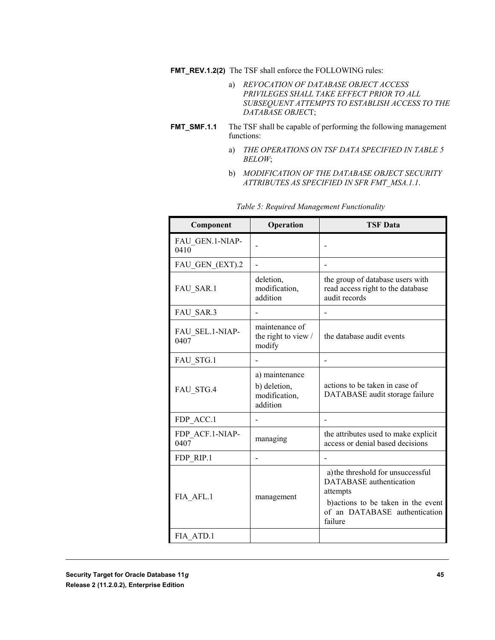**FMT\_REV.1.2(2)** The TSF shall enforce the FOLLOWING rules:

- a) *REVOCATION OF DATABASE OBJECT ACCESS PRIVILEGES SHALL TAKE EFFECT PRIOR TO ALL SUBSEQUENT ATTEMPTS TO ESTABLISH ACCESS TO THE DATABASE OBJEC*T;
- **FMT\_SMF.1.1** The TSF shall be capable of performing the following management functions:
	- a) *THE OPERATIONS ON TSF DATA SPECIFIED IN TABLE 5 BELOW*;
	- b) *MODIFICATION OF THE DATABASE OBJECT SECURITY ATTRIBUTES AS SPECIFIED IN SFR FMT\_MSA.1.1*.

| Component               | Operation                                                   | <b>TSF Data</b>                                                                                                                                                    |
|-------------------------|-------------------------------------------------------------|--------------------------------------------------------------------------------------------------------------------------------------------------------------------|
| FAU_GEN.1-NIAP-<br>0410 |                                                             |                                                                                                                                                                    |
| FAU GEN (EXT).2         |                                                             |                                                                                                                                                                    |
| FAU SAR.1               | deletion,<br>modification,<br>addition                      | the group of database users with<br>read access right to the database<br>audit records                                                                             |
| FAU SAR.3               |                                                             |                                                                                                                                                                    |
| FAU SEL.1-NIAP-<br>0407 | maintenance of<br>the right to view /<br>modify             | the database audit events                                                                                                                                          |
| FAU STG.1               |                                                             |                                                                                                                                                                    |
| FAU STG.4               | a) maintenance<br>b) deletion,<br>modification,<br>addition | actions to be taken in case of<br>DATABASE audit storage failure                                                                                                   |
| FDP ACC.1               |                                                             |                                                                                                                                                                    |
| FDP ACF.1-NIAP-<br>0407 | managing                                                    | the attributes used to make explicit<br>access or denial based decisions                                                                                           |
| FDP RIP.1               |                                                             |                                                                                                                                                                    |
| FIA AFL.1               | management                                                  | a) the threshold for unsuccessful<br><b>DATABASE</b> authentication<br>attempts<br>b) actions to be taken in the event<br>of an DATABASE authentication<br>failure |
| FIA ATD.1               |                                                             |                                                                                                                                                                    |

*Table 5: Required Management Functionality*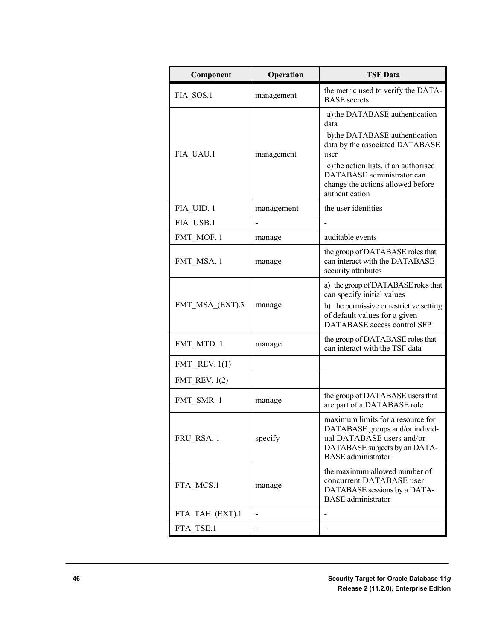| Component         | Operation      | <b>TSF Data</b>                                                                                                                                                                                                                                  |
|-------------------|----------------|--------------------------------------------------------------------------------------------------------------------------------------------------------------------------------------------------------------------------------------------------|
| FIA_SOS.1         | management     | the metric used to verify the DATA-<br><b>BASE</b> secrets                                                                                                                                                                                       |
| FIA UAU.1         | management     | a) the DATABASE authentication<br>data<br>b)the DATABASE authentication<br>data by the associated DATABASE<br>user<br>c) the action lists, if an authorised<br>DATABASE administrator can<br>change the actions allowed before<br>authentication |
| FIA UID. 1        | management     | the user identities                                                                                                                                                                                                                              |
| FIA USB.1         |                |                                                                                                                                                                                                                                                  |
| FMT MOF. 1        | manage         | auditable events                                                                                                                                                                                                                                 |
| FMT MSA. 1        | manage         | the group of DATABASE roles that<br>can interact with the DATABASE<br>security attributes                                                                                                                                                        |
| FMT MSA (EXT).3   | manage         | a) the group of DATABASE roles that<br>can specify initial values<br>b) the permissive or restrictive setting<br>of default values for a given<br>DATABASE access control SFP                                                                    |
| FMT MTD. 1        | manage         | the group of DATABASE roles that<br>can interact with the TSF data                                                                                                                                                                               |
| $FMT$ REV. $1(1)$ |                |                                                                                                                                                                                                                                                  |
| FMT REV. $1(2)$   |                |                                                                                                                                                                                                                                                  |
| FMT_SMR. 1        | manage         | the group of DATABASE users that<br>are part of a DATABASE role                                                                                                                                                                                  |
| FRU_RSA. 1        | specify        | maximum limits for a resource for<br>DATABASE groups and/or individ-<br>ual DATABASE users and/or<br>DATABASE subjects by an DATA-<br><b>BASE</b> administrator                                                                                  |
| FTA MCS.1         | manage         | the maximum allowed number of<br>concurrent DATABASE user<br>DATABASE sessions by a DATA-<br><b>BASE</b> administrator                                                                                                                           |
| FTA_TAH_(EXT).1   |                |                                                                                                                                                                                                                                                  |
| FTA TSE.1         | $\overline{a}$ |                                                                                                                                                                                                                                                  |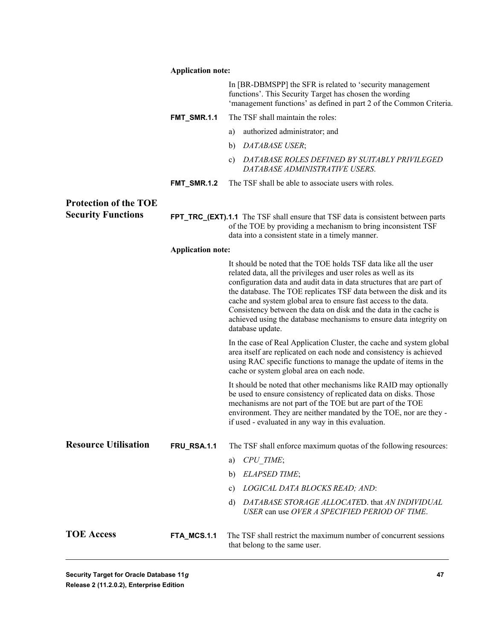|                              | <b>Application note:</b> |                                                                                                                                                                                                                                                                                                                                                                                                                                                                                                                     |
|------------------------------|--------------------------|---------------------------------------------------------------------------------------------------------------------------------------------------------------------------------------------------------------------------------------------------------------------------------------------------------------------------------------------------------------------------------------------------------------------------------------------------------------------------------------------------------------------|
|                              |                          | In [BR-DBMSPP] the SFR is related to 'security management<br>functions'. This Security Target has chosen the wording<br>'management functions' as defined in part 2 of the Common Criteria.                                                                                                                                                                                                                                                                                                                         |
|                              | FMT_SMR.1.1              | The TSF shall maintain the roles:                                                                                                                                                                                                                                                                                                                                                                                                                                                                                   |
|                              |                          | authorized administrator; and<br>a)                                                                                                                                                                                                                                                                                                                                                                                                                                                                                 |
|                              |                          | DATABASE USER;<br>b)                                                                                                                                                                                                                                                                                                                                                                                                                                                                                                |
|                              |                          | DATABASE ROLES DEFINED BY SUITABLY PRIVILEGED<br>c)<br>DATABASE ADMINISTRATIVE USERS.                                                                                                                                                                                                                                                                                                                                                                                                                               |
|                              | <b>FMT_SMR.1.2</b>       | The TSF shall be able to associate users with roles.                                                                                                                                                                                                                                                                                                                                                                                                                                                                |
| <b>Protection of the TOE</b> |                          |                                                                                                                                                                                                                                                                                                                                                                                                                                                                                                                     |
| <b>Security Functions</b>    |                          | <b>FPT_TRC_(EXT).1.1</b> The TSF shall ensure that TSF data is consistent between parts<br>of the TOE by providing a mechanism to bring inconsistent TSF<br>data into a consistent state in a timely manner.                                                                                                                                                                                                                                                                                                        |
|                              | <b>Application note:</b> |                                                                                                                                                                                                                                                                                                                                                                                                                                                                                                                     |
|                              |                          | It should be noted that the TOE holds TSF data like all the user<br>related data, all the privileges and user roles as well as its<br>configuration data and audit data in data structures that are part of<br>the database. The TOE replicates TSF data between the disk and its<br>cache and system global area to ensure fast access to the data.<br>Consistency between the data on disk and the data in the cache is<br>achieved using the database mechanisms to ensure data integrity on<br>database update. |
|                              |                          | In the case of Real Application Cluster, the cache and system global<br>area itself are replicated on each node and consistency is achieved<br>using RAC specific functions to manage the update of items in the<br>cache or system global area on each node.                                                                                                                                                                                                                                                       |
|                              |                          | It should be noted that other mechanisms like RAID may optionally<br>be used to ensure consistency of replicated data on disks. Those<br>mechanisms are not part of the TOE but are part of the TOE<br>environment. They are neither mandated by the TOE, nor are they -<br>if used - evaluated in any way in this evaluation.                                                                                                                                                                                      |
| <b>Resource Utilisation</b>  | <b>FRU_RSA.1.1</b>       | The TSF shall enforce maximum quotas of the following resources:                                                                                                                                                                                                                                                                                                                                                                                                                                                    |
|                              |                          | CPU TIME;<br>a)                                                                                                                                                                                                                                                                                                                                                                                                                                                                                                     |
|                              |                          | <b>ELAPSED TIME;</b><br>b)                                                                                                                                                                                                                                                                                                                                                                                                                                                                                          |
|                              |                          | LOGICAL DATA BLOCKS READ; AND:<br>c)                                                                                                                                                                                                                                                                                                                                                                                                                                                                                |
|                              |                          | DATABASE STORAGE ALLOCATED. that AN INDIVIDUAL<br>d)<br>USER can use OVER A SPECIFIED PERIOD OF TIME.                                                                                                                                                                                                                                                                                                                                                                                                               |
| <b>TOE Access</b>            | FTA_MCS.1.1              | The TSF shall restrict the maximum number of concurrent sessions<br>that belong to the same user.                                                                                                                                                                                                                                                                                                                                                                                                                   |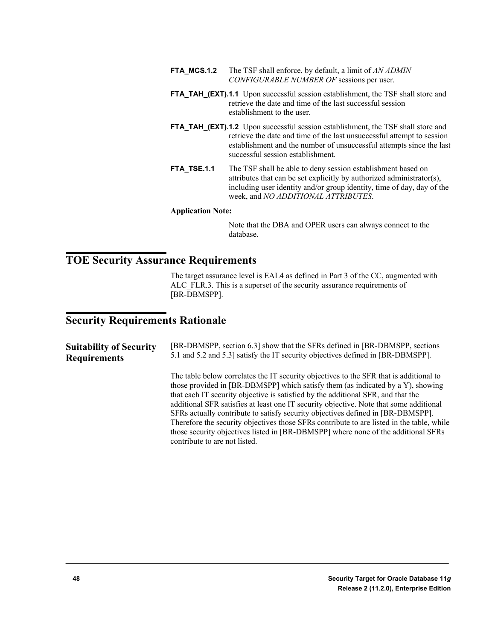- **FTA\_MCS.1.2** The TSF shall enforce, by default, a limit of *AN ADMIN CONFIGURABLE NUMBER OF* sessions per user.
- **FTA\_TAH\_(EXT).1.1** Upon successful session establishment, the TSF shall store and retrieve the date and time of the last successful session establishment to the user.
- **FTA\_TAH\_(EXT).1.2** Upon successful session establishment, the TSF shall store and retrieve the date and time of the last unsuccessful attempt to session establishment and the number of unsuccessful attempts since the last successful session establishment.
- **FTA\_TSE.1.1** The TSF shall be able to deny session establishment based on attributes that can be set explicitly by authorized administrator(s), including user identity and/or group identity, time of day, day of the week, and *NO ADDITIONAL ATTRIBUTES*.

#### **Application Note:**

Note that the DBA and OPER users can always connect to the database.

# **TOE Security Assurance Requirements**

The target assurance level is EAL4 as defined in Part 3 of the CC, augmented with ALC FLR.3. This is a superset of the security assurance requirements of [BR-DBMSPP].

# **Security Requirements Rationale**

| <b>Suitability of Security</b> | [BR-DBMSPP, section 6.3] show that the SFRs defined in [BR-DBMSPP, sections                                                                                                                                                                                                                                                                                                                                                                                                                                                                                                                                                                                   |  |  |  |
|--------------------------------|---------------------------------------------------------------------------------------------------------------------------------------------------------------------------------------------------------------------------------------------------------------------------------------------------------------------------------------------------------------------------------------------------------------------------------------------------------------------------------------------------------------------------------------------------------------------------------------------------------------------------------------------------------------|--|--|--|
| <b>Requirements</b>            | 5.1 and 5.2 and 5.3] satisfy the IT security objectives defined in [BR-DBMSPP].                                                                                                                                                                                                                                                                                                                                                                                                                                                                                                                                                                               |  |  |  |
|                                | The table below correlates the IT security objectives to the SFR that is additional to<br>those provided in [BR-DBMSPP] which satisfy them (as indicated by a Y), showing<br>that each IT security objective is satisfied by the additional SFR, and that the<br>additional SFR satisfies at least one IT security objective. Note that some additional<br>SFRs actually contribute to satisfy security objectives defined in [BR-DBMSPP].<br>Therefore the security objectives those SFRs contribute to are listed in the table, while<br>those security objectives listed in [BR-DBMSPP] where none of the additional SFRs<br>contribute to are not listed. |  |  |  |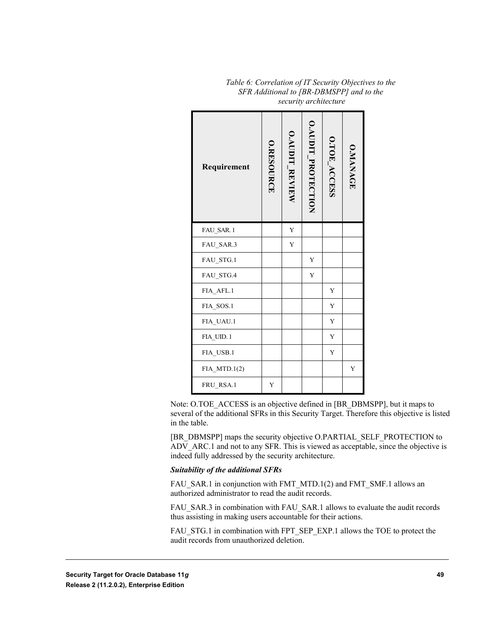| Requirement    | O.RESOURCE | <b>O.AUDIT REVIEW</b> | O.AUDIT_PROTECTION | O.TOE_ACCESS | <b>O.MANAGE</b> |
|----------------|------------|-----------------------|--------------------|--------------|-----------------|
| FAU SAR.1      |            | Y                     |                    |              |                 |
| FAU_SAR.3      |            | Y                     |                    |              |                 |
| FAU_STG.1      |            |                       | Y                  |              |                 |
| FAU_STG.4      |            |                       | Y                  |              |                 |
| FIA AFL.1      |            |                       |                    | Y            |                 |
| FIA_SOS.1      |            |                       |                    | Y            |                 |
| FIA_UAU.1      |            |                       |                    | Y            |                 |
| FIA_UID.1      |            |                       |                    | Y            |                 |
| FIA USB.1      |            |                       |                    | Y            |                 |
| $FIA$ MTD.1(2) |            |                       |                    |              | Y               |
| FRU_RSA.1      | Y          |                       |                    |              |                 |

*Table 6: Correlation of IT Security Objectives to the SFR Additional to [BR-DBMSPP] and to the security architecture*

Note: O.TOE\_ACCESS is an objective defined in [BR\_DBMSPP], but it maps to several of the additional SFRs in this Security Target. Therefore this objective is listed in the table.

[BR\_DBMSPP] maps the security objective O.PARTIAL\_SELF\_PROTECTION to ADV ARC.1 and not to any SFR. This is viewed as acceptable, since the objective is indeed fully addressed by the security architecture.

#### *Suitability of the additional SFRs*

FAU\_SAR.1 in conjunction with FMT\_MTD.1(2) and FMT\_SMF.1 allows an authorized administrator to read the audit records.

FAU\_SAR.3 in combination with FAU\_SAR.1 allows to evaluate the audit records thus assisting in making users accountable for their actions.

FAU\_STG.1 in combination with FPT\_SEP\_EXP.1 allows the TOE to protect the audit records from unauthorized deletion.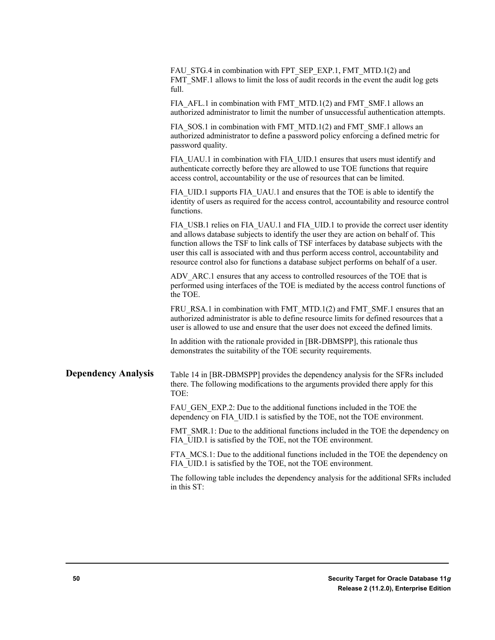|                            | FAU_STG.4 in combination with FPT_SEP_EXP.1, FMT_MTD.1(2) and<br>FMT_SMF.1 allows to limit the loss of audit records in the event the audit log gets<br>full.                                                                                                                                                                                                                                                                                      |
|----------------------------|----------------------------------------------------------------------------------------------------------------------------------------------------------------------------------------------------------------------------------------------------------------------------------------------------------------------------------------------------------------------------------------------------------------------------------------------------|
|                            | FIA_AFL.1 in combination with FMT_MTD.1(2) and FMT_SMF.1 allows an<br>authorized administrator to limit the number of unsuccessful authentication attempts.                                                                                                                                                                                                                                                                                        |
|                            | FIA_SOS.1 in combination with FMT_MTD.1(2) and FMT_SMF.1 allows an<br>authorized administrator to define a password policy enforcing a defined metric for<br>password quality.                                                                                                                                                                                                                                                                     |
|                            | FIA UAU.1 in combination with FIA UID.1 ensures that users must identify and<br>authenticate correctly before they are allowed to use TOE functions that require<br>access control, accountability or the use of resources that can be limited.                                                                                                                                                                                                    |
|                            | FIA_UID.1 supports FIA_UAU.1 and ensures that the TOE is able to identify the<br>identity of users as required for the access control, accountability and resource control<br>functions.                                                                                                                                                                                                                                                           |
|                            | FIA USB.1 relies on FIA UAU.1 and FIA UID.1 to provide the correct user identity<br>and allows database subjects to identify the user they are action on behalf of. This<br>function allows the TSF to link calls of TSF interfaces by database subjects with the<br>user this call is associated with and thus perform access control, accountability and<br>resource control also for functions a database subject performs on behalf of a user. |
|                            | ADV_ARC.1 ensures that any access to controlled resources of the TOE that is<br>performed using interfaces of the TOE is mediated by the access control functions of<br>the TOE.                                                                                                                                                                                                                                                                   |
|                            | FRU_RSA.1 in combination with FMT_MTD.1(2) and FMT_SMF.1 ensures that an<br>authorized administrator is able to define resource limits for defined resources that a<br>user is allowed to use and ensure that the user does not exceed the defined limits.                                                                                                                                                                                         |
|                            | In addition with the rationale provided in [BR-DBMSPP], this rationale thus<br>demonstrates the suitability of the TOE security requirements.                                                                                                                                                                                                                                                                                                      |
| <b>Dependency Analysis</b> | Table 14 in [BR-DBMSPP] provides the dependency analysis for the SFRs included<br>there. The following modifications to the arguments provided there apply for this<br>TOE:                                                                                                                                                                                                                                                                        |
|                            | FAU GEN EXP.2: Due to the additional functions included in the TOE the<br>dependency on FIA UID.1 is satisfied by the TOE, not the TOE environment.                                                                                                                                                                                                                                                                                                |
|                            | FMT SMR.1: Due to the additional functions included in the TOE the dependency on<br>FIA UID.1 is satisfied by the TOE, not the TOE environment.                                                                                                                                                                                                                                                                                                    |
|                            | FTA MCS.1: Due to the additional functions included in the TOE the dependency on<br>FIA UID.1 is satisfied by the TOE, not the TOE environment.                                                                                                                                                                                                                                                                                                    |
|                            | The following table includes the dependency analysis for the additional SFRs included<br>in this ST:                                                                                                                                                                                                                                                                                                                                               |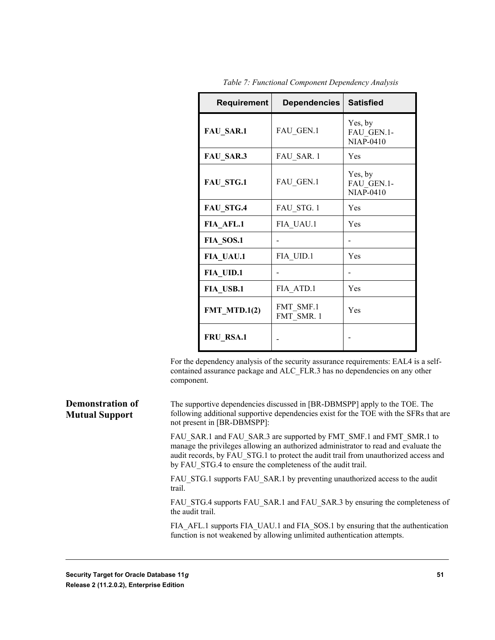| <b>Requirement</b> | <b>Dependencies</b>     | <b>Satisfied</b>                          |
|--------------------|-------------------------|-------------------------------------------|
| <b>FAU SAR.1</b>   | FAU GEN.1               | Yes, by<br>FAU GEN.1-<br><b>NIAP-0410</b> |
| FAU SAR.3          | FAU SAR. 1              | Yes                                       |
| <b>FAU STG.1</b>   | FAU GEN.1               | Yes, by<br>FAU GEN.1-<br><b>NIAP-0410</b> |
| FAU STG.4          | FAU STG. 1              | Yes                                       |
| FIA AFL.1          | FIA UAU.1               | Yes                                       |
| FIA SOS.1          |                         |                                           |
| FIA UAU.1          | FIA UID.1               | Yes                                       |
| FIA UID.1          |                         |                                           |
| FIA USB.1          | FIA ATD.1               | Yes                                       |
| $FMT_MTD.1(2)$     | FMT SMF.1<br>FMT SMR. 1 | Yes                                       |
| FRU RSA.1          |                         |                                           |

*Table 7: Functional Component Dependency Analysis*

For the dependency analysis of the security assurance requirements: EAL4 is a selfcontained assurance package and ALC\_FLR.3 has no dependencies on any other component.

The supportive dependencies discussed in [BR-DBMSPP] apply to the TOE. The following additional supportive dependencies exist for the TOE with the SFRs that are not present in [BR-DBMSPP]: **Demonstration of Mutual Support**

> FAU\_SAR.1 and FAU\_SAR.3 are supported by FMT\_SMF.1 and FMT\_SMR.1 to manage the privileges allowing an authorized administrator to read and evaluate the audit records, by FAU\_STG.1 to protect the audit trail from unauthorized access and by FAU\_STG.4 to ensure the completeness of the audit trail.

FAU\_STG.1 supports FAU\_SAR.1 by preventing unauthorized access to the audit trail.

FAU\_STG.4 supports FAU\_SAR.1 and FAU\_SAR.3 by ensuring the completeness of the audit trail.

FIA AFL.1 supports FIA\_UAU.1 and FIA\_SOS.1 by ensuring that the authentication function is not weakened by allowing unlimited authentication attempts.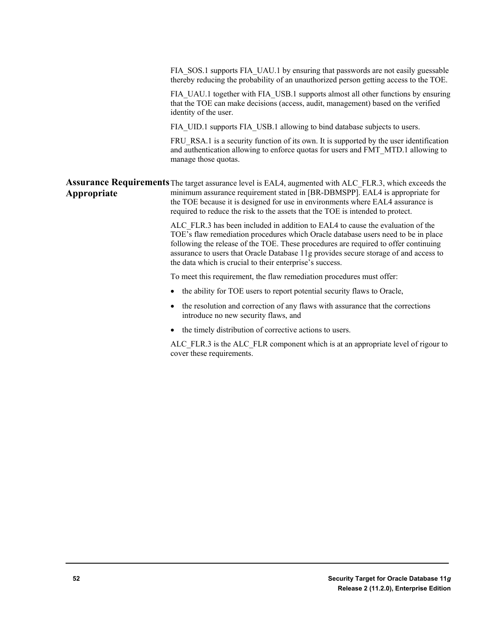FIA\_SOS.1 supports FIA\_UAU.1 by ensuring that passwords are not easily guessable thereby reducing the probability of an unauthorized person getting access to the TOE.

FIA\_UAU.1 together with FIA\_USB.1 supports almost all other functions by ensuring that the TOE can make decisions (access, audit, management) based on the verified identity of the user.

FIA\_UID.1 supports FIA\_USB.1 allowing to bind database subjects to users.

FRU RSA.1 is a security function of its own. It is supported by the user identification and authentication allowing to enforce quotas for users and FMT\_MTD.1 allowing to manage those quotas.

Assurance Requirements The target assurance level is EAL4, augmented with ALC\_FLR.3, which exceeds the minimum assurance requirement stated in [BR-DBMSPP]. EAL4 is appropriate for the TOE because it is designed for use in environments where EAL4 assurance is required to reduce the risk to the assets that the TOE is intended to protect. **Appropriate**

> ALC\_FLR.3 has been included in addition to EAL4 to cause the evaluation of the TOE's flaw remediation procedures which Oracle database users need to be in place following the release of the TOE. These procedures are required to offer continuing assurance to users that Oracle Database 11g provides secure storage of and access to the data which is crucial to their enterprise's success.

To meet this requirement, the flaw remediation procedures must offer:

- the ability for TOE users to report potential security flaws to Oracle,
- the resolution and correction of any flaws with assurance that the corrections introduce no new security flaws, and
- the timely distribution of corrective actions to users.

ALC FLR.3 is the ALC FLR component which is at an appropriate level of rigour to cover these requirements.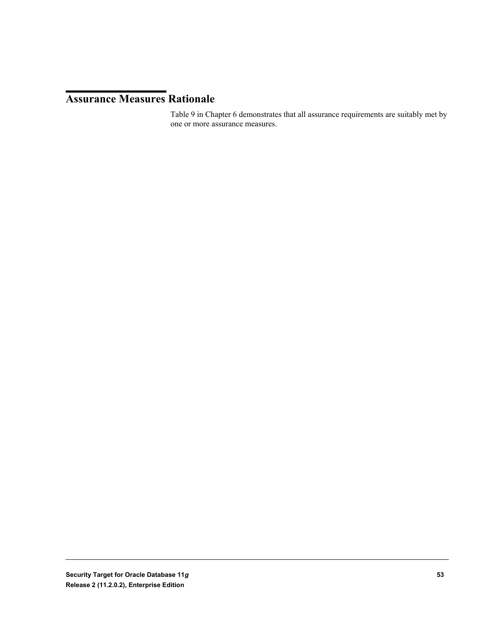# **Assurance Measures Rationale**

Table 9 in Chapter 6 demonstrates that all assurance requirements are suitably met by one or more assurance measures.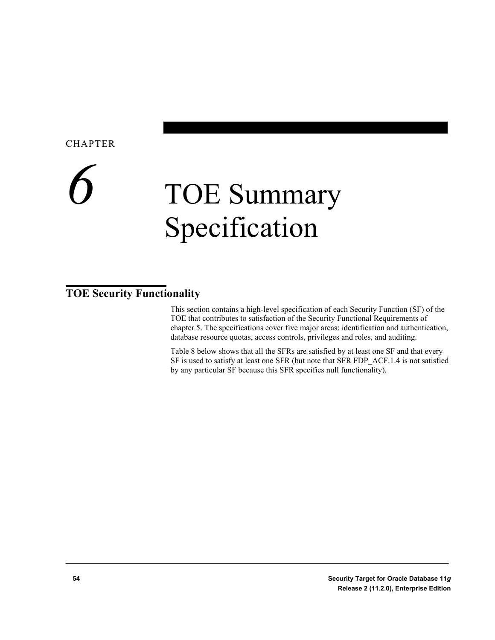### CHAPTER

# *6* TOE Summary Specification

# **TOE Security Functionality**

This section contains a high-level specification of each Security Function (SF) of the TOE that contributes to satisfaction of the Security Functional Requirements of chapter 5. The specifications cover five major areas: identification and authentication, database resource quotas, access controls, privileges and roles, and auditing.

Table 8 below shows that all the SFRs are satisfied by at least one SF and that every SF is used to satisfy at least one SFR (but note that SFR FDP\_ACF.1.4 is not satisfied by any particular SF because this SFR specifies null functionality).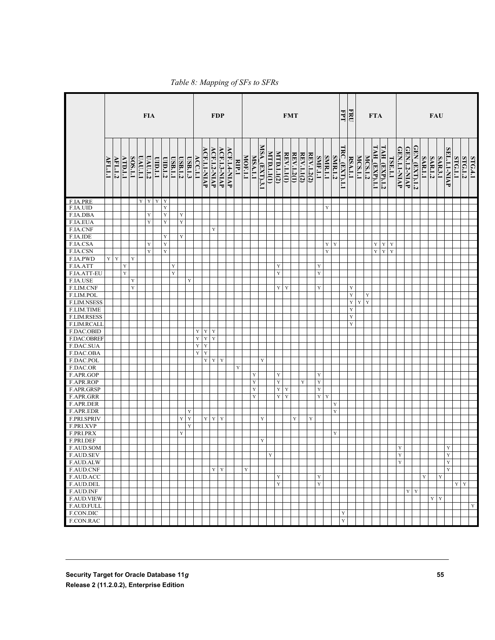|                                        | <b>FIA</b>                        |                |                |             |                | <b>FDP</b> |             |             |                | <b>FMT</b> |         |         |              |                     |              |              | EPT   | FRU            |             |               | <b>FTA</b> |             |                   | FAU         |                   |            |                |                |                |               |                |                |                |                      |               |             |                     |              |                                   |                |                |                              |                         |         |                |         |
|----------------------------------------|-----------------------------------|----------------|----------------|-------------|----------------|------------|-------------|-------------|----------------|------------|---------|---------|--------------|---------------------|--------------|--------------|-------|----------------|-------------|---------------|------------|-------------|-------------------|-------------|-------------------|------------|----------------|----------------|----------------|---------------|----------------|----------------|----------------|----------------------|---------------|-------------|---------------------|--------------|-----------------------------------|----------------|----------------|------------------------------|-------------------------|---------|----------------|---------|
|                                        | $\overline{\text{H}\text{L}.1.1}$ | <b>AFL.1.2</b> | <b>ATD.1.1</b> | SOS.1.1     | <b>UAU.1.1</b> | UAU.1.2    | L.L.OIU     | UID.1.2     | <b>USB.1.1</b> | USB.1.2    | USB.1.3 | ACC.1.1 | ACF.1.1-NIAP | <b>ACF.1.2-NIAP</b> | ACF.1.3-NIAP | ACF.1.4-NIAP | RIP.1 | <b>MOF.1.1</b> | MSA.1.1     | MSA (EXT).3.1 | MID.11(1)  | MTD.1.1(2)  | <b>REV.1.1(1)</b> | REV.1.2(1)  | <b>REV.1.1(2)</b> | REV.1.2(2) | <b>SMF.1.1</b> | <b>SMR.1.1</b> | <b>SMR.1.2</b> | TRC_(EXT).1.1 | <b>RSA.1.1</b> | <b>MCS.1.1</b> | <b>MCS.1.2</b> | <u>TAH_(EXP).1.1</u> | TAH_(EXP).1.2 | TSE.1.1     | <b>GEN.1.1-NIAP</b> | GEN.1.2-NIAP | $\overline{\text{GEN}}$ (EXT).1.2 | <b>SAR.1.1</b> | <b>SAR.1.2</b> | <b>SAR.3.1</b>               | SEL.1.1-NIAP            | STG.1.1 | <b>STG.1.2</b> | STG.4.1 |
| F.IA.PRE                               |                                   |                |                |             | $\mathbf Y$    | Y          | $\mathbf Y$ | $\mathbf Y$ |                |            |         |         |              |                     |              |              |       |                |             |               |            |             |                   |             |                   |            |                |                |                |               |                |                |                |                      |               |             |                     |              |                                   |                |                |                              |                         |         |                |         |
| F.IA.UID                               |                                   |                |                |             |                |            |             | $\mathbf Y$ |                |            |         |         |              |                     |              |              |       |                |             |               |            |             |                   |             |                   |            |                | Y              |                |               |                |                |                |                      |               |             |                     |              |                                   |                |                |                              |                         |         |                |         |
| F.IA.DBA                               |                                   |                |                |             |                | Y          |             | $\mathbf Y$ |                | Y          |         |         |              |                     |              |              |       |                |             |               |            |             |                   |             |                   |            |                |                |                |               |                |                |                |                      |               |             |                     |              |                                   |                |                |                              |                         |         |                |         |
| F.IA.EUA                               |                                   |                |                |             |                | Y          |             | $\mathbf Y$ |                | Y          |         |         |              |                     |              |              |       |                |             |               |            |             |                   |             |                   |            |                |                |                |               |                |                |                |                      |               |             |                     |              |                                   |                |                |                              |                         |         |                |         |
| F.IA.CNF                               |                                   |                |                |             |                |            |             |             |                |            |         |         |              | Y                   |              |              |       |                |             |               |            |             |                   |             |                   |            |                |                |                |               |                |                |                |                      |               |             |                     |              |                                   |                |                |                              |                         |         |                |         |
| F.IA.IDE                               |                                   |                |                |             |                |            |             | $\mathbf Y$ |                | Y          |         |         |              |                     |              |              |       |                |             |               |            |             |                   |             |                   |            |                |                |                |               |                |                |                |                      |               |             |                     |              |                                   |                |                |                              |                         |         |                |         |
| F.IA.CSA                               |                                   |                |                |             |                | Y          |             | $\mathbf Y$ |                |            |         |         |              |                     |              |              |       |                |             |               |            |             |                   |             |                   |            |                | Y              | $\mathbf Y$    |               |                |                |                | Y                    | $\mathbf Y$   | $\mathbf Y$ |                     |              |                                   |                |                |                              |                         |         |                |         |
| F.IA.CSN                               |                                   |                |                |             |                | Y          |             | $\mathbf Y$ |                |            |         |         |              |                     |              |              |       |                |             |               |            |             |                   |             |                   |            |                | Y              |                |               |                |                |                | $\mathbf Y$          | $\mathbf Y$   | Y           |                     |              |                                   |                |                |                              |                         |         |                |         |
| F.IA.PWD                               | Y                                 | $\mathbf Y$    |                | $\mathbf Y$ |                |            |             |             |                |            |         |         |              |                     |              |              |       |                |             |               |            |             |                   |             |                   |            |                |                |                |               |                |                |                |                      |               |             |                     |              |                                   |                |                |                              |                         |         |                |         |
| F.IA.ATT                               |                                   |                | Y              |             |                |            |             |             | $\mathbf Y$    |            |         |         |              |                     |              |              |       |                |             |               |            | $\mathbf Y$ |                   |             |                   |            | Y              |                |                |               |                |                |                |                      |               |             |                     |              |                                   |                |                |                              |                         |         |                |         |
| F.IA.ATT-EU                            |                                   |                | Y              |             |                |            |             |             | $\mathbf Y$    |            |         |         |              |                     |              |              |       |                |             |               |            | $\mathbf Y$ |                   |             |                   |            | $\mathbf Y$    |                |                |               |                |                |                |                      |               |             |                     |              |                                   |                |                |                              |                         |         |                |         |
| F.IA.USE                               |                                   |                |                | $\mathbf Y$ |                |            |             |             |                |            | Y       |         |              |                     |              |              |       |                |             |               |            |             |                   |             |                   |            |                |                |                |               |                |                |                |                      |               |             |                     |              |                                   |                |                |                              |                         |         |                |         |
| F.LIM.CNF                              |                                   |                |                | $\mathbf Y$ |                |            |             |             |                |            |         |         |              |                     |              |              |       |                |             |               |            | Y           | Y                 |             |                   |            | $\mathbf Y$    |                |                |               | Y              |                |                |                      |               |             |                     |              |                                   |                |                |                              |                         |         |                |         |
| F.LIM.POL                              |                                   |                |                |             |                |            |             |             |                |            |         |         |              |                     |              |              |       |                |             |               |            |             |                   |             |                   |            |                |                |                |               | Y              |                | Y              |                      |               |             |                     |              |                                   |                |                |                              |                         |         |                |         |
| F.LIM.NSESS                            |                                   |                |                |             |                |            |             |             |                |            |         |         |              |                     |              |              |       |                |             |               |            |             |                   |             |                   |            |                |                |                |               | Y              | Y              | $\mathbf Y$    |                      |               |             |                     |              |                                   |                |                |                              |                         |         |                |         |
| F.LIM.TIME                             |                                   |                |                |             |                |            |             |             |                |            |         |         |              |                     |              |              |       |                |             |               |            |             |                   |             |                   |            |                |                |                |               | Y              |                |                |                      |               |             |                     |              |                                   |                |                |                              |                         |         |                |         |
| <b>F.LIM.RSESS</b>                     |                                   |                |                |             |                |            |             |             |                |            |         |         |              |                     |              |              |       |                |             |               |            |             |                   |             |                   |            |                |                |                |               | Y              |                |                |                      |               |             |                     |              |                                   |                |                |                              |                         |         |                |         |
| F.LIM.RCALI                            |                                   |                |                |             |                |            |             |             |                |            |         |         |              |                     |              |              |       |                |             |               |            |             |                   |             |                   |            |                |                |                |               | Y              |                |                |                      |               |             |                     |              |                                   |                |                |                              |                         |         |                |         |
| F.DAC.OBID                             |                                   |                |                |             |                |            |             |             |                |            |         | Y       | $\mathbf Y$  | $\mathbf Y$         |              |              |       |                |             |               |            |             |                   |             |                   |            |                |                |                |               |                |                |                |                      |               |             |                     |              |                                   |                |                |                              |                         |         |                |         |
| F.DAC.OBREF                            |                                   |                |                |             |                |            |             |             |                |            |         | Y       | $\mathbf Y$  | Y                   |              |              |       |                |             |               |            |             |                   |             |                   |            |                |                |                |               |                |                |                |                      |               |             |                     |              |                                   |                |                |                              |                         |         |                |         |
| F.DAC.SUA                              |                                   |                |                |             |                |            |             |             |                |            |         | Y       | $\mathbf Y$  |                     |              |              |       |                |             |               |            |             |                   |             |                   |            |                |                |                |               |                |                |                |                      |               |             |                     |              |                                   |                |                |                              |                         |         |                |         |
| F.DAC.OBA                              |                                   |                |                |             |                |            |             |             |                |            |         | Y       | $\mathbf Y$  |                     |              |              |       |                |             |               |            |             |                   |             |                   |            |                |                |                |               |                |                |                |                      |               |             |                     |              |                                   |                |                |                              |                         |         |                |         |
| F.DAC.POL                              |                                   |                |                |             |                |            |             |             |                |            |         |         | $\mathbf Y$  | $\mathbf Y$         | Y            |              |       |                |             | Y             |            |             |                   |             |                   |            |                |                |                |               |                |                |                |                      |               |             |                     |              |                                   |                |                |                              |                         |         |                |         |
| F.DAC.OR                               |                                   |                |                |             |                |            |             |             |                |            |         |         |              |                     |              |              | Y     |                |             |               |            |             |                   |             |                   |            |                |                |                |               |                |                |                |                      |               |             |                     |              |                                   |                |                |                              |                         |         |                |         |
| F.APR.GOP                              |                                   |                |                |             |                |            |             |             |                |            |         |         |              |                     |              |              |       |                | $\mathbf Y$ |               |            | $\mathbf Y$ |                   |             |                   |            | $\mathbf Y$    |                |                |               |                |                |                |                      |               |             |                     |              |                                   |                |                |                              |                         |         |                |         |
| F.APR.ROP                              |                                   |                |                |             |                |            |             |             |                |            |         |         |              |                     |              |              |       |                | $\mathbf Y$ |               |            | $\mathbf Y$ |                   |             | Y                 |            | Y              |                |                |               |                |                |                |                      |               |             |                     |              |                                   |                |                |                              |                         |         |                |         |
| F.APR.GRSP                             |                                   |                |                |             |                |            |             |             |                |            |         |         |              |                     |              |              |       |                | $\mathbf Y$ |               |            | $\mathbf Y$ | $\mathbf Y$       |             |                   |            | $\mathbf Y$    |                |                |               |                |                |                |                      |               |             |                     |              |                                   |                |                |                              |                         |         |                |         |
| F.APR.GRR                              |                                   |                |                |             |                |            |             |             |                |            |         |         |              |                     |              |              |       |                | Y           |               |            | $\mathbf Y$ | $\mathbf Y$       |             |                   |            | $\mathbf Y$    | Y              |                |               |                |                |                |                      |               |             |                     |              |                                   |                |                |                              |                         |         |                |         |
| F.APR.DER                              |                                   |                |                |             |                |            |             |             |                |            |         |         |              |                     |              |              |       |                |             |               |            |             |                   |             |                   |            |                |                | Y              |               |                |                |                |                      |               |             |                     |              |                                   |                |                |                              |                         |         |                |         |
| F.APR.EDR                              |                                   |                |                |             |                |            |             |             |                |            | Y       |         |              |                     |              |              |       |                |             |               |            |             |                   |             |                   |            |                |                | Y              |               |                |                |                |                      |               |             |                     |              |                                   |                |                |                              |                         |         |                |         |
| F.PRI.SPRIV                            |                                   |                |                |             |                |            |             |             |                | Y          | Y       |         | $\mathbf Y$  | $\mathbf Y$         | Y            |              |       |                |             | Y             |            |             |                   | $\mathbf Y$ |                   | Y          |                |                |                |               |                |                |                |                      |               |             |                     |              |                                   |                |                |                              |                         |         |                |         |
| F.PRI.XVP                              |                                   |                |                |             |                |            |             |             |                |            | Y       |         |              |                     |              |              |       |                |             |               |            |             |                   |             |                   |            |                |                |                |               |                |                |                |                      |               |             |                     |              |                                   |                |                |                              |                         |         |                |         |
| F.PRI.PRX                              |                                   |                |                |             |                |            |             |             |                | Y          |         |         |              |                     |              |              |       |                |             |               |            |             |                   |             |                   |            |                |                | Y              |               |                |                |                |                      |               |             |                     |              |                                   |                |                |                              |                         |         |                |         |
| F.PRI.DEF                              |                                   |                |                |             |                |            |             |             |                |            |         |         |              |                     |              |              |       |                |             | $\mathbf Y$   |            |             |                   |             |                   |            |                |                |                |               |                |                |                |                      |               |             |                     |              |                                   |                |                |                              |                         |         |                |         |
| F.AUD.SOM                              |                                   |                |                |             |                |            |             |             |                |            |         |         |              |                     |              |              |       |                |             |               |            |             |                   |             |                   |            |                |                |                |               |                |                |                |                      |               |             | $\mathbf Y$         |              |                                   |                |                |                              | Y                       |         |                |         |
| F.AUD.SEV                              |                                   |                |                |             |                |            |             |             |                |            |         |         |              |                     |              |              |       |                |             |               | Y.         |             |                   |             |                   |            |                |                |                |               |                |                |                |                      |               |             | Y                   |              |                                   |                |                |                              | $\overline{\mathbf{Y}}$ |         |                |         |
| F.AUD.ALW                              |                                   |                |                |             |                |            |             |             |                |            |         |         |              |                     |              |              |       |                |             |               |            |             |                   |             |                   |            |                |                |                |               |                |                |                |                      |               |             | $\mathbf Y$         |              |                                   |                |                |                              | $\mathbf Y$             |         |                |         |
| F.AUD.CNF                              |                                   |                |                |             |                |            |             |             |                |            |         |         |              |                     | $Y$ $Y$      |              |       | Y              |             |               |            |             |                   |             |                   |            |                |                |                |               |                |                |                |                      |               |             |                     |              |                                   |                |                |                              | $\mathbf Y$             |         |                |         |
| F.AUD.ACC                              |                                   |                |                |             |                |            |             |             |                |            |         |         |              |                     |              |              |       |                |             |               |            | $\mathbf Y$ |                   |             |                   |            | $\mathbf Y$    |                |                |               |                |                |                |                      |               |             |                     |              |                                   | Y              |                | $\mathbf Y$                  |                         |         |                |         |
| F.AUD.DEL                              |                                   |                |                |             |                |            |             |             |                |            |         |         |              |                     |              |              |       |                |             |               |            | $\mathbf Y$ |                   |             |                   |            | $\mathbf Y$    |                |                |               |                |                |                |                      |               |             |                     |              |                                   |                |                |                              |                         |         | $Y \mid Y$     |         |
| F.AUD.INF                              |                                   |                |                |             |                |            |             |             |                |            |         |         |              |                     |              |              |       |                |             |               |            |             |                   |             |                   |            |                |                |                |               |                |                |                |                      |               |             |                     | $\mathbf Y$  | $\mathbf Y$                       |                |                |                              |                         |         |                |         |
|                                        |                                   |                |                |             |                |            |             |             |                |            |         |         |              |                     |              |              |       |                |             |               |            |             |                   |             |                   |            |                |                |                |               |                |                |                |                      |               |             |                     |              |                                   |                |                | $\mathbf{Y} \mid \mathbf{Y}$ |                         |         |                |         |
| <b>F.AUD.VIEW</b><br><b>F.AUD.FULL</b> |                                   |                |                |             |                |            |             |             |                |            |         |         |              |                     |              |              |       |                |             |               |            |             |                   |             |                   |            |                |                |                |               |                |                |                |                      |               |             |                     |              |                                   |                |                |                              |                         |         |                |         |
|                                        |                                   |                |                |             |                |            |             |             |                |            |         |         |              |                     |              |              |       |                |             |               |            |             |                   |             |                   |            |                |                |                |               |                |                |                |                      |               |             |                     |              |                                   |                |                |                              |                         |         |                | Y       |
| F.CON.DIC                              |                                   |                |                |             |                |            |             |             |                |            |         |         |              |                     |              |              |       |                |             |               |            |             |                   |             |                   |            |                |                |                | Y             |                |                |                |                      |               |             |                     |              |                                   |                |                |                              |                         |         |                |         |
| F.CON.RAC                              |                                   |                |                |             |                |            |             |             |                |            |         |         |              |                     |              |              |       |                |             |               |            |             |                   |             |                   |            |                |                |                | Y             |                |                |                |                      |               |             |                     |              |                                   |                |                |                              |                         |         |                |         |

*Table 8: Mapping of SFs to SFRs*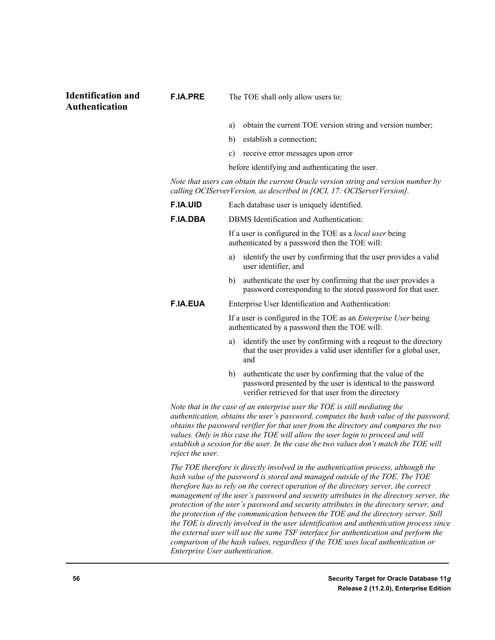#### **Identification and Authentication**

- a) obtain the current TOE version string and version number;
- b) establish a connection;
- c) receive error messages upon error

before identifying and authenticating the user.

*Note that users can obtain the current Oracle version string and version number by calling OCIServerVersion, as described in [OCI, 17: OCIServerVersion].*

| <b>F.IA.UID</b>                                                                                                                                                                                                                                                                                                                                                                                                                                                                                                                                                                                                                                                                                                                                                                                                                                  | Each database user is uniquely identified.                                                                                                                                            |  |  |  |  |  |  |  |
|--------------------------------------------------------------------------------------------------------------------------------------------------------------------------------------------------------------------------------------------------------------------------------------------------------------------------------------------------------------------------------------------------------------------------------------------------------------------------------------------------------------------------------------------------------------------------------------------------------------------------------------------------------------------------------------------------------------------------------------------------------------------------------------------------------------------------------------------------|---------------------------------------------------------------------------------------------------------------------------------------------------------------------------------------|--|--|--|--|--|--|--|
| <b>F.IA.DBA</b>                                                                                                                                                                                                                                                                                                                                                                                                                                                                                                                                                                                                                                                                                                                                                                                                                                  | DBMS Identification and Authentication:                                                                                                                                               |  |  |  |  |  |  |  |
|                                                                                                                                                                                                                                                                                                                                                                                                                                                                                                                                                                                                                                                                                                                                                                                                                                                  | If a user is configured in the TOE as a <i>local user</i> being<br>authenticated by a password then the TOE will:                                                                     |  |  |  |  |  |  |  |
|                                                                                                                                                                                                                                                                                                                                                                                                                                                                                                                                                                                                                                                                                                                                                                                                                                                  | identify the user by confirming that the user provides a valid<br>a)<br>user identifier, and                                                                                          |  |  |  |  |  |  |  |
|                                                                                                                                                                                                                                                                                                                                                                                                                                                                                                                                                                                                                                                                                                                                                                                                                                                  | authenticate the user by confirming that the user provides a<br>b)<br>password corresponding to the stored password for that user.                                                    |  |  |  |  |  |  |  |
| <b>F.IA.EUA</b>                                                                                                                                                                                                                                                                                                                                                                                                                                                                                                                                                                                                                                                                                                                                                                                                                                  | Enterprise User Identification and Authentication:                                                                                                                                    |  |  |  |  |  |  |  |
|                                                                                                                                                                                                                                                                                                                                                                                                                                                                                                                                                                                                                                                                                                                                                                                                                                                  | If a user is configured in the TOE as an <i>Enterprise User</i> being<br>authenticated by a password then the TOE will:                                                               |  |  |  |  |  |  |  |
|                                                                                                                                                                                                                                                                                                                                                                                                                                                                                                                                                                                                                                                                                                                                                                                                                                                  | identify the user by confirming with a reqeust to the directory<br>a)<br>that the user provides a valid user identifier for a global user,<br>and                                     |  |  |  |  |  |  |  |
|                                                                                                                                                                                                                                                                                                                                                                                                                                                                                                                                                                                                                                                                                                                                                                                                                                                  | authenticate the user by confirming that the value of the<br>b)<br>password presented by the user is identical to the password<br>verifier retrieved for that user from the directory |  |  |  |  |  |  |  |
| Note that in the case of an enterprise user the TOE is still mediating the<br>authentication, obtains the user's password, computes the hash value of the password,<br>obtains the password verifier for that user from the directory and compares the two<br>values. Only in this case the TOE will allow the user login to proceed and will<br>establish a session for the user. In the case the two values don't match the TOE will<br>reject the user.                                                                                                                                                                                                                                                                                                                                                                                       |                                                                                                                                                                                       |  |  |  |  |  |  |  |
| The TOE therefore is directly involved in the authentication process, although the<br>hash value of the password is stored and managed outside of the TOE. The TOE<br>therefore has to rely on the correct operation of the directory server, the correct<br>management of the user's password and security attributes in the directory server, the<br>protection of the user's password and security attributes in the directory server, and<br>the protection of the communication between the TOE and the directory server. Still<br>the TOE is directly involved in the user identification and authentication process since<br>the external user will use the same TSF interface for authentication and perform the<br>comparison of the hash values, regardless if the TOE uses local authentication or<br>Enterprise User authentication. |                                                                                                                                                                                       |  |  |  |  |  |  |  |

**F.IA.PRE** The TOE shall only allow users to: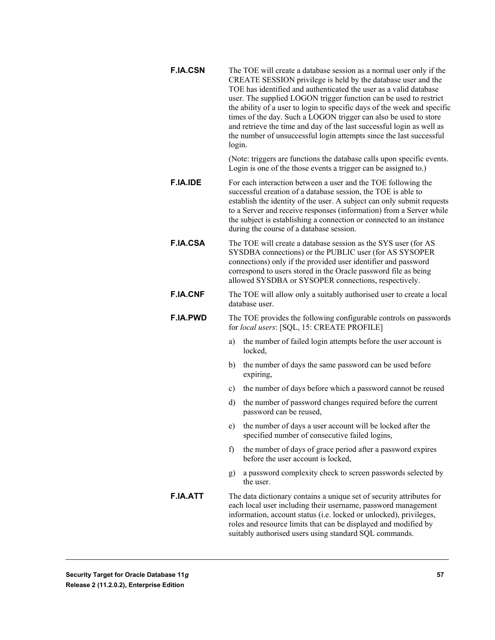**F.IA.CSN** The TOE will create a database session as a normal user only if the CREATE SESSION privilege is held by the database user and the TOE has identified and authenticated the user as a valid database user. The supplied LOGON trigger function can be used to restrict the ability of a user to login to specific days of the week and specific times of the day. Such a LOGON trigger can also be used to store and retrieve the time and day of the last successful login as well as the number of unsuccessful login attempts since the last successful login.

> (Note: triggers are functions the database calls upon specific events. Login is one of the those events a trigger can be assigned to.)

- **F.IA.IDE** For each interaction between a user and the TOE following the successful creation of a database session, the TOE is able to establish the identity of the user. A subject can only submit requests to a Server and receive responses (information) from a Server while the subject is establishing a connection or connected to an instance during the course of a database session.
- **F.IA.CSA** The TOE will create a database session as the SYS user (for AS SYSDBA connections) or the PUBLIC user (for AS SYSOPER connections) only if the provided user identifier and password correspond to users stored in the Oracle password file as being allowed SYSDBA or SYSOPER connections, respectively.
- **F.IA.CNF** The TOE will allow only a suitably authorised user to create a local database user.
- **F.IA.PWD** The TOE provides the following configurable controls on passwords for *local users*: [SQL, 15: CREATE PROFILE]
	- a) the number of failed login attempts before the user account is locked,
	- b) the number of days the same password can be used before expiring,
	- c) the number of days before which a password cannot be reused
	- d) the number of password changes required before the current password can be reused,
	- e) the number of days a user account will be locked after the specified number of consecutive failed logins,
	- f) the number of days of grace period after a password expires before the user account is locked,
	- g) a password complexity check to screen passwords selected by the user.
- **F.IA.ATT** The data dictionary contains a unique set of security attributes for each local user including their username, password management information, account status (i.e. locked or unlocked), privileges, roles and resource limits that can be displayed and modified by suitably authorised users using standard SQL commands.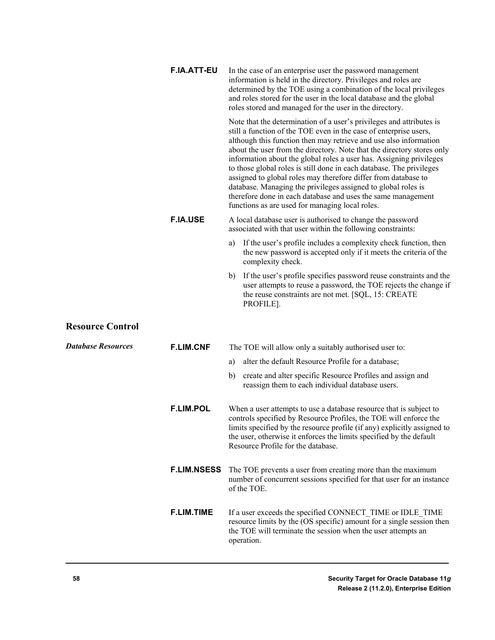| <b>F.IA.ATT-EU</b> | In the case of an enterprise user the password management<br>information is held in the directory. Privileges and roles are<br>determined by the TOE using a combination of the local privileges<br>and roles stored for the user in the local database and the global<br>roles stored and managed for the user in the directory.                                                                                                                                                                                                                                                                                                                                                             |
|--------------------|-----------------------------------------------------------------------------------------------------------------------------------------------------------------------------------------------------------------------------------------------------------------------------------------------------------------------------------------------------------------------------------------------------------------------------------------------------------------------------------------------------------------------------------------------------------------------------------------------------------------------------------------------------------------------------------------------|
|                    | Note that the determination of a user's privileges and attributes is<br>still a function of the TOE even in the case of enterprise users,<br>although this function then may retrieve and use also information<br>about the user from the directory. Note that the directory stores only<br>information about the global roles a user has. Assigning privileges<br>to those global roles is still done in each database. The privileges<br>assigned to global roles may therefore differ from database to<br>database. Managing the privileges assigned to global roles is<br>therefore done in each database and uses the same management<br>functions as are used for managing local roles. |
| <b>F.IA.USE</b>    | A local database user is authorised to change the password<br>associated with that user within the following constraints:                                                                                                                                                                                                                                                                                                                                                                                                                                                                                                                                                                     |
|                    | If the user's profile includes a complexity check function, then<br>a)<br>the new password is accepted only if it meets the criteria of the<br>complexity check.                                                                                                                                                                                                                                                                                                                                                                                                                                                                                                                              |
|                    | If the user's profile specifies password reuse constraints and the<br>b)<br>user attempts to reuse a password, the TOE rejects the change if<br>the reuse constraints are not met. [SQL, 15: CREATE<br>PROFILE].                                                                                                                                                                                                                                                                                                                                                                                                                                                                              |
|                    |                                                                                                                                                                                                                                                                                                                                                                                                                                                                                                                                                                                                                                                                                               |

# **Resource Control**

| <b>Database Resources</b> | <b>F.LIM.CNF</b>   | The TOE will allow only a suitably authorised user to:                                                                                                                                                                                                                                                                           |
|---------------------------|--------------------|----------------------------------------------------------------------------------------------------------------------------------------------------------------------------------------------------------------------------------------------------------------------------------------------------------------------------------|
|                           |                    | alter the default Resource Profile for a database;<br>a)                                                                                                                                                                                                                                                                         |
|                           |                    | b)<br>create and alter specific Resource Profiles and assign and<br>reassign them to each individual database users.                                                                                                                                                                                                             |
|                           | <b>F.LIM.POL</b>   | When a user attempts to use a database resource that is subject to<br>controls specified by Resource Profiles, the TOE will enforce the<br>limits specified by the resource profile (if any) explicitly assigned to<br>the user, otherwise it enforces the limits specified by the default<br>Resource Profile for the database. |
|                           | <b>F.LIM.NSESS</b> | The TOE prevents a user from creating more than the maximum<br>number of concurrent sessions specified for that user for an instance<br>of the TOE.                                                                                                                                                                              |
|                           | <b>F.LIM.TIME</b>  | If a user exceeds the specified CONNECT TIME or IDLE TIME<br>resource limits by the (OS specific) amount for a single session then<br>the TOE will terminate the session when the user attempts an<br>operation.                                                                                                                 |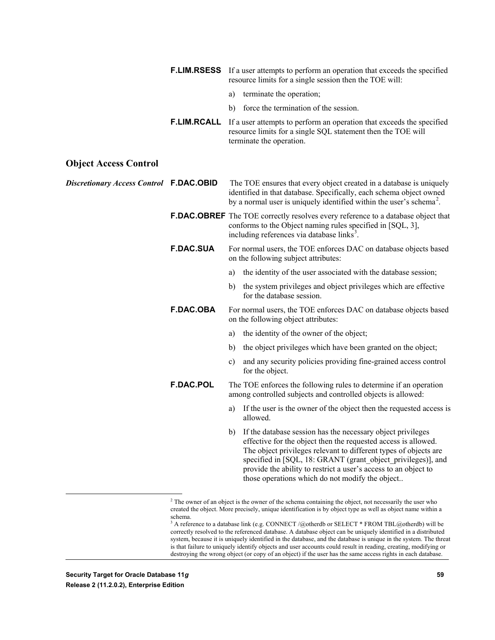|                                                |                    |               | <b>F.LIM.RSESS</b> If a user attempts to perform an operation that exceeds the specified<br>resource limits for a single session then the TOE will:                                                                                                                                                                                                                                     |
|------------------------------------------------|--------------------|---------------|-----------------------------------------------------------------------------------------------------------------------------------------------------------------------------------------------------------------------------------------------------------------------------------------------------------------------------------------------------------------------------------------|
|                                                |                    | a)            | terminate the operation;                                                                                                                                                                                                                                                                                                                                                                |
|                                                |                    | b)            | force the termination of the session.                                                                                                                                                                                                                                                                                                                                                   |
|                                                | <b>F.LIM.RCALL</b> |               | If a user attempts to perform an operation that exceeds the specified<br>resource limits for a single SQL statement then the TOE will<br>terminate the operation.                                                                                                                                                                                                                       |
| <b>Object Access Control</b>                   |                    |               |                                                                                                                                                                                                                                                                                                                                                                                         |
| <b>Discretionary Access Control F.DAC.OBID</b> |                    |               | The TOE ensures that every object created in a database is uniquely<br>identified in that database. Specifically, each schema object owned<br>by a normal user is uniquely identified within the user's schema <sup>2</sup> .                                                                                                                                                           |
|                                                |                    |               | <b>F.DAC.OBREF</b> The TOE correctly resolves every reference to a database object that<br>conforms to the Object naming rules specified in [SQL, 3],<br>including references via database links <sup>3</sup> .                                                                                                                                                                         |
|                                                | <b>F.DAC.SUA</b>   |               | For normal users, the TOE enforces DAC on database objects based<br>on the following subject attributes:                                                                                                                                                                                                                                                                                |
|                                                |                    | a)            | the identity of the user associated with the database session;                                                                                                                                                                                                                                                                                                                          |
|                                                |                    | b)            | the system privileges and object privileges which are effective<br>for the database session.                                                                                                                                                                                                                                                                                            |
|                                                | <b>F.DAC.OBA</b>   |               | For normal users, the TOE enforces DAC on database objects based<br>on the following object attributes:                                                                                                                                                                                                                                                                                 |
|                                                |                    | a)            | the identity of the owner of the object;                                                                                                                                                                                                                                                                                                                                                |
|                                                |                    | b)            | the object privileges which have been granted on the object;                                                                                                                                                                                                                                                                                                                            |
|                                                |                    | $\mathbf{c})$ | and any security policies providing fine-grained access control<br>for the object.                                                                                                                                                                                                                                                                                                      |
|                                                | <b>F.DAC.POL</b>   |               | The TOE enforces the following rules to determine if an operation<br>among controlled subjects and controlled objects is allowed:                                                                                                                                                                                                                                                       |
|                                                |                    | a)            | If the user is the owner of the object then the requested access is<br>allowed.                                                                                                                                                                                                                                                                                                         |
|                                                |                    | b)            | If the database session has the necessary object privileges<br>effective for the object then the requested access is allowed.<br>The object privileges relevant to different types of objects are<br>specified in [SQL, 18: GRANT (grant_object_privileges)], and<br>provide the ability to restrict a user's access to an object to<br>those operations which do not modify the object |
|                                                |                    |               | $2^2$ The owner of an object is the owner of the schema containing the object, not necessarily the user who                                                                                                                                                                                                                                                                             |

<span id="page-58-0"></span><sup>&</sup>lt;sup>2</sup> The owner of an object is the owner of the schema containing the object, not necessarily the user who created the object. More precisely, unique identification is by object type as well as object name within a schema.

<span id="page-58-1"></span> $3$  A reference to a database link (e.g. CONNECT /@otherdb or SELECT \* FROM TBL@otherdb) will be correctly resolved to the referenced database. A database object can be uniquely identified in a distributed system, because it is uniquely identified in the database, and the database is unique in the system. The threat is that failure to uniquely identify objects and user accounts could result in reading, creating, modifying or destroying the wrong object (or copy of an object) if the user has the same access rights in each database.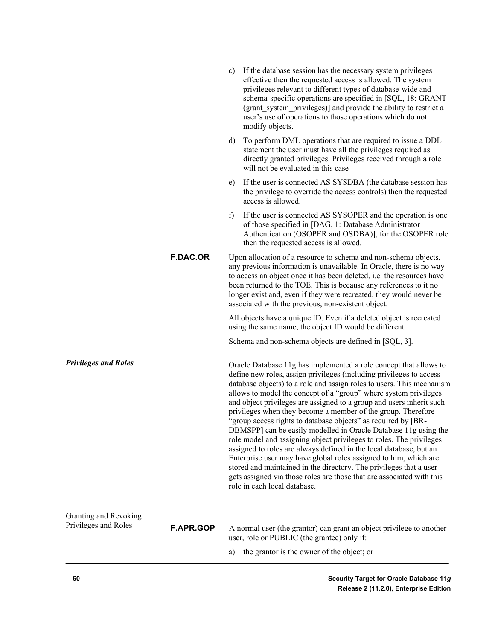|                                               |                  | C) | If the database session has the necessary system privileges<br>effective then the requested access is allowed. The system<br>privileges relevant to different types of database-wide and<br>schema-specific operations are specified in [SQL, 18: GRANT<br>(grant_system_privileges)] and provide the ability to restrict a<br>user's use of operations to those operations which do not<br>modify objects.                                                                                                                                                                                                                                                                                                                                                                                                                                                                                                                                                       |
|-----------------------------------------------|------------------|----|-------------------------------------------------------------------------------------------------------------------------------------------------------------------------------------------------------------------------------------------------------------------------------------------------------------------------------------------------------------------------------------------------------------------------------------------------------------------------------------------------------------------------------------------------------------------------------------------------------------------------------------------------------------------------------------------------------------------------------------------------------------------------------------------------------------------------------------------------------------------------------------------------------------------------------------------------------------------|
|                                               |                  | d) | To perform DML operations that are required to issue a DDL<br>statement the user must have all the privileges required as<br>directly granted privileges. Privileges received through a role<br>will not be evaluated in this case                                                                                                                                                                                                                                                                                                                                                                                                                                                                                                                                                                                                                                                                                                                                |
|                                               |                  | e) | If the user is connected AS SYSDBA (the database session has<br>the privilege to override the access controls) then the requested<br>access is allowed.                                                                                                                                                                                                                                                                                                                                                                                                                                                                                                                                                                                                                                                                                                                                                                                                           |
|                                               |                  | f) | If the user is connected AS SYSOPER and the operation is one<br>of those specified in [DAG, 1: Database Administrator<br>Authentication (OSOPER and OSDBA)], for the OSOPER role<br>then the requested access is allowed.                                                                                                                                                                                                                                                                                                                                                                                                                                                                                                                                                                                                                                                                                                                                         |
|                                               | <b>F.DAC.OR</b>  |    | Upon allocation of a resource to schema and non-schema objects,<br>any previous information is unavailable. In Oracle, there is no way<br>to access an object once it has been deleted, <i>i.e.</i> the resources have<br>been returned to the TOE. This is because any references to it no<br>longer exist and, even if they were recreated, they would never be<br>associated with the previous, non-existent object.                                                                                                                                                                                                                                                                                                                                                                                                                                                                                                                                           |
|                                               |                  |    | All objects have a unique ID. Even if a deleted object is recreated<br>using the same name, the object ID would be different.                                                                                                                                                                                                                                                                                                                                                                                                                                                                                                                                                                                                                                                                                                                                                                                                                                     |
|                                               |                  |    | Schema and non-schema objects are defined in [SQL, 3].                                                                                                                                                                                                                                                                                                                                                                                                                                                                                                                                                                                                                                                                                                                                                                                                                                                                                                            |
| <b>Privileges and Roles</b>                   |                  |    | Oracle Database 11g has implemented a role concept that allows to<br>define new roles, assign privileges (including privileges to access<br>database objects) to a role and assign roles to users. This mechanism<br>allows to model the concept of a "group" where system privileges<br>and object privileges are assigned to a group and users inherit such<br>privileges when they become a member of the group. Therefore<br>"group access rights to database objects" as required by [BR-<br>DBMSPP] can be easily modelled in Oracle Database 11g using the<br>role model and assigning object privileges to roles. The privileges<br>assigned to roles are always defined in the local database, but an<br>Enterprise user may have global roles assigned to him, which are<br>stored and maintained in the directory. The privileges that a user<br>gets assigned via those roles are those that are associated with this<br>role in each local database. |
| Granting and Revoking<br>Privileges and Roles | <b>F.APR.GOP</b> |    | A normal user (the grantor) can grant an object privilege to another<br>user, role or PUBLIC (the grantee) only if:                                                                                                                                                                                                                                                                                                                                                                                                                                                                                                                                                                                                                                                                                                                                                                                                                                               |
|                                               |                  | a) | the grantor is the owner of the object; or                                                                                                                                                                                                                                                                                                                                                                                                                                                                                                                                                                                                                                                                                                                                                                                                                                                                                                                        |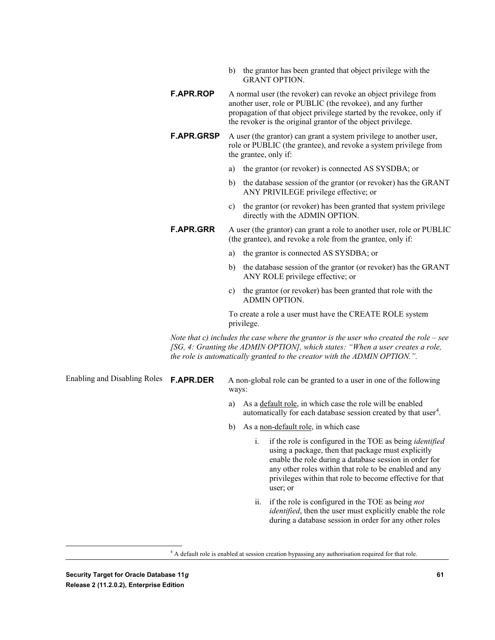- b) the grantor has been granted that object privilege with the GRANT OPTION.
- **F.APR.ROP** A normal user (the revoker) can revoke an object privilege from another user, role or PUBLIC (the revokee), and any further propagation of that object privilege started by the revokee, only if the revoker is the original grantor of the object privilege.
- **F.APR.GRSP** A user (the grantor) can grant a system privilege to another user, role or PUBLIC (the grantee), and revoke a system privilege from the grantee, only if:
	- a) the grantor (or revoker) is connected AS SYSDBA; or
	- b) the database session of the grantor (or revoker) has the GRANT ANY PRIVILEGE privilege effective; or
	- c) the grantor (or revoker) has been granted that system privilege directly with the ADMIN OPTION.
- **F.APR.GRR** A user (the grantor) can grant a role to another user, role or PUBLIC (the grantee), and revoke a role from the grantee, only if:
	- a) the grantor is connected AS SYSDBA; or
	- b) the database session of the grantor (or revoker) has the GRANT ANY ROLE privilege effective; or
	- c) the grantor (or revoker) has been granted that role with the ADMIN OPTION.

To create a role a user must have the CREATE ROLE system privilege.

*Note that c) includes the case where the grantor is the user who created the role – see [SG, 4: Granting the ADMIN OPTION], which states: "When a user creates a role, the role is automatically granted to the creator with the ADMIN OPTION.".*

Enabling and Disabling Roles

**F.APR.DER** A non-global role can be granted to a user in one of the following ways:

- a) As a default role, in which case the role will be enabled automatically for each database session created by that user $4$ .
- b) As a <u>non-default role</u>, in which case
	- i. if the role is configured in the TOE as being *identified* using a package, then that package must explicitly enable the role during a database session in order for any other roles within that role to be enabled and any privileges within that role to become effective for that user; or
	- ii. if the role is configured in the TOE as being *not identified*, then the user must explicitly enable the role during a database session in order for any other roles

<span id="page-60-0"></span><sup>&</sup>lt;sup>4</sup> A default role is enabled at session creation bypassing any authorisation required for that role.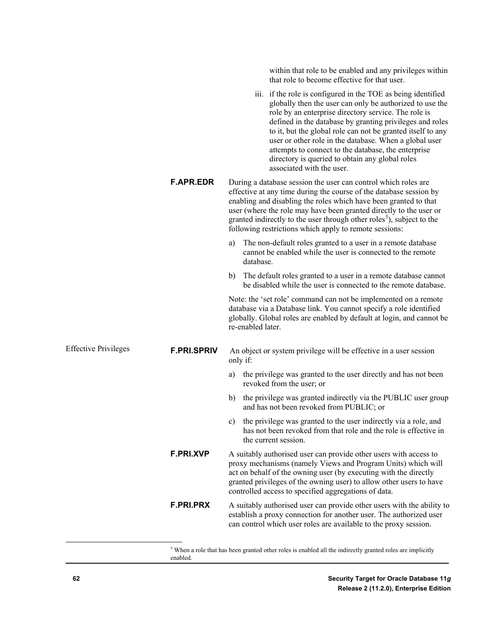| within that role to be enabled and any privileges within<br>that role to become effective for that user.<br>iii. if the role is configured in the TOE as being identified<br>globally then the user can only be authorized to use the<br>role by an enterprise directory service. The role is<br>defined in the database by granting privileges and roles<br>to it, but the global role can not be granted itself to any<br>user or other role in the database. When a global user<br>attempts to connect to the database, the enterprise<br>directory is queried to obtain any global roles<br>associated with the user.<br><b>F.APR.EDR</b><br>During a database session the user can control which roles are<br>effective at any time during the course of the database session by<br>enabling and disabling the roles which have been granted to that<br>user (where the role may have been granted directly to the user or<br>granted indirectly to the user through other roles <sup>5</sup> ), subject to the<br>following restrictions which apply to remote sessions:<br>The non-default roles granted to a user in a remote database<br>a)<br>cannot be enabled while the user is connected to the remote<br>database.<br>The default roles granted to a user in a remote database cannot<br>b)<br>be disabled while the user is connected to the remote database.<br>Note: the 'set role' command can not be implemented on a remote<br>database via a Database link. You cannot specify a role identified<br>globally. Global roles are enabled by default at login, and cannot be<br>re-enabled later.<br><b>Effective Privileges</b><br><b>F.PRI.SPRIV</b><br>An object or system privilege will be effective in a user session<br>only if:<br>the privilege was granted to the user directly and has not been<br>a)<br>revoked from the user; or<br>the privilege was granted indirectly via the PUBLIC user group<br>b)<br>and has not been revoked from PUBLIC; or<br>c) the privilege was granted to the user indirectly via a role, and<br>has not been revoked from that role and the role is effective in<br>the current session.<br><b>F.PRI.XVP</b><br>A suitably authorised user can provide other users with access to<br>proxy mechanisms (namely Views and Program Units) which will<br>act on behalf of the owning user (by executing with the directly<br>granted privileges of the owning user) to allow other users to have<br>controlled access to specified aggregations of data.<br>F.PRI.PRX<br>A suitably authorised user can provide other users with the ability to<br>establish a proxy connection for another user. The authorized user<br>can control which user roles are available to the proxy session. |  |
|-----------------------------------------------------------------------------------------------------------------------------------------------------------------------------------------------------------------------------------------------------------------------------------------------------------------------------------------------------------------------------------------------------------------------------------------------------------------------------------------------------------------------------------------------------------------------------------------------------------------------------------------------------------------------------------------------------------------------------------------------------------------------------------------------------------------------------------------------------------------------------------------------------------------------------------------------------------------------------------------------------------------------------------------------------------------------------------------------------------------------------------------------------------------------------------------------------------------------------------------------------------------------------------------------------------------------------------------------------------------------------------------------------------------------------------------------------------------------------------------------------------------------------------------------------------------------------------------------------------------------------------------------------------------------------------------------------------------------------------------------------------------------------------------------------------------------------------------------------------------------------------------------------------------------------------------------------------------------------------------------------------------------------------------------------------------------------------------------------------------------------------------------------------------------------------------------------------------------------------------------------------------------------------------------------------------------------------------------------------------------------------------------------------------------------------------------------------------------------------------------------------------------------------------------------------------------------------------------------------------------------------------------------------------------------------------------------------------------------------------------------|--|
|                                                                                                                                                                                                                                                                                                                                                                                                                                                                                                                                                                                                                                                                                                                                                                                                                                                                                                                                                                                                                                                                                                                                                                                                                                                                                                                                                                                                                                                                                                                                                                                                                                                                                                                                                                                                                                                                                                                                                                                                                                                                                                                                                                                                                                                                                                                                                                                                                                                                                                                                                                                                                                                                                                                                                     |  |
|                                                                                                                                                                                                                                                                                                                                                                                                                                                                                                                                                                                                                                                                                                                                                                                                                                                                                                                                                                                                                                                                                                                                                                                                                                                                                                                                                                                                                                                                                                                                                                                                                                                                                                                                                                                                                                                                                                                                                                                                                                                                                                                                                                                                                                                                                                                                                                                                                                                                                                                                                                                                                                                                                                                                                     |  |
|                                                                                                                                                                                                                                                                                                                                                                                                                                                                                                                                                                                                                                                                                                                                                                                                                                                                                                                                                                                                                                                                                                                                                                                                                                                                                                                                                                                                                                                                                                                                                                                                                                                                                                                                                                                                                                                                                                                                                                                                                                                                                                                                                                                                                                                                                                                                                                                                                                                                                                                                                                                                                                                                                                                                                     |  |
|                                                                                                                                                                                                                                                                                                                                                                                                                                                                                                                                                                                                                                                                                                                                                                                                                                                                                                                                                                                                                                                                                                                                                                                                                                                                                                                                                                                                                                                                                                                                                                                                                                                                                                                                                                                                                                                                                                                                                                                                                                                                                                                                                                                                                                                                                                                                                                                                                                                                                                                                                                                                                                                                                                                                                     |  |
|                                                                                                                                                                                                                                                                                                                                                                                                                                                                                                                                                                                                                                                                                                                                                                                                                                                                                                                                                                                                                                                                                                                                                                                                                                                                                                                                                                                                                                                                                                                                                                                                                                                                                                                                                                                                                                                                                                                                                                                                                                                                                                                                                                                                                                                                                                                                                                                                                                                                                                                                                                                                                                                                                                                                                     |  |
|                                                                                                                                                                                                                                                                                                                                                                                                                                                                                                                                                                                                                                                                                                                                                                                                                                                                                                                                                                                                                                                                                                                                                                                                                                                                                                                                                                                                                                                                                                                                                                                                                                                                                                                                                                                                                                                                                                                                                                                                                                                                                                                                                                                                                                                                                                                                                                                                                                                                                                                                                                                                                                                                                                                                                     |  |
|                                                                                                                                                                                                                                                                                                                                                                                                                                                                                                                                                                                                                                                                                                                                                                                                                                                                                                                                                                                                                                                                                                                                                                                                                                                                                                                                                                                                                                                                                                                                                                                                                                                                                                                                                                                                                                                                                                                                                                                                                                                                                                                                                                                                                                                                                                                                                                                                                                                                                                                                                                                                                                                                                                                                                     |  |
|                                                                                                                                                                                                                                                                                                                                                                                                                                                                                                                                                                                                                                                                                                                                                                                                                                                                                                                                                                                                                                                                                                                                                                                                                                                                                                                                                                                                                                                                                                                                                                                                                                                                                                                                                                                                                                                                                                                                                                                                                                                                                                                                                                                                                                                                                                                                                                                                                                                                                                                                                                                                                                                                                                                                                     |  |
|                                                                                                                                                                                                                                                                                                                                                                                                                                                                                                                                                                                                                                                                                                                                                                                                                                                                                                                                                                                                                                                                                                                                                                                                                                                                                                                                                                                                                                                                                                                                                                                                                                                                                                                                                                                                                                                                                                                                                                                                                                                                                                                                                                                                                                                                                                                                                                                                                                                                                                                                                                                                                                                                                                                                                     |  |
|                                                                                                                                                                                                                                                                                                                                                                                                                                                                                                                                                                                                                                                                                                                                                                                                                                                                                                                                                                                                                                                                                                                                                                                                                                                                                                                                                                                                                                                                                                                                                                                                                                                                                                                                                                                                                                                                                                                                                                                                                                                                                                                                                                                                                                                                                                                                                                                                                                                                                                                                                                                                                                                                                                                                                     |  |
|                                                                                                                                                                                                                                                                                                                                                                                                                                                                                                                                                                                                                                                                                                                                                                                                                                                                                                                                                                                                                                                                                                                                                                                                                                                                                                                                                                                                                                                                                                                                                                                                                                                                                                                                                                                                                                                                                                                                                                                                                                                                                                                                                                                                                                                                                                                                                                                                                                                                                                                                                                                                                                                                                                                                                     |  |
|                                                                                                                                                                                                                                                                                                                                                                                                                                                                                                                                                                                                                                                                                                                                                                                                                                                                                                                                                                                                                                                                                                                                                                                                                                                                                                                                                                                                                                                                                                                                                                                                                                                                                                                                                                                                                                                                                                                                                                                                                                                                                                                                                                                                                                                                                                                                                                                                                                                                                                                                                                                                                                                                                                                                                     |  |

<span id="page-61-0"></span>**Example 2018**<br>S When a role that has been granted other roles is enabled all the indirectly granted roles are implicitly enabled.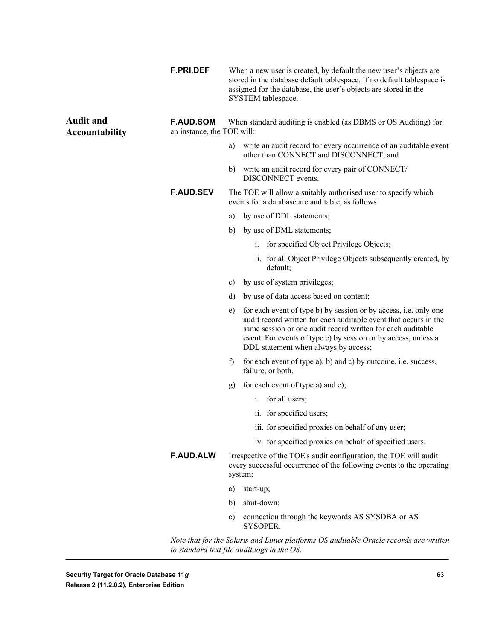|                                           | <b>F.PRI.DEF</b>                               |               | When a new user is created, by default the new user's objects are<br>stored in the database default tablespace. If no default tablespace is<br>assigned for the database, the user's objects are stored in the<br>SYSTEM tablespace.                                                                          |
|-------------------------------------------|------------------------------------------------|---------------|---------------------------------------------------------------------------------------------------------------------------------------------------------------------------------------------------------------------------------------------------------------------------------------------------------------|
| <b>Audit and</b><br><b>Accountability</b> | <b>F.AUD.SOM</b><br>an instance, the TOE will: |               | When standard auditing is enabled (as DBMS or OS Auditing) for                                                                                                                                                                                                                                                |
|                                           |                                                | a)            | write an audit record for every occurrence of an auditable event<br>other than CONNECT and DISCONNECT; and                                                                                                                                                                                                    |
|                                           |                                                | b)            | write an audit record for every pair of CONNECT/<br>DISCONNECT events.                                                                                                                                                                                                                                        |
|                                           | <b>F.AUD.SEV</b>                               |               | The TOE will allow a suitably authorised user to specify which<br>events for a database are auditable, as follows:                                                                                                                                                                                            |
|                                           |                                                | a)            | by use of DDL statements;                                                                                                                                                                                                                                                                                     |
|                                           |                                                | b)            | by use of DML statements;                                                                                                                                                                                                                                                                                     |
|                                           |                                                |               | i. for specified Object Privilege Objects;                                                                                                                                                                                                                                                                    |
|                                           |                                                |               | ii. for all Object Privilege Objects subsequently created, by<br>default;                                                                                                                                                                                                                                     |
|                                           |                                                | c)            | by use of system privileges;                                                                                                                                                                                                                                                                                  |
|                                           |                                                | d)            | by use of data access based on content;                                                                                                                                                                                                                                                                       |
|                                           |                                                | e)            | for each event of type b) by session or by access, i.e. only one<br>audit record written for each auditable event that occurs in the<br>same session or one audit record written for each auditable<br>event. For events of type c) by session or by access, unless a<br>DDL statement when always by access; |
|                                           |                                                | f)            | for each event of type a), b) and c) by outcome, i.e. success,<br>failure, or both.                                                                                                                                                                                                                           |
|                                           |                                                | g)            | for each event of type a) and c);                                                                                                                                                                                                                                                                             |
|                                           |                                                |               | i. for all users;                                                                                                                                                                                                                                                                                             |
|                                           |                                                |               | ii. for specified users;                                                                                                                                                                                                                                                                                      |
|                                           |                                                |               | iii. for specified proxies on behalf of any user;                                                                                                                                                                                                                                                             |
|                                           |                                                |               | iv. for specified proxies on behalf of specified users;                                                                                                                                                                                                                                                       |
|                                           | <b>F.AUD.ALW</b>                               |               | Irrespective of the TOE's audit configuration, the TOE will audit<br>every successful occurrence of the following events to the operating<br>system:                                                                                                                                                          |
|                                           |                                                | a)            | start-up;                                                                                                                                                                                                                                                                                                     |
|                                           |                                                | b)            | shut-down;                                                                                                                                                                                                                                                                                                    |
|                                           |                                                | $\mathbf{c})$ | connection through the keywords AS SYSDBA or AS<br>SYSOPER.                                                                                                                                                                                                                                                   |
|                                           |                                                |               | Note that for the Solaris and Linux platforms OS auditable Oracle records are written                                                                                                                                                                                                                         |

*to standard text file audit logs in the OS.*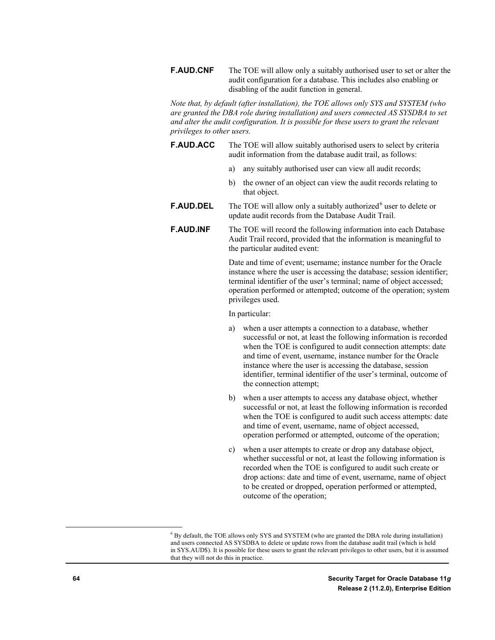**F.AUD.CNF** The TOE will allow only a suitably authorised user to set or alter the audit configuration for a database. This includes also enabling or disabling of the audit function in general.

*Note that, by default (after installation), the TOE allows only SYS and SYSTEM (who are granted the DBA role during installation) and users connected AS SYSDBA to set and alter the audit configuration. It is possible for these users to grant the relevant privileges to other users.*

- **F.AUD.ACC** The TOE will allow suitably authorised users to select by criteria audit information from the database audit trail, as follows:
	- a) any suitably authorised user can view all audit records;
	- b) the owner of an object can view the audit records relating to that object.
- **F.AUD.DEL** The TOE will allow only a suitably authorized<sup>[6](#page-63-0)</sup> user to delete or update audit records from the Database Audit Trail.
- **F.AUD.INF** The TOE will record the following information into each Database Audit Trail record, provided that the information is meaningful to the particular audited event:

Date and time of event; username; instance number for the Oracle instance where the user is accessing the database; session identifier; terminal identifier of the user's terminal; name of object accessed; operation performed or attempted; outcome of the operation; system privileges used.

In particular:

- a) when a user attempts a connection to a database, whether successful or not, at least the following information is recorded when the TOE is configured to audit connection attempts: date and time of event, username, instance number for the Oracle instance where the user is accessing the database, session identifier, terminal identifier of the user's terminal, outcome of the connection attempt;
- b) when a user attempts to access any database object, whether successful or not, at least the following information is recorded when the TOE is configured to audit such access attempts: date and time of event, username, name of object accessed, operation performed or attempted, outcome of the operation;
- c) when a user attempts to create or drop any database object, whether successful or not, at least the following information is recorded when the TOE is configured to audit such create or drop actions: date and time of event, username, name of object to be created or dropped, operation performed or attempted, outcome of the operation;

<span id="page-63-0"></span> <sup>6</sup> By default, the TOE allows only SYS and SYSTEM (who are granted the DBA role during installation) and users connected AS SYSDBA to delete or update rows from the database audit trail (which is held in SYS.AUD\$). It is possible for these users to grant the relevant privileges to other users, but it is assumed that they will not do this in practice.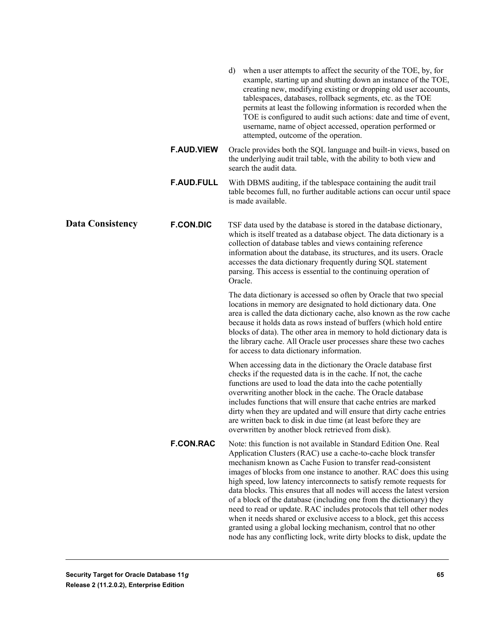|                         |                   | when a user attempts to affect the security of the TOE, by, for<br>d)<br>example, starting up and shutting down an instance of the TOE,<br>creating new, modifying existing or dropping old user accounts,<br>tablespaces, databases, rollback segments, etc. as the TOE<br>permits at least the following information is recorded when the<br>TOE is configured to audit such actions: date and time of event,<br>username, name of object accessed, operation performed or<br>attempted, outcome of the operation.                                                                                                                                                                                                                                                                            |
|-------------------------|-------------------|-------------------------------------------------------------------------------------------------------------------------------------------------------------------------------------------------------------------------------------------------------------------------------------------------------------------------------------------------------------------------------------------------------------------------------------------------------------------------------------------------------------------------------------------------------------------------------------------------------------------------------------------------------------------------------------------------------------------------------------------------------------------------------------------------|
|                         | <b>F.AUD.VIEW</b> | Oracle provides both the SQL language and built-in views, based on<br>the underlying audit trail table, with the ability to both view and<br>search the audit data.                                                                                                                                                                                                                                                                                                                                                                                                                                                                                                                                                                                                                             |
|                         | <b>F.AUD.FULL</b> | With DBMS auditing, if the tablespace containing the audit trail<br>table becomes full, no further auditable actions can occur until space<br>is made available.                                                                                                                                                                                                                                                                                                                                                                                                                                                                                                                                                                                                                                |
| <b>Data Consistency</b> | <b>F.CON.DIC</b>  | TSF data used by the database is stored in the database dictionary,<br>which is itself treated as a database object. The data dictionary is a<br>collection of database tables and views containing reference<br>information about the database, its structures, and its users. Oracle<br>accesses the data dictionary frequently during SQL statement<br>parsing. This access is essential to the continuing operation of<br>Oracle.                                                                                                                                                                                                                                                                                                                                                           |
|                         |                   | The data dictionary is accessed so often by Oracle that two special<br>locations in memory are designated to hold dictionary data. One<br>area is called the data dictionary cache, also known as the row cache<br>because it holds data as rows instead of buffers (which hold entire<br>blocks of data). The other area in memory to hold dictionary data is<br>the library cache. All Oracle user processes share these two caches<br>for access to data dictionary information.                                                                                                                                                                                                                                                                                                             |
|                         |                   | When accessing data in the dictionary the Oracle database first<br>checks if the requested data is in the cache. If not, the cache<br>functions are used to load the data into the cache potentially<br>overwriting another block in the cache. The Oracle database<br>includes functions that will ensure that cache entries are marked<br>dirty when they are updated and will ensure that dirty cache entries<br>are written back to disk in due time (at least before they are<br>overwritten by another block retrieved from disk).                                                                                                                                                                                                                                                        |
|                         | <b>F.CON.RAC</b>  | Note: this function is not available in Standard Edition One. Real<br>Application Clusters (RAC) use a cache-to-cache block transfer<br>mechanism known as Cache Fusion to transfer read-consistent<br>images of blocks from one instance to another. RAC does this using<br>high speed, low latency interconnects to satisfy remote requests for<br>data blocks. This ensures that all nodes will access the latest version<br>of a block of the database (including one from the dictionary) they<br>need to read or update. RAC includes protocols that tell other nodes<br>when it needs shared or exclusive access to a block, get this access<br>granted using a global locking mechanism, control that no other<br>node has any conflicting lock, write dirty blocks to disk, update the |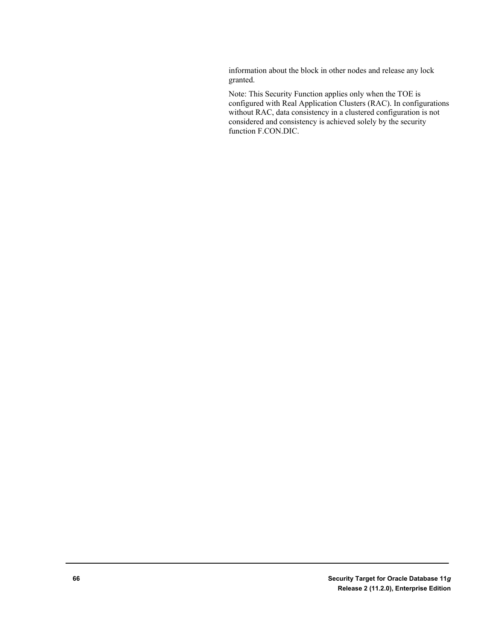information about the block in other nodes and release any lock granted.

Note: This Security Function applies only when the TOE is configured with Real Application Clusters (RAC). In configurations without RAC, data consistency in a clustered configuration is not considered and consistency is achieved solely by the security function F.CON.DIC.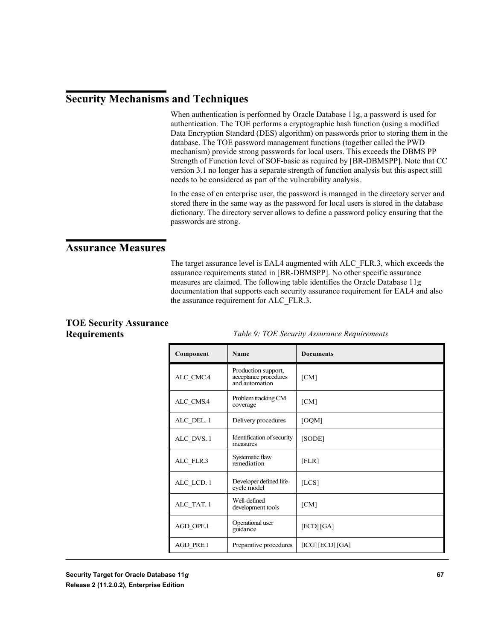# **Security Mechanisms and Techniques**

When authentication is performed by Oracle Database 11g, a password is used for authentication. The TOE performs a cryptographic hash function (using a modified Data Encryption Standard (DES) algorithm) on passwords prior to storing them in the database. The TOE password management functions (together called the PWD mechanism) provide strong passwords for local users. This exceeds the DBMS PP Strength of Function level of SOF-basic as required by [BR-DBMSPP]. Note that CC version 3.1 no longer has a separate strength of function analysis but this aspect still needs to be considered as part of the vulnerability analysis.

In the case of en enterprise user, the password is managed in the directory server and stored there in the same way as the password for local users is stored in the database dictionary. The directory server allows to define a password policy ensuring that the passwords are strong.

## **Assurance Measures**

The target assurance level is EAL4 augmented with ALC\_FLR.3, which exceeds the assurance requirements stated in [BR-DBMSPP]. No other specific assurance measures are claimed. The following table identifies the Oracle Database 11g documentation that supports each security assurance requirement for EAL4 and also the assurance requirement for ALC\_FLR.3.

#### **TOE Security Assurance Requirements**

*Table 9: TOE Security Assurance Requirements*

| Component  | Name                                                           | <b>Documents</b> |
|------------|----------------------------------------------------------------|------------------|
| ALC_CMC.4  | Production support,<br>acceptance procedures<br>and automation | [CM]             |
| ALC_CMS.4  | Problem tracking CM<br>coverage                                | [CM]             |
| ALC DEL. 1 | Delivery procedures                                            | [OQM]            |
| ALC DVS. 1 | Identification of security<br>measures                         | [SODE]           |
| ALC_FLR.3  | Systematic flaw<br>remediation                                 | [FLR]            |
| ALC_LCD. 1 | Developer defined life-<br>cycle model                         | [LCS]            |
| ALC TAT. 1 | Well-defined<br>development tools                              | [CM]             |
| AGD OPE.1  | Operational user<br>guidance                                   | [ECD] [GA]       |
| AGD PRE.1  | Preparative procedures                                         | [ICG] [ECD] [GA] |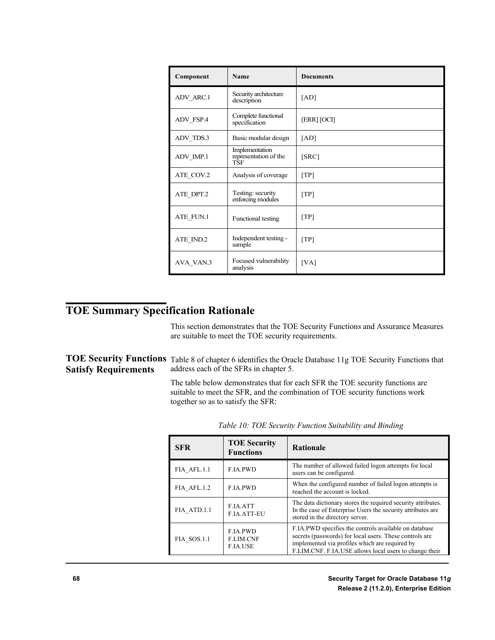| Component | Name                                           | <b>Documents</b> |
|-----------|------------------------------------------------|------------------|
| ADV_ARC.1 | Security architecture<br>description           | [AD]             |
| ADV FSP.4 | Complete functional<br>specification           | [ERR] [OCI]      |
| ADV_TDS.3 | Basic modular design                           | [AD]             |
| ADV_IMP.1 | Implementation<br>representation of the<br>TŜF | [SRC]            |
| ATE_COV.2 | Analysis of coverage                           | [TP]             |
| ATE_DPT.2 | Testing: security<br>enforcing modules         | [TP]             |
| ATE FUN.1 | Functional testing                             | [TP]             |
| ATE_IND.2 | Independent testing -<br>sample                | [TP]             |
| AVA_VAN.3 | Focused vulnerability<br>analysis              | [VA]             |

# **TOE Summary Specification Rationale**

This section demonstrates that the TOE Security Functions and Assurance Measures are suitable to meet the TOE security requirements.

|                             | TOE Security Functions Table 8 of chapter 6 identifies the Oracle Database 11g TOE Security Functions that |
|-----------------------------|------------------------------------------------------------------------------------------------------------|
| <b>Satisfy Requirements</b> | address each of the SFRs in chapter 5.                                                                     |

The table below demonstrates that for each SFR the TOE security functions are suitable to meet the SFR, and the combination of TOE security functions work together so as to satisfy the SFR:

| <b>SFR</b>  | <b>TOE Security</b><br><b>Functions</b>                | <b>Rationale</b>                                                                                                                                                                                                             |
|-------------|--------------------------------------------------------|------------------------------------------------------------------------------------------------------------------------------------------------------------------------------------------------------------------------------|
| FIA AFL.1.1 | <b>F.IA.PWD</b>                                        | The number of allowed failed logon attempts for local<br>users can be configured.                                                                                                                                            |
| FIA AFL.1.2 | <b>F.IA.PWD</b>                                        | When the configured number of failed logon attempts is<br>reached the account is locked.                                                                                                                                     |
| FIA ATD.1.1 | F.IA.ATT<br><b>F.IA.ATT-EU</b>                         | The data dictionary stores the required security attributes.<br>In the case of Enterprise Users the security attributes are<br>stored in the directory server.                                                               |
| FIA SOS.1.1 | <b>F.IA.PWD</b><br><b>F.LIM.CNF</b><br><b>F.IA.USE</b> | F.IA.PWD specifies the controls available on database<br>secrets (passwords) for local users. These controls are<br>implemented via profiles which are required by<br>F.LIM.CNF. F.IA.USE allows local users to change their |

*Table 10: TOE Security Function Suitability and Binding*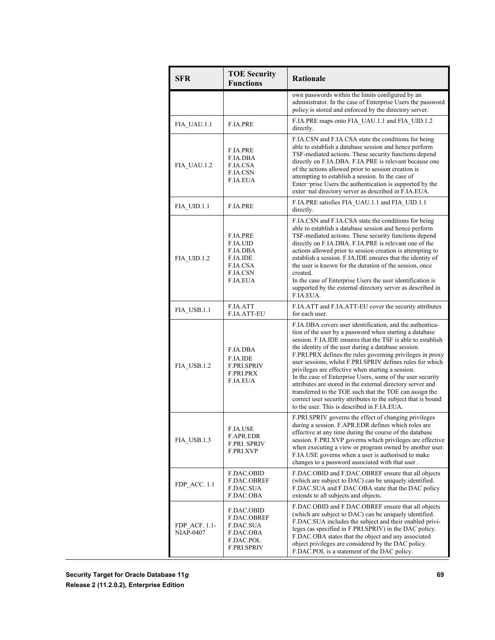| <b>SFR</b>                        | <b>TOE Security</b><br><b>Functions</b>                                                       | <b>Rationale</b>                                                                                                                                                                                                                                                                                                                                                                                                                                                                                                                                                                                                                                                                                                                |
|-----------------------------------|-----------------------------------------------------------------------------------------------|---------------------------------------------------------------------------------------------------------------------------------------------------------------------------------------------------------------------------------------------------------------------------------------------------------------------------------------------------------------------------------------------------------------------------------------------------------------------------------------------------------------------------------------------------------------------------------------------------------------------------------------------------------------------------------------------------------------------------------|
|                                   |                                                                                               | own passwords within the limits configured by an<br>administrator. In the case of Enterprise Users the password<br>policy is stored and enforced by the directory server.                                                                                                                                                                                                                                                                                                                                                                                                                                                                                                                                                       |
| FIA UAU.1.1                       | F.IA.PRE                                                                                      | F.IA.PRE maps onto FIA UAU.1.1 and FIA UID.1.2<br>directly.                                                                                                                                                                                                                                                                                                                                                                                                                                                                                                                                                                                                                                                                     |
| FIA_UAU.1.2                       | F.IA.PRE<br>F.IA.DBA<br>F.IA.CSA<br>F.IA.CSN<br>F.IA.EUA                                      | F.IA.CSN and F.IA.CSA state the conditions for being<br>able to establish a database session and hence perform<br>TSF-mediated actions. These security functions depend<br>directly on F.IA.DBA. F.IA.PRE is relevant because one<br>of the actions allowed prior to session creation is<br>attempting to establish a session. In the case of<br>Enter-prise Users the authentication is supported by the<br>exter-mal directory server as described in F.IA.EUA.                                                                                                                                                                                                                                                               |
| FIA UID.1.1                       | F.IA.PRE                                                                                      | F.IA.PRE satisfies FIA UAU.1.1 and FIA UID.1.1<br>directly.                                                                                                                                                                                                                                                                                                                                                                                                                                                                                                                                                                                                                                                                     |
| FIA UID.1.2                       | F.IA.PRE<br><b>F.IA.UID</b><br>F.IA.DBA<br>F.IA.IDE<br>F.IA.CSA<br>F.IA.CSN<br>F.IA.EUA       | F.IA.CSN and F.IA.CSA state the conditions for being<br>able to establish a database session and hence perform<br>TSF-mediated actions. These security functions depend<br>directly on F.IA.DBA. F.IA.PRE is relevant one of the<br>actions allowed prior to session creation is attempting to<br>establish a session. F.IA.IDE ensures that the identity of<br>the user is known for the duration of the session, once<br>created.<br>In the case of Enterprise Users the user identification is<br>supported by the external directory server as described in<br>F.IA.EUA.                                                                                                                                                    |
| FIA USB.1.1                       | F.IA.ATT<br>F.IA.ATT-EU                                                                       | F.IA.ATT and F.IA.ATT-EU cover the security attributes<br>for each user.                                                                                                                                                                                                                                                                                                                                                                                                                                                                                                                                                                                                                                                        |
| FIA USB.1.2                       | F.IA.DBA<br>F.IA.IDE<br><b>F.PRI.SPRIV</b><br>F.PRI.PRX<br>F.IA.EUA                           | F.IA.DBA covers user identification, and the authentica-<br>tion of the user by a password when starting a database<br>session. F.IA.IDE ensures that the TSF is able to establish<br>the identity of the user during a database session.<br>F.PRI.PRX defines the rules governing privileges in proxy<br>user sessions, whilst F.PRI.SPRIV defines rules for which<br>privileges are effective when starting a session.<br>In the case of Enterprise Users, some of the user security<br>attributes are stored in the external directory server and<br>transferred to the TOE such that the TOE can assign the<br>correct user security attributes to the subject that is bound<br>to the user. This is described in F.IA.EUA. |
| FIA USB.1.3                       | F.IA.USE<br>F.APR.EDR<br>F.PRI. SPRIV<br>F.PRI.XVP                                            | F.PRI.SPRIV governs the effect of changing privileges<br>during a session. F.APR.EDR defines which roles are<br>effective at any time during the course of the database<br>session. F.PRI.XVP governs which privileges are effective<br>when executing a view or program owned by another user.<br>F.IA.USE governs when a user is authorised to make<br>changes to a password associated with that user.                                                                                                                                                                                                                                                                                                                       |
| FDP ACC. 1.1                      | F.DAC.OBID<br>F.DAC.OBREF<br>F.DAC.SUA<br>F.DAC.OBA                                           | F.DAC.OBID and F.DAC.OBREF ensure that all objects<br>(which are subject to DAC) can be uniquely identified.<br>F.DAC.SUA and F.DAC.OBA state that the DAC policy<br>extends to all subjects and objects.                                                                                                                                                                                                                                                                                                                                                                                                                                                                                                                       |
| FDP ACF. 1.1-<br><b>NIAP-0407</b> | F.DAC.OBID<br>F.DAC.OBREF<br><b>F.DAC.SUA</b><br>F.DAC.OBA<br>F.DAC.POL<br><b>F.PRI.SPRIV</b> | F.DAC.OBID and F.DAC.OBREF ensure that all objects<br>(which are subject to DAC) can be uniquely identified.<br>F.DAC.SUA includes the subject and their enabled privi-<br>leges (as specified in F.PRI.SPRIV) in the DAC policy.<br>F.DAC.OBA states that the object and any associated<br>object privileges are considered by the DAC policy.<br>F.DAC.POL is a statement of the DAC policy.                                                                                                                                                                                                                                                                                                                                  |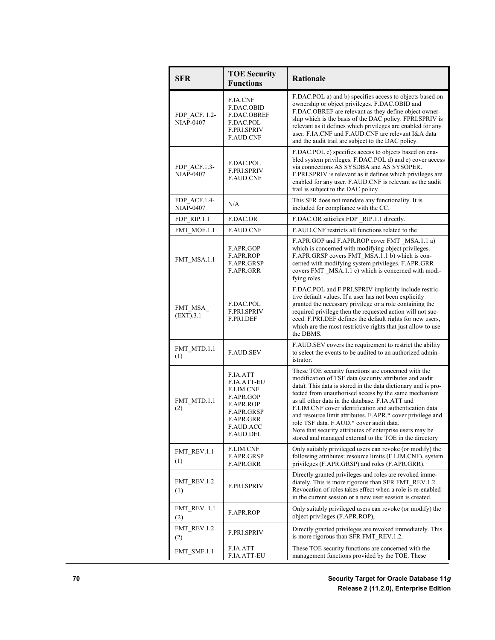| <b>SFR</b>                        | <b>TOE Security</b><br><b>Functions</b>                                                                                                  | <b>Rationale</b>                                                                                                                                                                                                                                                                                                                                                                                                                                                                                                                                                                       |
|-----------------------------------|------------------------------------------------------------------------------------------------------------------------------------------|----------------------------------------------------------------------------------------------------------------------------------------------------------------------------------------------------------------------------------------------------------------------------------------------------------------------------------------------------------------------------------------------------------------------------------------------------------------------------------------------------------------------------------------------------------------------------------------|
| FDP ACF. 1.2-<br><b>NIAP-0407</b> | <b>F.IA.CNF</b><br>F.DAC.OBID<br>F.DAC.OBREF<br>F.DAC.POL<br><b>F.PRI.SPRIV</b><br><b>F.AUD.CNF</b>                                      | F.DAC.POL a) and b) specifies access to objects based on<br>ownership or object privileges. F.DAC.OBID and<br>F.DAC.OBREF are relevant as they define object owner-<br>ship which is the basis of the DAC policy. FPRI SPRIV is<br>relevant as it defines which privileges are enabled for any<br>user. F.IA.CNF and F.AUD.CNF are relevant I&A data<br>and the audit trail are subject to the DAC policy.                                                                                                                                                                             |
| FDP ACF.1.3-<br><b>NIAP-0407</b>  | F.DAC.POL<br><b>F.PRI.SPRIV</b><br><b>F.AUD.CNF</b>                                                                                      | F.DAC.POL c) specifies access to objects based on ena-<br>bled system privileges. F.DAC.POL d) and e) cover access<br>via connections AS SYSDBA and AS SYSOPER.<br>F.PRI.SPRIV is relevant as it defines which privileges are<br>enabled for any user. F.AUD.CNF is relevant as the audit<br>trail is subject to the DAC policy                                                                                                                                                                                                                                                        |
| FDP_ACF.1.4-<br><b>NIAP-0407</b>  | N/A                                                                                                                                      | This SFR does not mandate any functionality. It is<br>included for compliance with the CC.                                                                                                                                                                                                                                                                                                                                                                                                                                                                                             |
| FDP RIP.1.1                       | F.DAC.OR                                                                                                                                 | F.DAC.OR satisfies FDP RIP.1.1 directly.                                                                                                                                                                                                                                                                                                                                                                                                                                                                                                                                               |
| FMT MOF.1.1                       | <b>F.AUD.CNF</b>                                                                                                                         | F.AUD.CNF restricts all functions related to the                                                                                                                                                                                                                                                                                                                                                                                                                                                                                                                                       |
| FMT_MSA.1.1                       | F.APR.GOP<br>F.APR.ROP<br>F.APR.GRSP<br><b>F.APR.GRR</b>                                                                                 | F.APR.GOP and F.APR.ROP cover FMT MSA.1.1 a)<br>which is concerned with modifying object privileges.<br>F.APR.GRSP covers FMT MSA.1.1 b) which is con-<br>cerned with modifying system privileges. F.APR.GRR<br>covers FMT MSA.1.1 c) which is concerned with modi-<br>fying roles.                                                                                                                                                                                                                                                                                                    |
| FMT_MSA_<br>(EXT).3.1             | F.DAC.POL<br><b>F.PRI.SPRIV</b><br>F.PRI.DEF                                                                                             | F.DAC.POL and F.PRI.SPRIV implicitly include restric-<br>tive default values. If a user has not been explicitly<br>granted the necessary privilege or a role containing the<br>required privilege then the requested action will not suc-<br>ceed. F.PRI.DEF defines the default rights for new users,<br>which are the most restrictive rights that just allow to use<br>the DBMS.                                                                                                                                                                                                    |
| FMT MTD.1.1<br>(1)                | <b>F.AUD.SEV</b>                                                                                                                         | F.AUD.SEV covers the requirement to restrict the ability<br>to select the events to be audited to an authorized admin-<br><i>istrator.</i>                                                                                                                                                                                                                                                                                                                                                                                                                                             |
| FMT_MTD.1.1<br>(2)                | F.IA.ATT<br><b>F.IA.ATT-EU</b><br>F.LIM.CNF<br>F.APR.GOP<br><b>F.APR.ROP</b><br>F.APR.GRSP<br>F.APR.GRR<br><b>F.AUD.ACC</b><br>F.AUD.DEL | These TOE security functions are concerned with the<br>modification of TSF data (security attributes and audit<br>data). This data is stored in the data dictionary and is pro-<br>tected from unauthorised access by the same mechanism<br>as all other data in the database. F.IA.ATT and<br>F.LIM.CNF cover identification and authentication data<br>and resource limit attributes. F.APR.* cover privilege and<br>role TSF data. F.AUD.* cover audit data.<br>Note that security attributes of enterprise users may be<br>stored and managed external to the TOE in the directory |
| FMT REV.1.1<br>(1)                | F.LIM.CNF<br>F.APR.GRSP<br>F.APR.GRR                                                                                                     | Only suitably privileged users can revoke (or modify) the<br>following attributes: resource limits (F.LIM.CNF), system<br>privileges (F.APR.GRSP) and roles (F.APR.GRR).                                                                                                                                                                                                                                                                                                                                                                                                               |
| FMT REV.1.2<br>(1)                | <b>F.PRI.SPRIV</b>                                                                                                                       | Directly granted privileges and roles are revoked imme-<br>diately. This is more rigorous than SFR FMT REV.1.2.<br>Revocation of roles takes effect when a role is re-enabled<br>in the current session or a new user session is created.                                                                                                                                                                                                                                                                                                                                              |
| <b>FMT REV. 1.1</b><br>(2)        | F.APR.ROP                                                                                                                                | Only suitably privileged users can revoke (or modify) the<br>object privileges (F.APR.ROP),                                                                                                                                                                                                                                                                                                                                                                                                                                                                                            |
| FMT_REV.1.2<br>(2)                | <b>F.PRI.SPRIV</b>                                                                                                                       | Directly granted privileges are revoked immediately. This<br>is more rigorous than SFR FMT REV.1.2.                                                                                                                                                                                                                                                                                                                                                                                                                                                                                    |
| FMT SMF.1.1                       | F.IA.ATT<br>F.IA.ATT-EU                                                                                                                  | These TOE security functions are concerned with the<br>management functions provided by the TOE. These                                                                                                                                                                                                                                                                                                                                                                                                                                                                                 |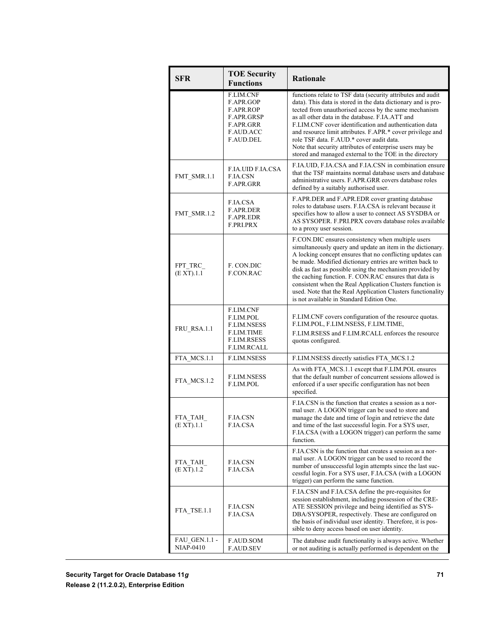| <b>SFR</b>                               | <b>TOE Security</b><br><b>Functions</b>                                                                | <b>Rationale</b>                                                                                                                                                                                                                                                                                                                                                                                                                                                                                                                       |
|------------------------------------------|--------------------------------------------------------------------------------------------------------|----------------------------------------------------------------------------------------------------------------------------------------------------------------------------------------------------------------------------------------------------------------------------------------------------------------------------------------------------------------------------------------------------------------------------------------------------------------------------------------------------------------------------------------|
|                                          | F.LIM.CNF<br>F.APR.GOP<br>F.APR.ROP<br>F.APR.GRSP<br>F.APR.GRR<br><b>F.AUD.ACC</b><br>F.AUD.DEL        | functions relate to TSF data (security attributes and audit<br>data). This data is stored in the data dictionary and is pro-<br>tected from unauthorised access by the same mechanism<br>as all other data in the database. F.IA.ATT and<br>F.LIM.CNF cover identification and authentication data<br>and resource limit attributes. F.APR.* cover privilege and<br>role TSF data. F.AUD.* cover audit data.<br>Note that security attributes of enterprise users may be<br>stored and managed external to the TOE in the directory    |
| FMT_SMR.1.1                              | F.IA.UID F.IA.CSA<br><b>F.IA.CSN</b><br>F.APR.GRR                                                      | F.IA.UID, F.IA.CSA and F.IA.CSN in combination ensure<br>that the TSF maintains normal database users and database<br>administrative users. F.APR GRR covers database roles<br>defined by a suitably authorised user.                                                                                                                                                                                                                                                                                                                  |
| FMT SMR.1.2                              | F.IA.CSA<br>F.APR.DER<br>F.APR.EDR<br>F.PRI.PRX                                                        | F.APR.DER and F.APR.EDR cover granting database<br>roles to database users. F.IA.CSA is relevant because it<br>specifies how to allow a user to connect AS SYSDBA or<br>AS SYSOPER. F.PRI.PRX covers database roles available<br>to a proxy user session.                                                                                                                                                                                                                                                                              |
| FPT TRC<br>(EXT).1.1                     | F. CON.DIC<br>F.CON.RAC                                                                                | F.CON.DIC ensures consistency when multiple users<br>simultaneously query and update an item in the dictionary.<br>A locking concept ensures that no conflicting updates can<br>be made. Modified dictionary entries are written back to<br>disk as fast as possible using the mechanism provided by<br>the caching function. F. CON.RAC ensures that data is<br>consistent when the Real Application Clusters function is<br>used. Note that the Real Application Clusters functionality<br>is not available in Standard Edition One. |
| FRU RSA.1.1                              | F.LIM.CNF<br>F.LIM.POL<br><b>F.LIM.NSESS</b><br>F.LIM.TIME<br><b>F.LIM.RSESS</b><br><b>F.LIM.RCALL</b> | F.LIM.CNF covers configuration of the resource quotas.<br>F.LIM.POL, F.LIM.NSESS, F.LIM.TIME,<br>F.LIM.RSESS and F.LIM.RCALL enforces the resource<br>quotas configured.                                                                                                                                                                                                                                                                                                                                                               |
| FTA MCS.1.1                              | <b>F.LIM.NSESS</b>                                                                                     | F.LIM.NSESS directly satisfies FTA_MCS.1.2                                                                                                                                                                                                                                                                                                                                                                                                                                                                                             |
| FTA MCS.1.2                              | F.LIM.NSESS<br>F.LIM.POL                                                                               | As with FTA MCS.1.1 except that F.LIM.POL ensures<br>that the default number of concurrent sessions allowed is<br>enforced if a user specific configuration has not been<br>specified.                                                                                                                                                                                                                                                                                                                                                 |
| FTA_TAH<br>(E XT).1.1                    | <b>F.IA.CSN</b><br>F.IA.CSA                                                                            | F.IA.CSN is the function that creates a session as a nor-<br>mal user. A LOGON trigger can be used to store and<br>manage the date and time of login and retrieve the date<br>and time of the last successful login. For a SYS user,<br>F.IA.CSA (with a LOGON trigger) can perform the same<br>function.                                                                                                                                                                                                                              |
| FTA TAH<br>(E XT).1.2                    | <b>F.IA.CSN</b><br>F.IA.CSA                                                                            | F.IA.CSN is the function that creates a session as a nor-<br>mal user. A LOGON trigger can be used to record the<br>number of unsuccessful login attempts since the last suc-<br>cessful login. For a SYS user, F.IA.CSA (with a LOGON<br>trigger) can perform the same function.                                                                                                                                                                                                                                                      |
| FTA TSE.1.1                              | <b>F.IA.CSN</b><br>F.IA.CSA                                                                            | F.IA.CSN and F.IA.CSA define the pre-requisites for<br>session establishment, including possession of the CRE-<br>ATE SESSION privilege and being identified as SYS-<br>DBA/SYSOPER, respectively. These are configured on<br>the basis of individual user identity. Therefore, it is pos-<br>sible to deny access based on user identity.                                                                                                                                                                                             |
| <b>FAU GEN.1.1 -</b><br><b>NIAP-0410</b> | <b>F.AUD.SOM</b><br>F.AUD.SEV                                                                          | The database audit functionality is always active. Whether<br>or not auditing is actually performed is dependent on the                                                                                                                                                                                                                                                                                                                                                                                                                |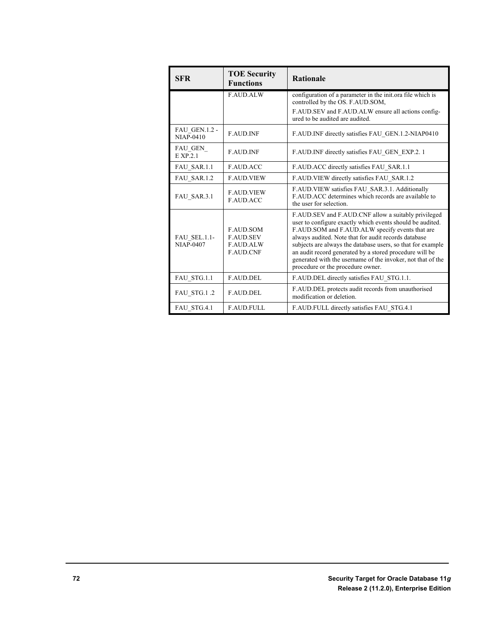| <b>SFR</b>                        | <b>TOE Security</b><br><b>Functions</b>                                      | <b>Rationale</b>                                                                                                                                                                                                                                                                                                                                                                                                                                          |
|-----------------------------------|------------------------------------------------------------------------------|-----------------------------------------------------------------------------------------------------------------------------------------------------------------------------------------------------------------------------------------------------------------------------------------------------------------------------------------------------------------------------------------------------------------------------------------------------------|
|                                   | <b>F.AUD.ALW</b>                                                             | configuration of a parameter in the init ora file which is<br>controlled by the OS. F.AUD.SOM,                                                                                                                                                                                                                                                                                                                                                            |
|                                   |                                                                              | F.AUD.SEV and F.AUD.ALW ensure all actions config-<br>ured to be audited are audited.                                                                                                                                                                                                                                                                                                                                                                     |
| <b>FAU GEN.1.2 -</b><br>NIAP-0410 | <b>F.AUD.INF</b>                                                             | F.AUD.INF directly satisfies FAU GEN.1.2-NIAP0410                                                                                                                                                                                                                                                                                                                                                                                                         |
| FAU GEN<br>EXP.2.1                | <b>F.AUD.INF</b>                                                             | F.AUD.INF directly satisfies FAU GEN EXP.2.1                                                                                                                                                                                                                                                                                                                                                                                                              |
| FAU SAR.1.1                       | <b>F.AUD.ACC</b>                                                             | F.AUD.ACC directly satisfies FAU SAR.1.1                                                                                                                                                                                                                                                                                                                                                                                                                  |
| FAU SAR.1.2                       | <b>F.AUD.VIEW</b>                                                            | F.AUD.VIEW directly satisfies FAU SAR.1.2                                                                                                                                                                                                                                                                                                                                                                                                                 |
| FAU SAR.3.1                       | <b>F.AUD.VIEW</b><br><b>F.AUD.ACC</b>                                        | F.AUD.VIEW satisfies FAU SAR.3.1. Additionally<br>F.AUD.ACC determines which records are available to<br>the user for selection.                                                                                                                                                                                                                                                                                                                          |
| FAU_SEL.1.1-<br><b>NIAP-0407</b>  | <b>F.AUD.SOM</b><br><b>F.AUD.SEV</b><br><b>F.AUD.ALW</b><br><b>F.AUD.CNF</b> | F.AUD.SEV and F.AUD.CNF allow a suitably privileged<br>user to configure exactly which events should be audited.<br>F.AUD.SOM and F.AUD.ALW specify events that are<br>always audited. Note that for audit records database<br>subjects are always the database users, so that for example<br>an audit record generated by a stored procedure will be<br>generated with the username of the invoker, not that of the<br>procedure or the procedure owner. |
| FAU_STG.1.1                       | F.AUD.DEL                                                                    | F.AUD.DEL directly satisfies FAU STG.1.1.                                                                                                                                                                                                                                                                                                                                                                                                                 |
| FAU STG.1.2                       | <b>F.AUD.DEL</b>                                                             | F.AUD.DEL protects audit records from unauthorised<br>modification or deletion.                                                                                                                                                                                                                                                                                                                                                                           |
| FAU_STG.4.1                       | <b>F.AUD.FULL</b>                                                            | F.AUD.FULL directly satisfies FAU_STG.4.1                                                                                                                                                                                                                                                                                                                                                                                                                 |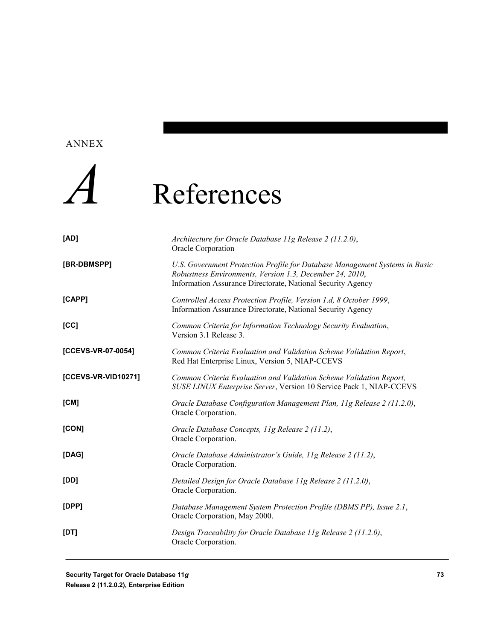#### ANNEX



## *A* References

| [AD]                | Architecture for Oracle Database 11g Release 2 (11.2.0),<br>Oracle Corporation                                                                                                                         |
|---------------------|--------------------------------------------------------------------------------------------------------------------------------------------------------------------------------------------------------|
| [BR-DBMSPP]         | U.S. Government Protection Profile for Database Management Systems in Basic<br>Robustness Environments, Version 1.3, December 24, 2010,<br>Information Assurance Directorate, National Security Agency |
| [CAPP]              | Controlled Access Protection Profile, Version 1.d, 8 October 1999,<br>Information Assurance Directorate, National Security Agency                                                                      |
| [CC]                | Common Criteria for Information Technology Security Evaluation,<br>Version 3.1 Release 3.                                                                                                              |
| [CCEVS-VR-07-0054]  | Common Criteria Evaluation and Validation Scheme Validation Report,<br>Red Hat Enterprise Linux, Version 5, NIAP-CCEVS                                                                                 |
| [CCEVS-VR-VID10271] | Common Criteria Evaluation and Validation Scheme Validation Report,<br>SUSE LINUX Enterprise Server, Version 10 Service Pack 1, NIAP-CCEVS                                                             |
| [CM]                | Oracle Database Configuration Management Plan, 11g Release 2 (11.2.0),<br>Oracle Corporation.                                                                                                          |
| [CON]               | Oracle Database Concepts, 11g Release 2 (11.2),<br>Oracle Corporation.                                                                                                                                 |
| [DAG]               | Oracle Database Administrator's Guide, 11g Release 2 (11.2),<br>Oracle Corporation.                                                                                                                    |
| [DD]                | Detailed Design for Oracle Database 11g Release 2 (11.2.0),<br>Oracle Corporation.                                                                                                                     |
| [DPP]               | Database Management System Protection Profile (DBMS PP), Issue 2.1,<br>Oracle Corporation, May 2000.                                                                                                   |
| [DT]                | Design Traceability for Oracle Database 11g Release 2 (11.2.0),<br>Oracle Corporation.                                                                                                                 |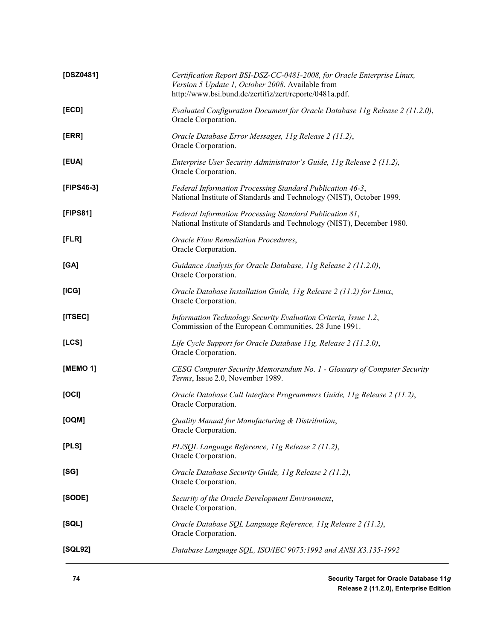| [DSZ0481]  | Certification Report BSI-DSZ-CC-0481-2008, for Oracle Enterprise Linux,<br>Version 5 Update 1, October 2008. Available from<br>http://www.bsi.bund.de/zertifiz/zert/reporte/0481a.pdf. |
|------------|----------------------------------------------------------------------------------------------------------------------------------------------------------------------------------------|
| [ECD]      | Evaluated Configuration Document for Oracle Database 11g Release 2 (11.2.0),<br>Oracle Corporation.                                                                                    |
| [ERR]      | Oracle Database Error Messages, 11g Release 2 (11.2),<br>Oracle Corporation.                                                                                                           |
| [EUA]      | Enterprise User Security Administrator's Guide, 11g Release 2 (11.2),<br>Oracle Corporation.                                                                                           |
| [FIPS46-3] | Federal Information Processing Standard Publication 46-3,<br>National Institute of Standards and Technology (NIST), October 1999.                                                      |
| [FIPS81]   | Federal Information Processing Standard Publication 81,<br>National Institute of Standards and Technology (NIST), December 1980.                                                       |
| [FLR]      | Oracle Flaw Remediation Procedures,<br>Oracle Corporation.                                                                                                                             |
| [GA]       | Guidance Analysis for Oracle Database, 11g Release 2 (11.2.0),<br>Oracle Corporation.                                                                                                  |
| [ICG]      | Oracle Database Installation Guide, 11g Release 2 (11.2) for Linux,<br>Oracle Corporation.                                                                                             |
| [ITSEC]    | Information Technology Security Evaluation Criteria, Issue 1.2,<br>Commission of the European Communities, 28 June 1991.                                                               |
| [LCS]      | Life Cycle Support for Oracle Database 11g, Release 2 (11.2.0),<br>Oracle Corporation.                                                                                                 |
| [MEMO 1]   | CESG Computer Security Memorandum No. 1 - Glossary of Computer Security<br>Terms, Issue 2.0, November 1989.                                                                            |
| [OCI]      | Oracle Database Call Interface Programmers Guide, 11g Release 2 (11.2),<br>Oracle Corporation.                                                                                         |
| [OQM]      | Quality Manual for Manufacturing & Distribution,<br>Oracle Corporation.                                                                                                                |
| [PLS]      | PL/SQL Language Reference, 11g Release 2 (11.2),<br>Oracle Corporation.                                                                                                                |
| [SG]       | Oracle Database Security Guide, 11g Release 2 (11.2),<br>Oracle Corporation.                                                                                                           |
| [SODE]     | Security of the Oracle Development Environment,<br>Oracle Corporation.                                                                                                                 |
| [SQL]      | Oracle Database SQL Language Reference, 11g Release 2 (11.2),<br>Oracle Corporation.                                                                                                   |
| [SQL92]    | Database Language SQL, ISO/IEC 9075:1992 and ANSI X3.135-1992                                                                                                                          |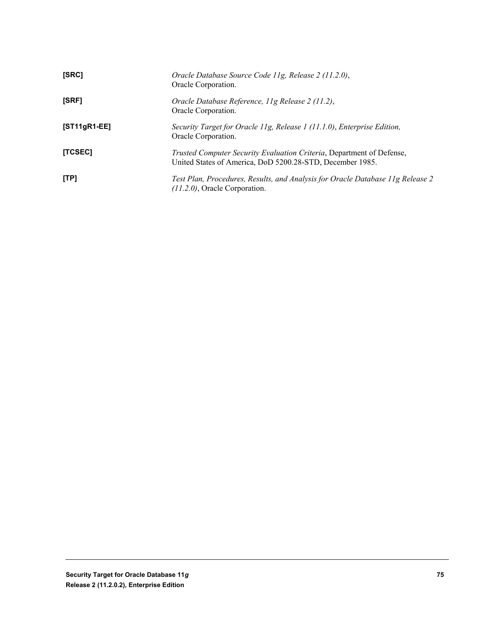| [SRC]          | Oracle Database Source Code 11g, Release 2 (11.2.0),<br>Oracle Corporation.                                                        |
|----------------|------------------------------------------------------------------------------------------------------------------------------------|
| [SRF]          | Oracle Database Reference, 11g Release 2 (11.2),<br>Oracle Corporation.                                                            |
| $[ST11gR1-EE]$ | Security Target for Oracle 11g, Release 1 (11.1.0), Enterprise Edition,<br>Oracle Corporation.                                     |
| [TCSEC]        | Trusted Computer Security Evaluation Criteria, Department of Defense,<br>United States of America, DoD 5200.28-STD, December 1985. |
| [TP]           | Test Plan, Procedures, Results, and Analysis for Oracle Database 11g Release 2<br>$(11.2.0)$ , Oracle Corporation.                 |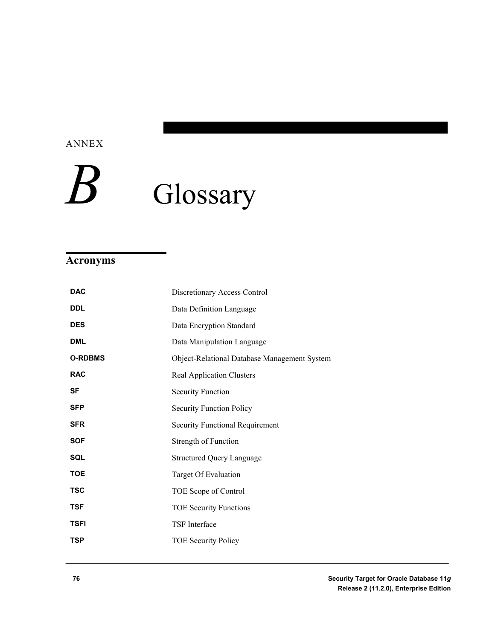ANNEX

# Glossary

### **Acronyms**

| <b>DAC</b>     | Discretionary Access Control                 |
|----------------|----------------------------------------------|
| <b>DDL</b>     | Data Definition Language                     |
| <b>DES</b>     | Data Encryption Standard                     |
| <b>DML</b>     | Data Manipulation Language                   |
| <b>O-RDBMS</b> | Object-Relational Database Management System |
| <b>RAC</b>     | <b>Real Application Clusters</b>             |
| <b>SF</b>      | <b>Security Function</b>                     |
| <b>SFP</b>     | <b>Security Function Policy</b>              |
| <b>SFR</b>     | Security Functional Requirement              |
| <b>SOF</b>     | Strength of Function                         |
| SQL            | <b>Structured Query Language</b>             |
| <b>TOE</b>     | Target Of Evaluation                         |
| <b>TSC</b>     | TOE Scope of Control                         |
| <b>TSF</b>     | <b>TOE Security Functions</b>                |
| <b>TSFI</b>    | <b>TSF</b> Interface                         |
| <b>TSP</b>     | <b>TOE Security Policy</b>                   |
|                |                                              |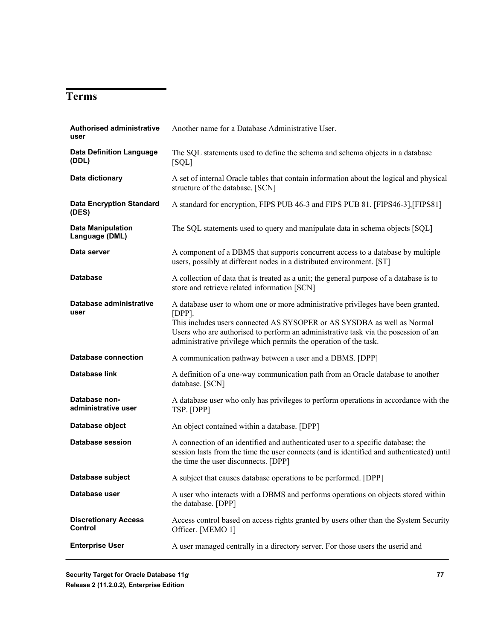### **Terms**

| <b>Authorised administrative</b><br>user   | Another name for a Database Administrative User.                                                                                                                                                                                                                                                                                    |
|--------------------------------------------|-------------------------------------------------------------------------------------------------------------------------------------------------------------------------------------------------------------------------------------------------------------------------------------------------------------------------------------|
| <b>Data Definition Language</b><br>(DDL)   | The SQL statements used to define the schema and schema objects in a database<br>[SQL]                                                                                                                                                                                                                                              |
| Data dictionary                            | A set of internal Oracle tables that contain information about the logical and physical<br>structure of the database. [SCN]                                                                                                                                                                                                         |
| <b>Data Encryption Standard</b><br>(DES)   | A standard for encryption, FIPS PUB 46-3 and FIPS PUB 81. [FIPS46-3], [FIPS81]                                                                                                                                                                                                                                                      |
| <b>Data Manipulation</b><br>Language (DML) | The SQL statements used to query and manipulate data in schema objects [SQL]                                                                                                                                                                                                                                                        |
| Data server                                | A component of a DBMS that supports concurrent access to a database by multiple<br>users, possibly at different nodes in a distributed environment. [ST]                                                                                                                                                                            |
| <b>Database</b>                            | A collection of data that is treated as a unit; the general purpose of a database is to<br>store and retrieve related information [SCN]                                                                                                                                                                                             |
| Database administrative<br>user            | A database user to whom one or more administrative privileges have been granted.<br>$[DPP]$ .<br>This includes users connected AS SYSOPER or AS SYSDBA as well as Normal<br>Users who are authorised to perform an administrative task via the posession of an<br>administrative privilege which permits the operation of the task. |
| <b>Database connection</b>                 | A communication pathway between a user and a DBMS. [DPP]                                                                                                                                                                                                                                                                            |
| Database link                              | A definition of a one-way communication path from an Oracle database to another<br>database. [SCN]                                                                                                                                                                                                                                  |
| Database non-<br>administrative user       | A database user who only has privileges to perform operations in accordance with the<br>TSP. [DPP]                                                                                                                                                                                                                                  |
| Database object                            | An object contained within a database. [DPP]                                                                                                                                                                                                                                                                                        |
| <b>Database session</b>                    | A connection of an identified and authenticated user to a specific database; the<br>session lasts from the time the user connects (and is identified and authenticated) until<br>the time the user disconnects. [DPP]                                                                                                               |
| Database subject                           | A subject that causes database operations to be performed. [DPP]                                                                                                                                                                                                                                                                    |
| Database user                              | A user who interacts with a DBMS and performs operations on objects stored within<br>the database. [DPP]                                                                                                                                                                                                                            |
| <b>Discretionary Access</b><br>Control     | Access control based on access rights granted by users other than the System Security<br>Officer. [MEMO 1]                                                                                                                                                                                                                          |
| <b>Enterprise User</b>                     | A user managed centrally in a directory server. For those users the userid and                                                                                                                                                                                                                                                      |
|                                            |                                                                                                                                                                                                                                                                                                                                     |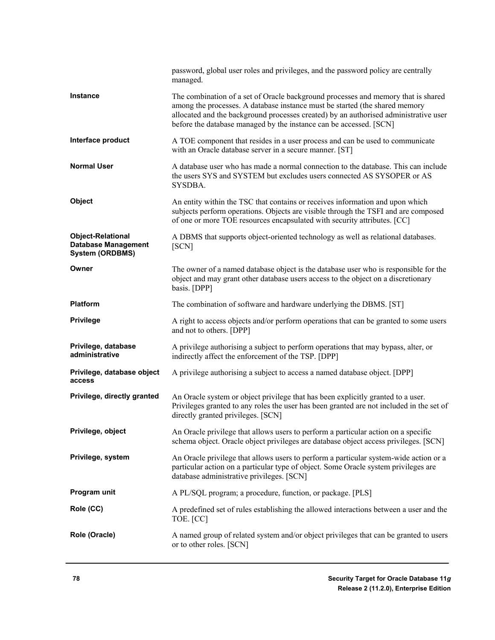|                                                                                  | password, global user roles and privileges, and the password policy are centrally<br>managed.                                                                                                                                                                                                                                  |
|----------------------------------------------------------------------------------|--------------------------------------------------------------------------------------------------------------------------------------------------------------------------------------------------------------------------------------------------------------------------------------------------------------------------------|
| <b>Instance</b>                                                                  | The combination of a set of Oracle background processes and memory that is shared<br>among the processes. A database instance must be started (the shared memory<br>allocated and the background processes created) by an authorised administrative user<br>before the database managed by the instance can be accessed. [SCN] |
| Interface product                                                                | A TOE component that resides in a user process and can be used to communicate<br>with an Oracle database server in a secure manner. [ST]                                                                                                                                                                                       |
| <b>Normal User</b>                                                               | A database user who has made a normal connection to the database. This can include<br>the users SYS and SYSTEM but excludes users connected AS SYSOPER or AS<br>SYSDBA.                                                                                                                                                        |
| Object                                                                           | An entity within the TSC that contains or receives information and upon which<br>subjects perform operations. Objects are visible through the TSFI and are composed<br>of one or more TOE resources encapsulated with security attributes. [CC]                                                                                |
| <b>Object-Relational</b><br><b>Database Management</b><br><b>System (ORDBMS)</b> | A DBMS that supports object-oriented technology as well as relational databases.<br>[SCN]                                                                                                                                                                                                                                      |
| Owner                                                                            | The owner of a named database object is the database user who is responsible for the<br>object and may grant other database users access to the object on a discretionary<br>basis. [DPP]                                                                                                                                      |
| <b>Platform</b>                                                                  | The combination of software and hardware underlying the DBMS. [ST]                                                                                                                                                                                                                                                             |
| <b>Privilege</b>                                                                 | A right to access objects and/or perform operations that can be granted to some users<br>and not to others. [DPP]                                                                                                                                                                                                              |
| Privilege, database<br>administrative                                            | A privilege authorising a subject to perform operations that may bypass, alter, or<br>indirectly affect the enforcement of the TSP. [DPP]                                                                                                                                                                                      |
| Privilege, database object<br>access                                             | A privilege authorising a subject to access a named database object. [DPP]                                                                                                                                                                                                                                                     |
| Privilege, directly granted                                                      | An Oracle system or object privilege that has been explicitly granted to a user.<br>Privileges granted to any roles the user has been granted are not included in the set of<br>directly granted privileges. [SCN]                                                                                                             |
| Privilege, object                                                                | An Oracle privilege that allows users to perform a particular action on a specific<br>schema object. Oracle object privileges are database object access privileges. [SCN]                                                                                                                                                     |
| Privilege, system                                                                | An Oracle privilege that allows users to perform a particular system-wide action or a<br>particular action on a particular type of object. Some Oracle system privileges are<br>database administrative privileges. [SCN]                                                                                                      |
| Program unit                                                                     | A PL/SQL program; a procedure, function, or package. [PLS]                                                                                                                                                                                                                                                                     |
| Role (CC)                                                                        | A predefined set of rules establishing the allowed interactions between a user and the<br>TOE. [CC]                                                                                                                                                                                                                            |
| Role (Oracle)                                                                    | A named group of related system and/or object privileges that can be granted to users<br>or to other roles. [SCN]                                                                                                                                                                                                              |